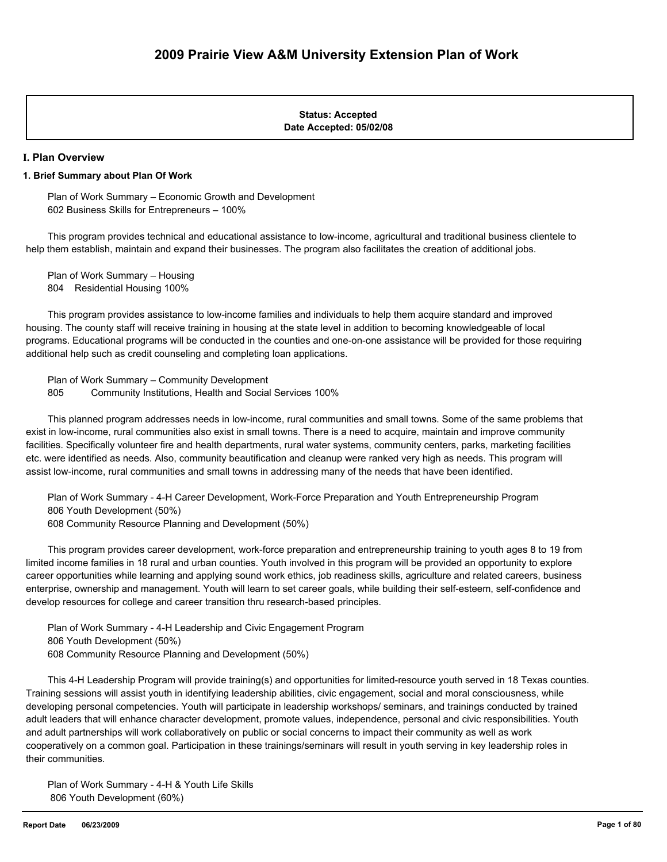#### **Date Accepted: 05/02/08 Status: Accepted**

#### **I. Plan Overview**

#### **1. Brief Summary about Plan Of Work**

 Plan of Work Summary – Economic Growth and Development 602 Business Skills for Entrepreneurs – 100%

 This program provides technical and educational assistance to low-income, agricultural and traditional business clientele to help them establish, maintain and expand their businesses. The program also facilitates the creation of additional jobs.

 Plan of Work Summary – Housing 804 Residential Housing 100%

 This program provides assistance to low-income families and individuals to help them acquire standard and improved housing. The county staff will receive training in housing at the state level in addition to becoming knowledgeable of local programs. Educational programs will be conducted in the counties and one-on-one assistance will be provided for those requiring additional help such as credit counseling and completing loan applications.

 Plan of Work Summary – Community Development 805 Community Institutions, Health and Social Services 100%

 This planned program addresses needs in low-income, rural communities and small towns. Some of the same problems that exist in low-income, rural communities also exist in small towns. There is a need to acquire, maintain and improve community facilities. Specifically volunteer fire and health departments, rural water systems, community centers, parks, marketing facilities etc. were identified as needs. Also, community beautification and cleanup were ranked very high as needs. This program will assist low-income, rural communities and small towns in addressing many of the needs that have been identified.

 Plan of Work Summary - 4-H Career Development, Work-Force Preparation and Youth Entrepreneurship Program 806 Youth Development (50%)

608 Community Resource Planning and Development (50%)

 This program provides career development, work-force preparation and entrepreneurship training to youth ages 8 to 19 from limited income families in 18 rural and urban counties. Youth involved in this program will be provided an opportunity to explore career opportunities while learning and applying sound work ethics, job readiness skills, agriculture and related careers, business enterprise, ownership and management. Youth will learn to set career goals, while building their self-esteem, self-confidence and develop resources for college and career transition thru research-based principles.

 Plan of Work Summary - 4-H Leadership and Civic Engagement Program 806 Youth Development (50%) 608 Community Resource Planning and Development (50%)

 This 4-H Leadership Program will provide training(s) and opportunities for limited-resource youth served in 18 Texas counties. Training sessions will assist youth in identifying leadership abilities, civic engagement, social and moral consciousness, while developing personal competencies. Youth will participate in leadership workshops/ seminars, and trainings conducted by trained adult leaders that will enhance character development, promote values, independence, personal and civic responsibilities. Youth and adult partnerships will work collaboratively on public or social concerns to impact their community as well as work cooperatively on a common goal. Participation in these trainings/seminars will result in youth serving in key leadership roles in their communities.

 Plan of Work Summary - 4-H & Youth Life Skills 806 Youth Development (60%)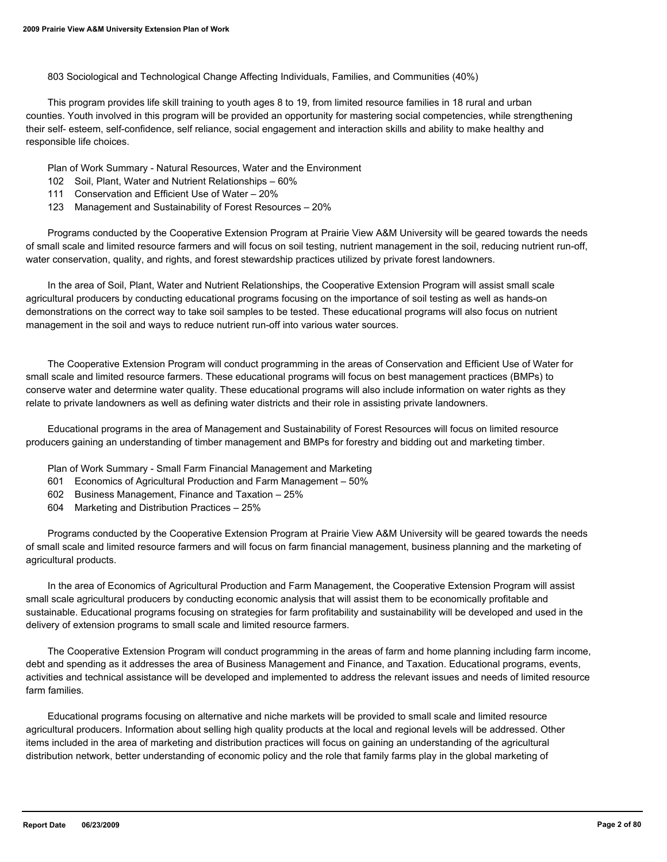803 Sociological and Technological Change Affecting Individuals, Families, and Communities (40%)

 This program provides life skill training to youth ages 8 to 19, from limited resource families in 18 rural and urban counties. Youth involved in this program will be provided an opportunity for mastering social competencies, while strengthening their self- esteem, self-confidence, self reliance, social engagement and interaction skills and ability to make healthy and responsible life choices.

Plan of Work Summary - Natural Resources, Water and the Environment

- 102 Soil, Plant, Water and Nutrient Relationships 60%
- 111 Conservation and Efficient Use of Water 20%
- 123 Management and Sustainability of Forest Resources 20%

 Programs conducted by the Cooperative Extension Program at Prairie View A&M University will be geared towards the needs of small scale and limited resource farmers and will focus on soil testing, nutrient management in the soil, reducing nutrient run-off, water conservation, quality, and rights, and forest stewardship practices utilized by private forest landowners.

 In the area of Soil, Plant, Water and Nutrient Relationships, the Cooperative Extension Program will assist small scale agricultural producers by conducting educational programs focusing on the importance of soil testing as well as hands-on demonstrations on the correct way to take soil samples to be tested. These educational programs will also focus on nutrient management in the soil and ways to reduce nutrient run-off into various water sources.

 The Cooperative Extension Program will conduct programming in the areas of Conservation and Efficient Use of Water for small scale and limited resource farmers. These educational programs will focus on best management practices (BMPs) to conserve water and determine water quality. These educational programs will also include information on water rights as they relate to private landowners as well as defining water districts and their role in assisting private landowners.

 Educational programs in the area of Management and Sustainability of Forest Resources will focus on limited resource producers gaining an understanding of timber management and BMPs for forestry and bidding out and marketing timber.

- Plan of Work Summary Small Farm Financial Management and Marketing
- 601 Economics of Agricultural Production and Farm Management 50%
- 602 Business Management, Finance and Taxation 25%
- 604 Marketing and Distribution Practices 25%

 Programs conducted by the Cooperative Extension Program at Prairie View A&M University will be geared towards the needs of small scale and limited resource farmers and will focus on farm financial management, business planning and the marketing of agricultural products.

 In the area of Economics of Agricultural Production and Farm Management, the Cooperative Extension Program will assist small scale agricultural producers by conducting economic analysis that will assist them to be economically profitable and sustainable. Educational programs focusing on strategies for farm profitability and sustainability will be developed and used in the delivery of extension programs to small scale and limited resource farmers.

 The Cooperative Extension Program will conduct programming in the areas of farm and home planning including farm income, debt and spending as it addresses the area of Business Management and Finance, and Taxation. Educational programs, events, activities and technical assistance will be developed and implemented to address the relevant issues and needs of limited resource farm families.

 Educational programs focusing on alternative and niche markets will be provided to small scale and limited resource agricultural producers. Information about selling high quality products at the local and regional levels will be addressed. Other items included in the area of marketing and distribution practices will focus on gaining an understanding of the agricultural distribution network, better understanding of economic policy and the role that family farms play in the global marketing of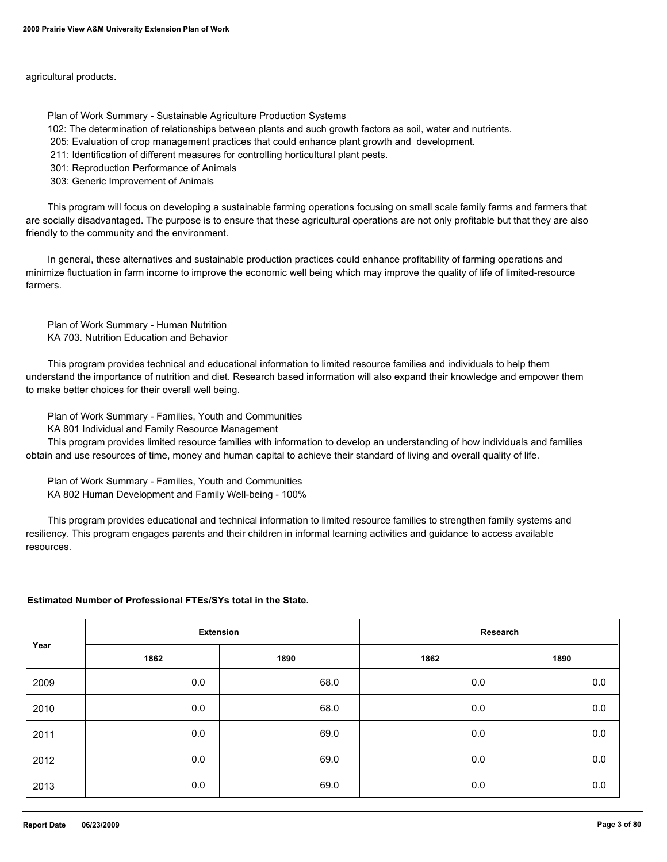agricultural products.

Plan of Work Summary - Sustainable Agriculture Production Systems

102: The determination of relationships between plants and such growth factors as soil, water and nutrients.

205: Evaluation of crop management practices that could enhance plant growth and development.

211: Identification of different measures for controlling horticultural plant pests.

301: Reproduction Performance of Animals

303: Generic Improvement of Animals

 This program will focus on developing a sustainable farming operations focusing on small scale family farms and farmers that are socially disadvantaged. The purpose is to ensure that these agricultural operations are not only profitable but that they are also friendly to the community and the environment.

 In general, these alternatives and sustainable production practices could enhance profitability of farming operations and minimize fluctuation in farm income to improve the economic well being which may improve the quality of life of limited-resource farmers.

 Plan of Work Summary - Human Nutrition KA 703. Nutrition Education and Behavior

 This program provides technical and educational information to limited resource families and individuals to help them understand the importance of nutrition and diet. Research based information will also expand their knowledge and empower them to make better choices for their overall well being.

Plan of Work Summary - Families, Youth and Communities

KA 801 Individual and Family Resource Management

 This program provides limited resource families with information to develop an understanding of how individuals and families obtain and use resources of time, money and human capital to achieve their standard of living and overall quality of life.

 Plan of Work Summary - Families, Youth and Communities KA 802 Human Development and Family Well-being - 100%

 This program provides educational and technical information to limited resource families to strengthen family systems and resiliency. This program engages parents and their children in informal learning activities and guidance to access available resources.

#### **Estimated Number of Professional FTEs/SYs total in the State.**

| Year | <b>Extension</b> |      | Research |         |  |
|------|------------------|------|----------|---------|--|
|      | 1862             | 1890 | 1862     | 1890    |  |
| 2009 | 0.0              | 68.0 | 0.0      | $0.0\,$ |  |
| 2010 | 0.0              | 68.0 | 0.0      | $0.0\,$ |  |
| 2011 | 0.0              | 69.0 | 0.0      | $0.0\,$ |  |
| 2012 | 0.0              | 69.0 | 0.0      | $0.0\,$ |  |
| 2013 | 0.0              | 69.0 | 0.0      | $0.0\,$ |  |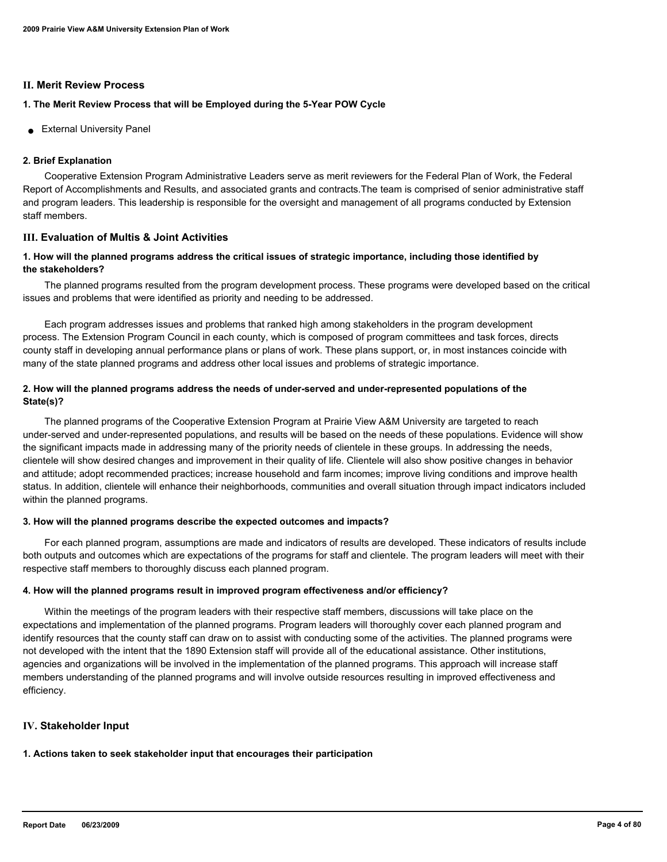#### **II. Merit Review Process**

## **1. The Merit Review Process that will be Employed during the 5-Year POW Cycle**

● External University Panel

## **2. Brief Explanation**

 Cooperative Extension Program Administrative Leaders serve as merit reviewers for the Federal Plan of Work, the Federal Report of Accomplishments and Results, and associated grants and contracts.The team is comprised of senior administrative staff and program leaders. This leadership is responsible for the oversight and management of all programs conducted by Extension staff members.

## **III. Evaluation of Multis & Joint Activities**

## **1. How will the planned programs address the critical issues of strategic importance, including those identified by the stakeholders?**

 The planned programs resulted from the program development process. These programs were developed based on the critical issues and problems that were identified as priority and needing to be addressed.

 Each program addresses issues and problems that ranked high among stakeholders in the program development process. The Extension Program Council in each county, which is composed of program committees and task forces, directs county staff in developing annual performance plans or plans of work. These plans support, or, in most instances coincide with many of the state planned programs and address other local issues and problems of strategic importance.

## **2. How will the planned programs address the needs of under-served and under-represented populations of the State(s)?**

 The planned programs of the Cooperative Extension Program at Prairie View A&M University are targeted to reach under-served and under-represented populations, and results will be based on the needs of these populations. Evidence will show the significant impacts made in addressing many of the priority needs of clientele in these groups. In addressing the needs, clientele will show desired changes and improvement in their quality of life. Clientele will also show positive changes in behavior and attitude; adopt recommended practices; increase household and farm incomes; improve living conditions and improve health status. In addition, clientele will enhance their neighborhoods, communities and overall situation through impact indicators included within the planned programs.

## **3. How will the planned programs describe the expected outcomes and impacts?**

 For each planned program, assumptions are made and indicators of results are developed. These indicators of results include both outputs and outcomes which are expectations of the programs for staff and clientele. The program leaders will meet with their respective staff members to thoroughly discuss each planned program.

## **4. How will the planned programs result in improved program effectiveness and/or efficiency?**

 Within the meetings of the program leaders with their respective staff members, discussions will take place on the expectations and implementation of the planned programs. Program leaders will thoroughly cover each planned program and identify resources that the county staff can draw on to assist with conducting some of the activities. The planned programs were not developed with the intent that the 1890 Extension staff will provide all of the educational assistance. Other institutions, agencies and organizations will be involved in the implementation of the planned programs. This approach will increase staff members understanding of the planned programs and will involve outside resources resulting in improved effectiveness and efficiency.

## **IV. Stakeholder Input**

## **1. Actions taken to seek stakeholder input that encourages their participation**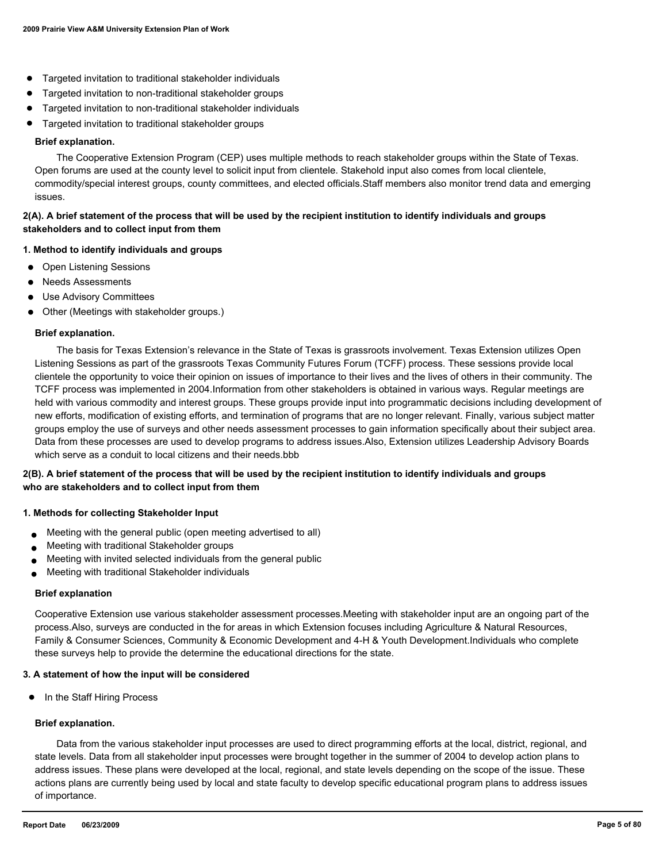- Targeted invitation to traditional stakeholder individuals
- Targeted invitation to non-traditional stakeholder groups
- Targeted invitation to non-traditional stakeholder individuals
- Targeted invitation to traditional stakeholder groups

#### **Brief explanation.**

 The Cooperative Extension Program (CEP) uses multiple methods to reach stakeholder groups within the State of Texas. Open forums are used at the county level to solicit input from clientele. Stakehold input also comes from local clientele, commodity/special interest groups, county committees, and elected officials.Staff members also monitor trend data and emerging issues.

### **2(A). A brief statement of the process that will be used by the recipient institution to identify individuals and groups stakeholders and to collect input from them**

#### **1. Method to identify individuals and groups**

- Open Listening Sessions
- **Needs Assessments**
- Use Advisory Committees
- Other (Meetings with stakeholder groups.)

#### **Brief explanation.**

 The basis for Texas Extension's relevance in the State of Texas is grassroots involvement. Texas Extension utilizes Open Listening Sessions as part of the grassroots Texas Community Futures Forum (TCFF) process. These sessions provide local clientele the opportunity to voice their opinion on issues of importance to their lives and the lives of others in their community. The TCFF process was implemented in 2004.Information from other stakeholders is obtained in various ways. Regular meetings are held with various commodity and interest groups. These groups provide input into programmatic decisions including development of new efforts, modification of existing efforts, and termination of programs that are no longer relevant. Finally, various subject matter groups employ the use of surveys and other needs assessment processes to gain information specifically about their subject area. Data from these processes are used to develop programs to address issues.Also, Extension utilizes Leadership Advisory Boards which serve as a conduit to local citizens and their needs.bbb

### **2(B). A brief statement of the process that will be used by the recipient institution to identify individuals and groups who are stakeholders and to collect input from them**

#### **1. Methods for collecting Stakeholder Input**

- Meeting with the general public (open meeting advertised to all)
- Meeting with traditional Stakeholder groups
- Meeting with invited selected individuals from the general public
- Meeting with traditional Stakeholder individuals

#### **Brief explanation**

Cooperative Extension use various stakeholder assessment processes.Meeting with stakeholder input are an ongoing part of the process.Also, surveys are conducted in the for areas in which Extension focuses including Agriculture & Natural Resources, Family & Consumer Sciences, Community & Economic Development and 4-H & Youth Development.Individuals who complete these surveys help to provide the determine the educational directions for the state.

#### **3. A statement of how the input will be considered**

● In the Staff Hiring Process

#### **Brief explanation.**

 Data from the various stakeholder input processes are used to direct programming efforts at the local, district, regional, and state levels. Data from all stakeholder input processes were brought together in the summer of 2004 to develop action plans to address issues. These plans were developed at the local, regional, and state levels depending on the scope of the issue. These actions plans are currently being used by local and state faculty to develop specific educational program plans to address issues of importance.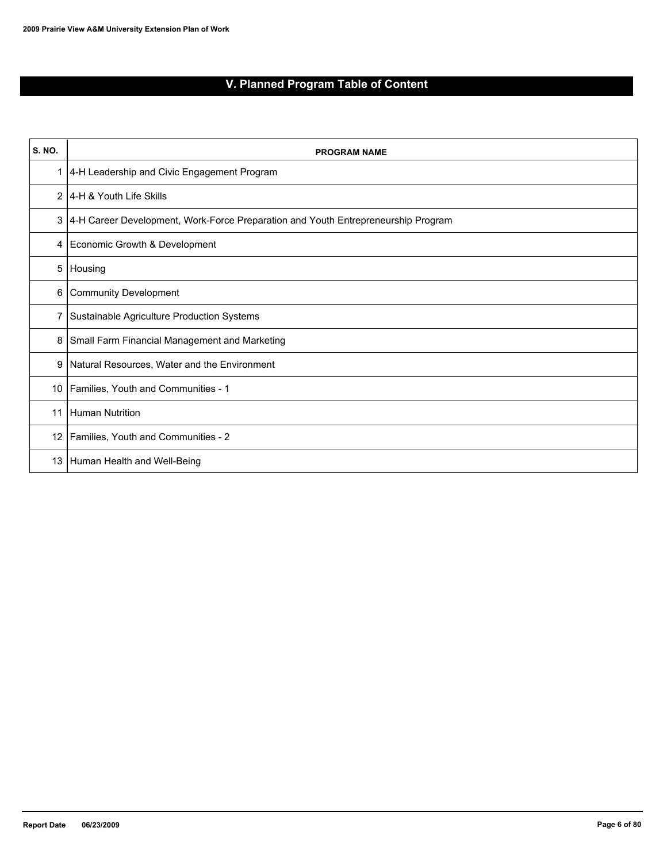# **V. Planned Program Table of Content**

| <b>S. NO.</b>  | <b>PROGRAM NAME</b>                                                               |
|----------------|-----------------------------------------------------------------------------------|
| 1              | 4-H Leadership and Civic Engagement Program                                       |
| $\overline{2}$ | 14-H & Youth Life Skills                                                          |
| 3              | 4-H Career Development, Work-Force Preparation and Youth Entrepreneurship Program |
| 4              | Economic Growth & Development                                                     |
| 5              | Housing                                                                           |
| 6              | Community Development                                                             |
| 7              | Sustainable Agriculture Production Systems                                        |
| 8              | Small Farm Financial Management and Marketing                                     |
| 9              | Natural Resources, Water and the Environment                                      |
| 10             | Families, Youth and Communities - 1                                               |
| 11             | Human Nutrition                                                                   |
| 12             | Families, Youth and Communities - 2                                               |
| 13             | Human Health and Well-Being                                                       |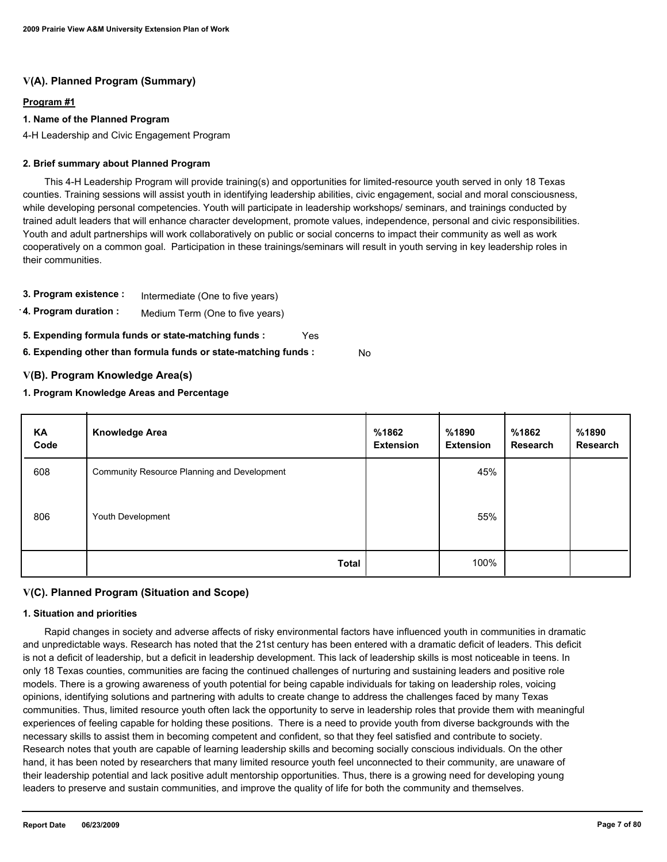## **V(A). Planned Program (Summary)**

### **Program #1**

### **1. Name of the Planned Program**

4-H Leadership and Civic Engagement Program

### **2. Brief summary about Planned Program**

 This 4-H Leadership Program will provide training(s) and opportunities for limited-resource youth served in only 18 Texas counties. Training sessions will assist youth in identifying leadership abilities, civic engagement, social and moral consciousness, while developing personal competencies. Youth will participate in leadership workshops/ seminars, and trainings conducted by trained adult leaders that will enhance character development, promote values, independence, personal and civic responsibilities. Youth and adult partnerships will work collaboratively on public or social concerns to impact their community as well as work cooperatively on a common goal. Participation in these trainings/seminars will result in youth serving in key leadership roles in their communities.

- **3. Program existence :** Intermediate (One to five years)
- **4. Program duration :** Medium Term (One to five years)
- **5. Expending formula funds or state-matching funds :** Yes
- **6. Expending other than formula funds or state-matching funds :** No

## **V(B). Program Knowledge Area(s)**

### **1. Program Knowledge Areas and Percentage**

| KA<br>Code | <b>Knowledge Area</b>                       | %1862<br><b>Extension</b> | %1890<br><b>Extension</b> | %1862<br>Research | %1890<br>Research |
|------------|---------------------------------------------|---------------------------|---------------------------|-------------------|-------------------|
| 608        | Community Resource Planning and Development |                           | 45%                       |                   |                   |
| 806        | Youth Development                           |                           | 55%                       |                   |                   |
|            | <b>Total</b>                                |                           | 100%                      |                   |                   |

## **V(C). Planned Program (Situation and Scope)**

### **1. Situation and priorities**

 Rapid changes in society and adverse affects of risky environmental factors have influenced youth in communities in dramatic and unpredictable ways. Research has noted that the 21st century has been entered with a dramatic deficit of leaders. This deficit is not a deficit of leadership, but a deficit in leadership development. This lack of leadership skills is most noticeable in teens. In only 18 Texas counties, communities are facing the continued challenges of nurturing and sustaining leaders and positive role models. There is a growing awareness of youth potential for being capable individuals for taking on leadership roles, voicing opinions, identifying solutions and partnering with adults to create change to address the challenges faced by many Texas communities. Thus, limited resource youth often lack the opportunity to serve in leadership roles that provide them with meaningful experiences of feeling capable for holding these positions. There is a need to provide youth from diverse backgrounds with the necessary skills to assist them in becoming competent and confident, so that they feel satisfied and contribute to society. Research notes that youth are capable of learning leadership skills and becoming socially conscious individuals. On the other hand, it has been noted by researchers that many limited resource youth feel unconnected to their community, are unaware of their leadership potential and lack positive adult mentorship opportunities. Thus, there is a growing need for developing young leaders to preserve and sustain communities, and improve the quality of life for both the community and themselves.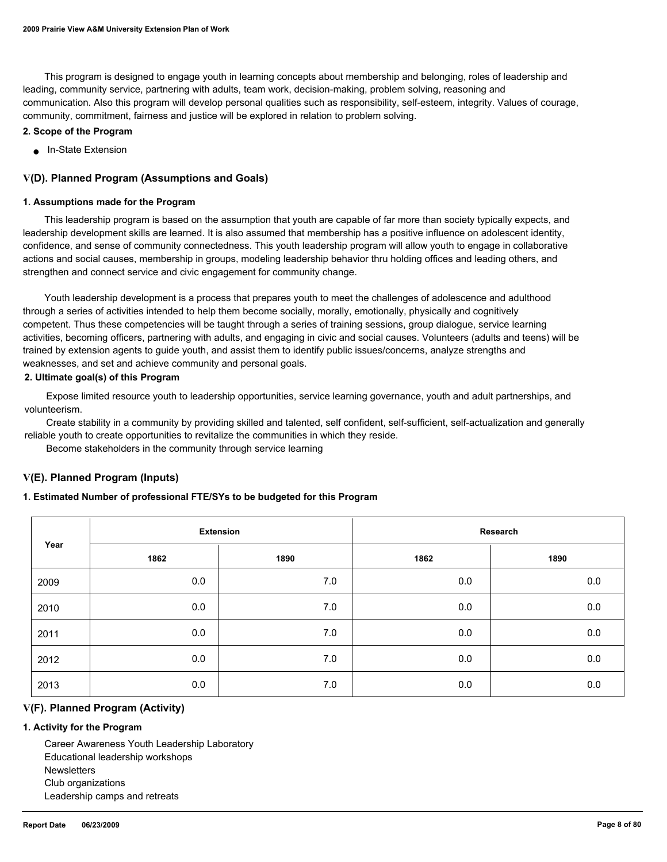This program is designed to engage youth in learning concepts about membership and belonging, roles of leadership and leading, community service, partnering with adults, team work, decision-making, problem solving, reasoning and communication. Also this program will develop personal qualities such as responsibility, self-esteem, integrity. Values of courage, community, commitment, fairness and justice will be explored in relation to problem solving.

#### **2. Scope of the Program**

● In-State Extension

### **V(D). Planned Program (Assumptions and Goals)**

#### **1. Assumptions made for the Program**

 This leadership program is based on the assumption that youth are capable of far more than society typically expects, and leadership development skills are learned. It is also assumed that membership has a positive influence on adolescent identity, confidence, and sense of community connectedness. This youth leadership program will allow youth to engage in collaborative actions and social causes, membership in groups, modeling leadership behavior thru holding offices and leading others, and strengthen and connect service and civic engagement for community change.

 Youth leadership development is a process that prepares youth to meet the challenges of adolescence and adulthood through a series of activities intended to help them become socially, morally, emotionally, physically and cognitively competent. Thus these competencies will be taught through a series of training sessions, group dialogue, service learning activities, becoming officers, partnering with adults, and engaging in civic and social causes. Volunteers (adults and teens) will be trained by extension agents to guide youth, and assist them to identify public issues/concerns, analyze strengths and weaknesses, and set and achieve community and personal goals.

#### **2. Ultimate goal(s) of this Program**

 Expose limited resource youth to leadership opportunities, service learning governance, youth and adult partnerships, and volunteerism.

 Create stability in a community by providing skilled and talented, self confident, self-sufficient, self-actualization and generally reliable youth to create opportunities to revitalize the communities in which they reside.

Become stakeholders in the community through service learning

### **V(E). Planned Program (Inputs)**

#### **1. Estimated Number of professional FTE/SYs to be budgeted for this Program**

| Year | <b>Extension</b> |       | Research |      |  |
|------|------------------|-------|----------|------|--|
|      | 1862             | 1890  | 1862     | 1890 |  |
| 2009 | 0.0              | $7.0$ | 0.0      | 0.0  |  |
| 2010 | 0.0              | 7.0   | 0.0      | 0.0  |  |
| 2011 | 0.0              | 7.0   | 0.0      | 0.0  |  |
| 2012 | 0.0              | $7.0$ | 0.0      | 0.0  |  |
| 2013 | 0.0              | 7.0   | 0.0      | 0.0  |  |

#### **V(F). Planned Program (Activity)**

### **1. Activity for the Program**

 Career Awareness Youth Leadership Laboratory Educational leadership workshops **Newsletters**  Club organizations Leadership camps and retreats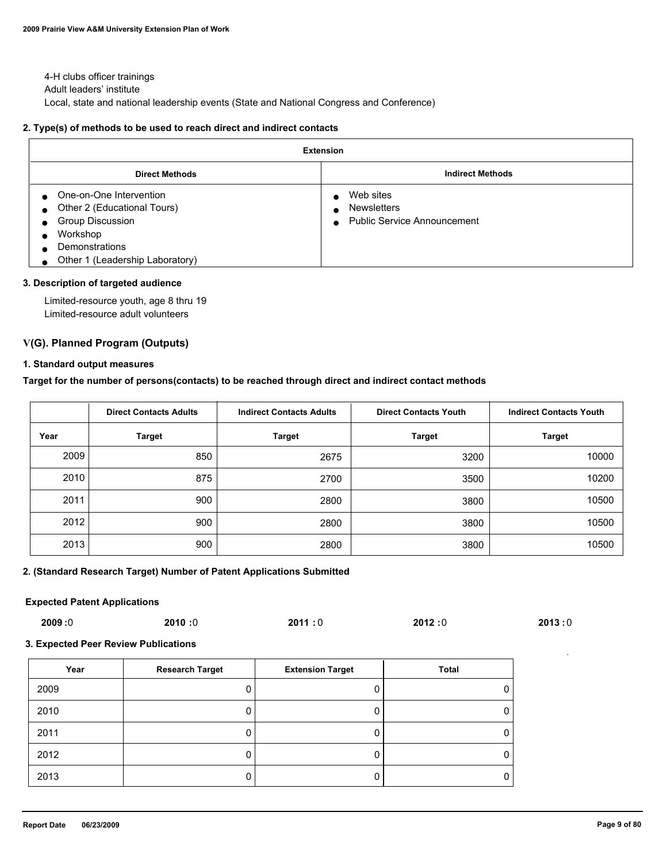4-H clubs officer trainings Adult leaders' institute Local, state and national leadership events (State and National Congress and Conference)

### **2. Type(s) of methods to be used to reach direct and indirect contacts**

| <b>Extension</b>                                                                                                                                   |                                                                                                 |  |  |  |
|----------------------------------------------------------------------------------------------------------------------------------------------------|-------------------------------------------------------------------------------------------------|--|--|--|
| <b>Direct Methods</b>                                                                                                                              | <b>Indirect Methods</b>                                                                         |  |  |  |
| One-on-One Intervention<br>Other 2 (Educational Tours)<br><b>Group Discussion</b><br>Workshop<br>Demonstrations<br>Other 1 (Leadership Laboratory) | Web sites<br>$\bullet$<br><b>Newsletters</b><br><b>Public Service Announcement</b><br>$\bullet$ |  |  |  |

#### **3. Description of targeted audience**

 Limited-resource youth, age 8 thru 19 Limited-resource adult volunteers

### **V(G). Planned Program (Outputs)**

#### **1. Standard output measures**

#### **Target for the number of persons(contacts) to be reached through direct and indirect contact methods**

|      | <b>Direct Contacts Adults</b> | <b>Indirect Contacts Adults</b> | <b>Direct Contacts Youth</b> | <b>Indirect Contacts Youth</b> |
|------|-------------------------------|---------------------------------|------------------------------|--------------------------------|
| Year | <b>Target</b>                 | Target                          | <b>Target</b>                | <b>Target</b>                  |
| 2009 | 850                           | 2675                            | 3200                         | 10000                          |
| 2010 | 875                           | 2700                            | 3500                         | 10200                          |
| 2011 | 900                           | 2800                            | 3800                         | 10500                          |
| 2012 | 900                           | 2800                            | 3800                         | 10500                          |
| 2013 | 900                           | 2800                            | 3800                         | 10500                          |

#### **2. (Standard Research Target) Number of Patent Applications Submitted**

#### **Expected Patent Applications**

| 2009:0 | 2010:0 | 2011:0 | 2012:0 | 2013:0 |
|--------|--------|--------|--------|--------|
|--------|--------|--------|--------|--------|

#### **3. Expected Peer Review Publications**

| Year | <b>Research Target</b> | <b>Extension Target</b> | Total |
|------|------------------------|-------------------------|-------|
| 2009 | υ                      |                         | 0     |
| 2010 | υ                      |                         | 0     |
| 2011 | O                      |                         | 0     |
| 2012 | υ                      |                         | 0     |
| 2013 | 0                      |                         | 0     |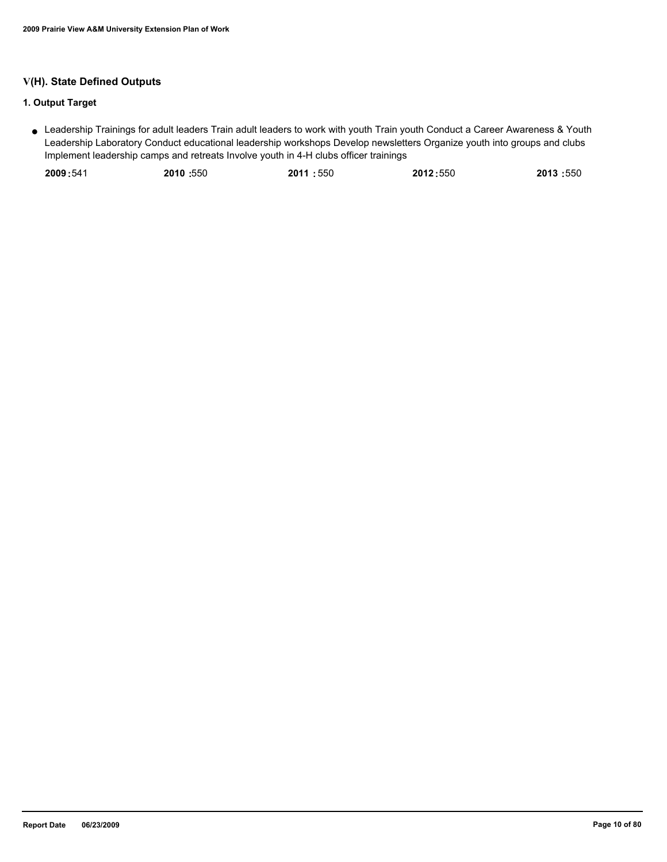## **V(H). State Defined Outputs**

## **1. Output Target**

Leadership Trainings for adult leaders Train adult leaders to work with youth Train youth Conduct a Career Awareness & Youth ● Leadership Laboratory Conduct educational leadership workshops Develop newsletters Organize youth into groups and clubs Implement leadership camps and retreats Involve youth in 4-H clubs officer trainings

| 2010:550<br>2011:550<br>2009:541<br>2012:550 | 2013:550 |
|----------------------------------------------|----------|
|----------------------------------------------|----------|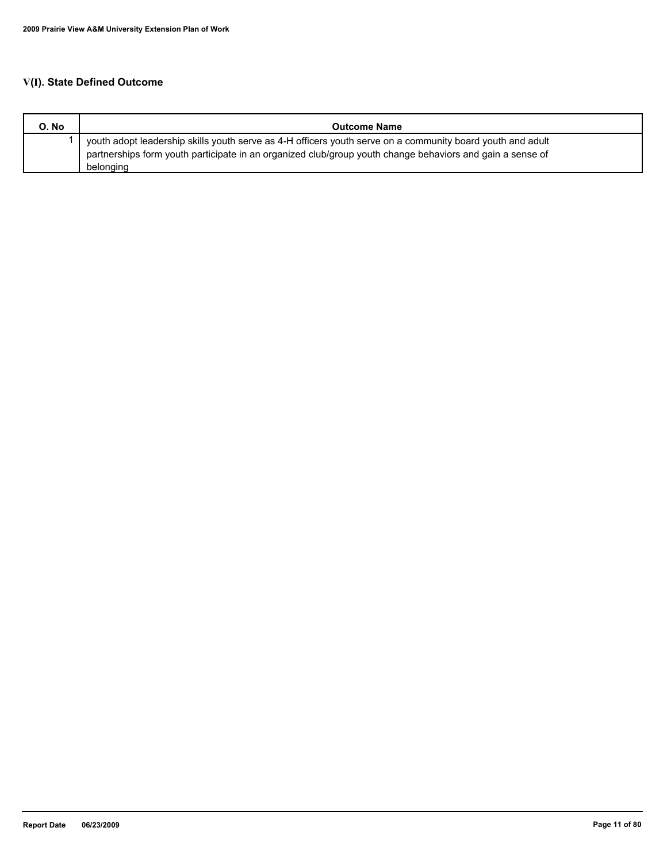## **V(I). State Defined Outcome**

| O. No | <b>Outcome Name</b>                                                                                                                                                                                                     |
|-------|-------------------------------------------------------------------------------------------------------------------------------------------------------------------------------------------------------------------------|
|       | youth adopt leadership skills youth serve as 4-H officers youth serve on a community board youth and adult<br>partnerships form youth participate in an organized club/group youth change behaviors and gain a sense of |
|       | belonging                                                                                                                                                                                                               |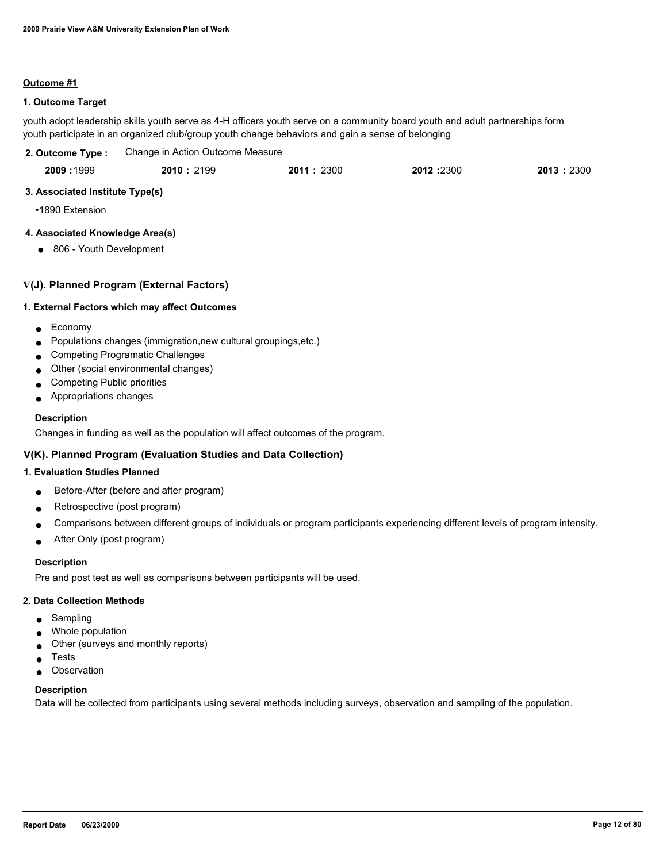#### **Outcome #1**

### **1. Outcome Target**

youth adopt leadership skills youth serve as 4-H officers youth serve on a community board youth and adult partnerships form youth participate in an organized club/group youth change behaviors and gain a sense of belonging

| 2. Outcome Type : | Change in Action Outcome Measure |           |           |           |
|-------------------|----------------------------------|-----------|-----------|-----------|
| 2009:1999         | 2010:2199                        | 2011:2300 | 2012:2300 | 2013:2300 |

### **3. Associated Institute Type(s)**

•1890 Extension

### **4. Associated Knowledge Area(s)**

● 806 - Youth Development

### **V(J). Planned Program (External Factors)**

#### **1. External Factors which may affect Outcomes**

- Economy
- Populations changes (immigration,new cultural groupings,etc.)
- Competing Programatic Challenges
- Other (social environmental changes)
- Competing Public priorities
- Appropriations changes

#### **Description**

Changes in funding as well as the population will affect outcomes of the program.

### **V(K). Planned Program (Evaluation Studies and Data Collection)**

### **1. Evaluation Studies Planned**

- Before-After (before and after program)
- Retrospective (post program)
- Comparisons between different groups of individuals or program participants experiencing different levels of program intensity.
- After Only (post program)

#### **Description**

Pre and post test as well as comparisons between participants will be used.

#### **2. Data Collection Methods**

- Sampling
- Whole population
- Other (surveys and monthly reports)
- **Tests**
- Observation

#### **Description**

Data will be collected from participants using several methods including surveys, observation and sampling of the population.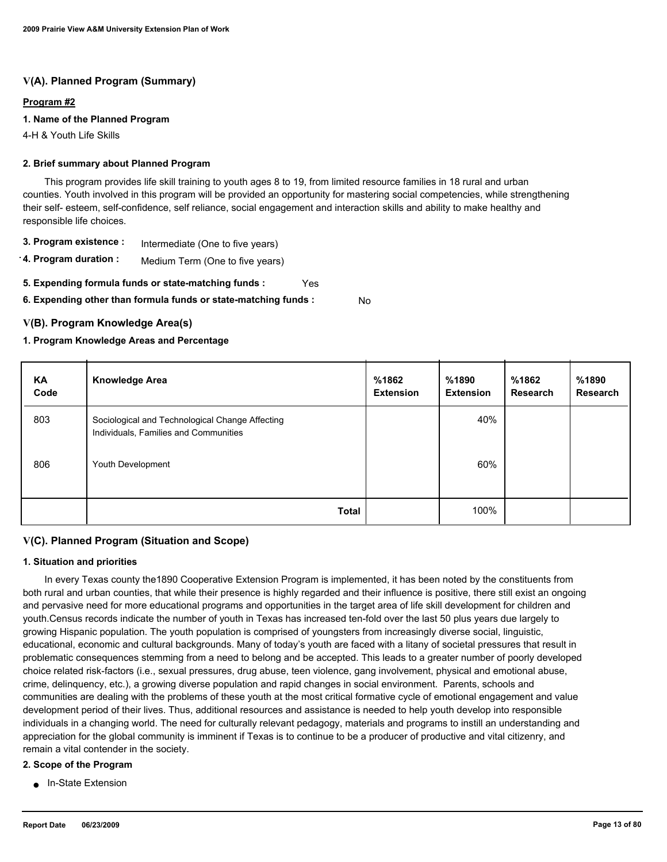## **V(A). Planned Program (Summary)**

#### **Program #2**

### **1. Name of the Planned Program**

4-H & Youth Life Skills

### **2. Brief summary about Planned Program**

 This program provides life skill training to youth ages 8 to 19, from limited resource families in 18 rural and urban counties. Youth involved in this program will be provided an opportunity for mastering social competencies, while strengthening their self- esteem, self-confidence, self reliance, social engagement and interaction skills and ability to make healthy and responsible life choices.

- **3. Program existence :** Intermediate (One to five years)
- **4. Program duration :** Medium Term (One to five years)
- **5. Expending formula funds or state-matching funds :** Yes

**6. Expending other than formula funds or state-matching funds :** No

### **V(B). Program Knowledge Area(s)**

### **1. Program Knowledge Areas and Percentage**

| ΚA<br>Code | <b>Knowledge Area</b>                                                                    | %1862<br><b>Extension</b> | %1890<br><b>Extension</b> | %1862<br><b>Research</b> | %1890<br>Research |
|------------|------------------------------------------------------------------------------------------|---------------------------|---------------------------|--------------------------|-------------------|
| 803        | Sociological and Technological Change Affecting<br>Individuals, Families and Communities |                           | 40%                       |                          |                   |
| 806        | Youth Development                                                                        |                           | 60%                       |                          |                   |
|            | <b>Total</b>                                                                             |                           | 100%                      |                          |                   |

### **V(C). Planned Program (Situation and Scope)**

#### **1. Situation and priorities**

 In every Texas county the1890 Cooperative Extension Program is implemented, it has been noted by the constituents from both rural and urban counties, that while their presence is highly regarded and their influence is positive, there still exist an ongoing and pervasive need for more educational programs and opportunities in the target area of life skill development for children and youth.Census records indicate the number of youth in Texas has increased ten-fold over the last 50 plus years due largely to growing Hispanic population. The youth population is comprised of youngsters from increasingly diverse social, linguistic, educational, economic and cultural backgrounds. Many of today's youth are faced with a litany of societal pressures that result in problematic consequences stemming from a need to belong and be accepted. This leads to a greater number of poorly developed choice related risk-factors (i.e., sexual pressures, drug abuse, teen violence, gang involvement, physical and emotional abuse, crime, delinquency, etc.), a growing diverse population and rapid changes in social environment. Parents, schools and communities are dealing with the problems of these youth at the most critical formative cycle of emotional engagement and value development period of their lives. Thus, additional resources and assistance is needed to help youth develop into responsible individuals in a changing world. The need for culturally relevant pedagogy, materials and programs to instill an understanding and appreciation for the global community is imminent if Texas is to continue to be a producer of productive and vital citizenry, and remain a vital contender in the society.

#### **2. Scope of the Program**

■ In-State Extension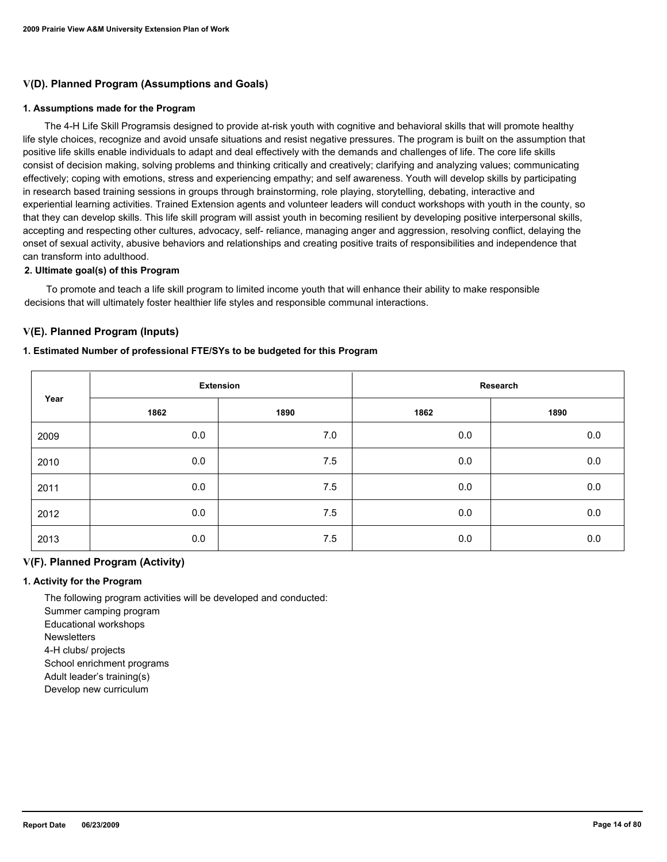### **V(D). Planned Program (Assumptions and Goals)**

#### **1. Assumptions made for the Program**

 The 4-H Life Skill Programsis designed to provide at-risk youth with cognitive and behavioral skills that will promote healthy life style choices, recognize and avoid unsafe situations and resist negative pressures. The program is built on the assumption that positive life skills enable individuals to adapt and deal effectively with the demands and challenges of life. The core life skills consist of decision making, solving problems and thinking critically and creatively; clarifying and analyzing values; communicating effectively; coping with emotions, stress and experiencing empathy; and self awareness. Youth will develop skills by participating in research based training sessions in groups through brainstorming, role playing, storytelling, debating, interactive and experiential learning activities. Trained Extension agents and volunteer leaders will conduct workshops with youth in the county, so that they can develop skills. This life skill program will assist youth in becoming resilient by developing positive interpersonal skills, accepting and respecting other cultures, advocacy, self- reliance, managing anger and aggression, resolving conflict, delaying the onset of sexual activity, abusive behaviors and relationships and creating positive traits of responsibilities and independence that can transform into adulthood.

#### **2. Ultimate goal(s) of this Program**

 To promote and teach a life skill program to limited income youth that will enhance their ability to make responsible decisions that will ultimately foster healthier life styles and responsible communal interactions.

### **V(E). Planned Program (Inputs)**

#### **1. Estimated Number of professional FTE/SYs to be budgeted for this Program**

|      | <b>Extension</b> |      |      | Research |
|------|------------------|------|------|----------|
| Year | 1862             | 1890 | 1862 | 1890     |
| 2009 | 0.0              | 7.0  | 0.0  | 0.0      |
| 2010 | 0.0              | 7.5  | 0.0  | $0.0\,$  |
| 2011 | 0.0              | 7.5  | 0.0  | $0.0\,$  |
| 2012 | 0.0              | 7.5  | 0.0  | 0.0      |
| 2013 | 0.0              | 7.5  | 0.0  | 0.0      |

### **V(F). Planned Program (Activity)**

#### **1. Activity for the Program**

 The following program activities will be developed and conducted: Summer camping program Educational workshops **Newsletters** 

4-H clubs/ projects

School enrichment programs

Adult leader's training(s)

Develop new curriculum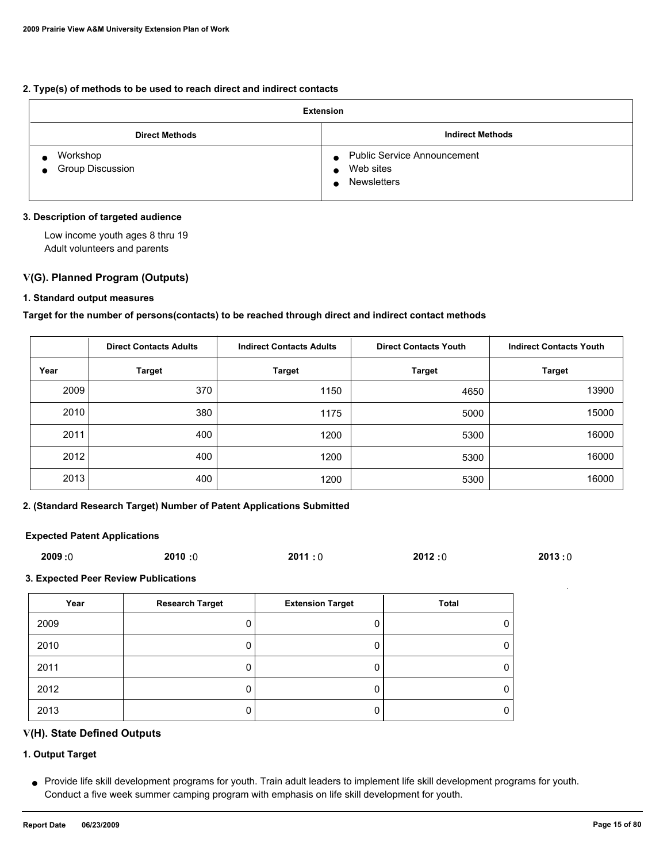#### **2. Type(s) of methods to be used to reach direct and indirect contacts**

| <b>Extension</b>                          |                                                                             |  |  |
|-------------------------------------------|-----------------------------------------------------------------------------|--|--|
| <b>Direct Methods</b>                     | <b>Indirect Methods</b>                                                     |  |  |
| Workshop<br>Group Discussion<br>$\bullet$ | <b>Public Service Announcement</b><br>$\bullet$<br>Web sites<br>Newsletters |  |  |

### **3. Description of targeted audience**

 Low income youth ages 8 thru 19 Adult volunteers and parents

### **V(G). Planned Program (Outputs)**

#### **1. Standard output measures**

#### **Target for the number of persons(contacts) to be reached through direct and indirect contact methods**

|      | <b>Direct Contacts Adults</b> | <b>Indirect Contacts Adults</b><br><b>Direct Contacts Youth</b> |               | <b>Indirect Contacts Youth</b> |
|------|-------------------------------|-----------------------------------------------------------------|---------------|--------------------------------|
| Year | <b>Target</b>                 | <b>Target</b>                                                   | <b>Target</b> | <b>Target</b>                  |
| 2009 | 370                           | 1150                                                            | 4650          | 13900                          |
| 2010 | 380                           | 1175                                                            | 5000          | 15000                          |
| 2011 | 400                           | 1200                                                            | 5300          | 16000                          |
| 2012 | 400                           | 1200                                                            | 5300          | 16000                          |
| 2013 | 400                           | 1200                                                            | 5300          | 16000                          |

#### **2. (Standard Research Target) Number of Patent Applications Submitted**

#### **Expected Patent Applications**

| 2009:0 | 2010:0 | 2011:0 | 2012:0 | 2013:0 |
|--------|--------|--------|--------|--------|
|        |        |        |        |        |

#### **3. Expected Peer Review Publications**

| Year | <b>Research Target</b> | <b>Extension Target</b> | Total |
|------|------------------------|-------------------------|-------|
| 2009 |                        |                         |       |
| 2010 |                        |                         |       |
| 2011 |                        |                         |       |
| 2012 |                        |                         |       |
| 2013 |                        |                         |       |

### **V(H). State Defined Outputs**

### **1. Output Target**

Provide life skill development programs for youth. Train adult leaders to implement life skill development programs for youth. ● Conduct a five week summer camping program with emphasis on life skill development for youth.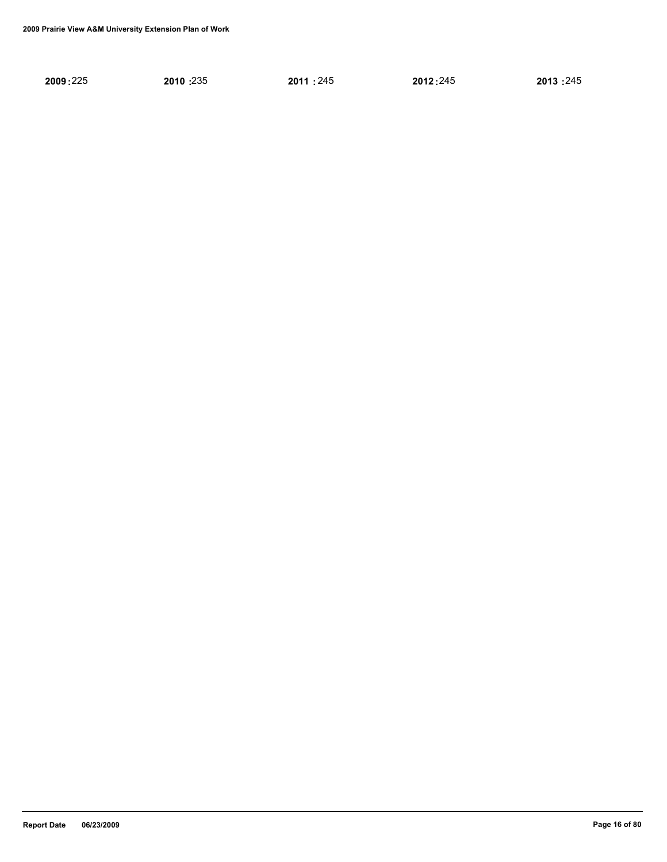| 2010:235<br>2009:225<br>2012:245<br>2011:245 | 2013:245 |
|----------------------------------------------|----------|
|----------------------------------------------|----------|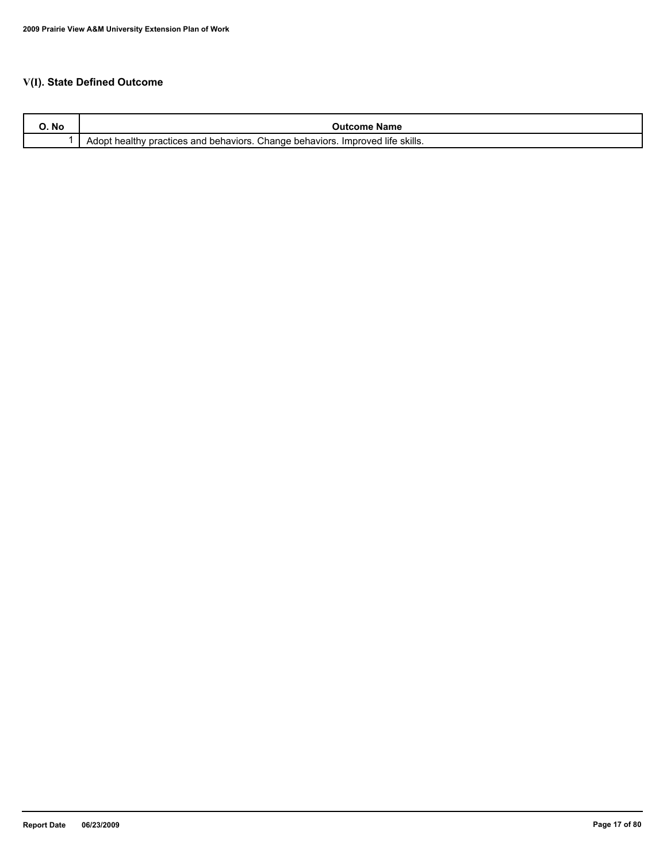## **V(I). State Defined Outcome**

| IVU | Name<br>- 1117                                                                                                                              |
|-----|---------------------------------------------------------------------------------------------------------------------------------------------|
|     | <sup>→</sup> skills.<br><br>Change<br>. life<br><sup>1</sup> behaviors.<br>behaviors.<br><i>I</i> mproved<br>actices and<br>Adopt<br>าeaitr |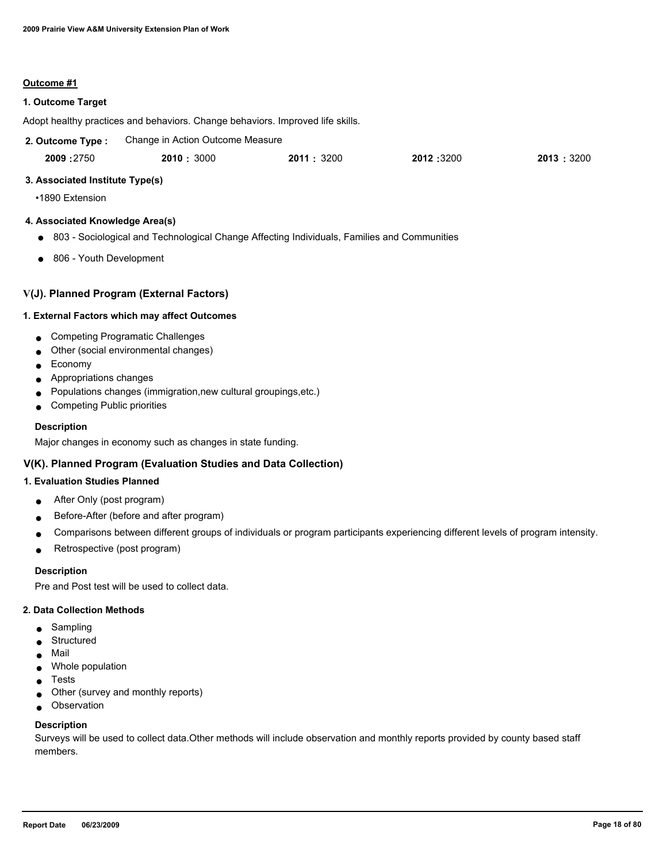#### **Outcome #1**

### **1. Outcome Target**

Adopt healthy practices and behaviors. Change behaviors. Improved life skills.

| 2. Outcome Type: | Change in Action Outcome Measure |  |
|------------------|----------------------------------|--|
|------------------|----------------------------------|--|

 2750 3000 3200 3200 3200  **2009 : 2010 : 2011 : 2012 : 2013 :**

#### **3. Associated Institute Type(s)**

•1890 Extension

#### **4. Associated Knowledge Area(s)**

- 803 Sociological and Technological Change Affecting Individuals, Families and Communities
- 806 Youth Development

### **V(J). Planned Program (External Factors)**

#### **1. External Factors which may affect Outcomes**

- Competing Programatic Challenges
- Other (social environmental changes)
- Economy
- Appropriations changes
- Populations changes (immigration,new cultural groupings,etc.)
- Competing Public priorities

#### **Description**

Major changes in economy such as changes in state funding.

## **V(K). Planned Program (Evaluation Studies and Data Collection)**

### **1. Evaluation Studies Planned**

- After Only (post program)
- Before-After (before and after program)
- Comparisons between different groups of individuals or program participants experiencing different levels of program intensity.
- Retrospective (post program)

#### **Description**

Pre and Post test will be used to collect data.

#### **2. Data Collection Methods**

- Sampling
- Structured
- Mail
- Whole population
- Tests
- Other (survey and monthly reports)
- Observation

#### **Description**

Surveys will be used to collect data.Other methods will include observation and monthly reports provided by county based staff members.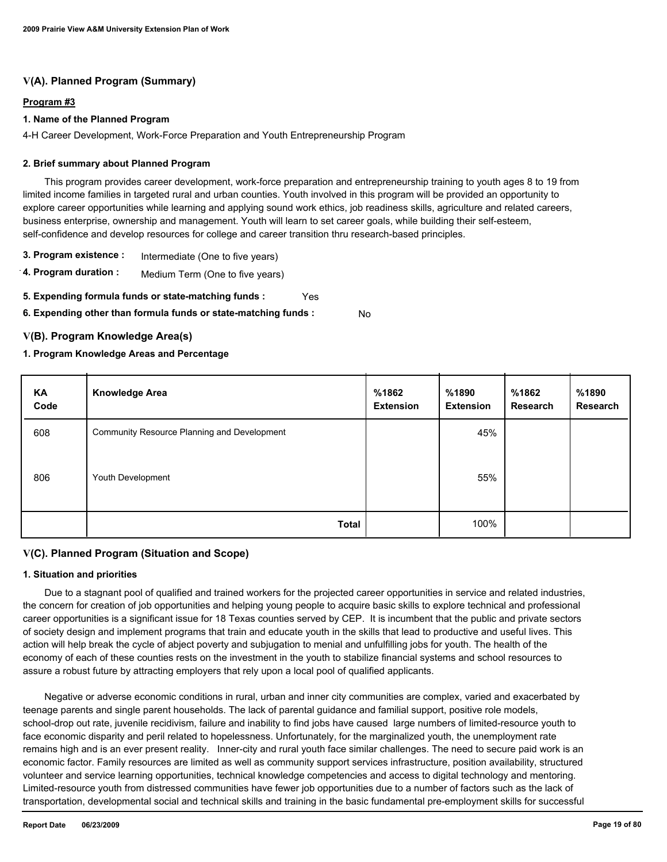## **V(A). Planned Program (Summary)**

### **Program #3**

### **1. Name of the Planned Program**

4-H Career Development, Work-Force Preparation and Youth Entrepreneurship Program

### **2. Brief summary about Planned Program**

 This program provides career development, work-force preparation and entrepreneurship training to youth ages 8 to 19 from limited income families in targeted rural and urban counties. Youth involved in this program will be provided an opportunity to explore career opportunities while learning and applying sound work ethics, job readiness skills, agriculture and related careers, business enterprise, ownership and management. Youth will learn to set career goals, while building their self-esteem, self-confidence and develop resources for college and career transition thru research-based principles.

- **3. Program existence :** Intermediate (One to five years)
- **4. Program duration :** Medium Term (One to five years)
- **5. Expending formula funds or state-matching funds :** Yes
- **6. Expending other than formula funds or state-matching funds :** No

### **V(B). Program Knowledge Area(s)**

### **1. Program Knowledge Areas and Percentage**

| KA<br>Code | <b>Knowledge Area</b>                       | %1862<br><b>Extension</b> | %1890<br><b>Extension</b> | %1862<br>Research | %1890<br>Research |
|------------|---------------------------------------------|---------------------------|---------------------------|-------------------|-------------------|
| 608        | Community Resource Planning and Development |                           | 45%                       |                   |                   |
| 806        | Youth Development                           |                           | 55%                       |                   |                   |
|            | Total                                       |                           | 100%                      |                   |                   |

## **V(C). Planned Program (Situation and Scope)**

### **1. Situation and priorities**

 Due to a stagnant pool of qualified and trained workers for the projected career opportunities in service and related industries, the concern for creation of job opportunities and helping young people to acquire basic skills to explore technical and professional career opportunities is a significant issue for 18 Texas counties served by CEP. It is incumbent that the public and private sectors of society design and implement programs that train and educate youth in the skills that lead to productive and useful lives. This action will help break the cycle of abject poverty and subjugation to menial and unfulfilling jobs for youth. The health of the economy of each of these counties rests on the investment in the youth to stabilize financial systems and school resources to assure a robust future by attracting employers that rely upon a local pool of qualified applicants.

 Negative or adverse economic conditions in rural, urban and inner city communities are complex, varied and exacerbated by teenage parents and single parent households. The lack of parental guidance and familial support, positive role models, school-drop out rate, juvenile recidivism, failure and inability to find jobs have caused large numbers of limited-resource youth to face economic disparity and peril related to hopelessness. Unfortunately, for the marginalized youth, the unemployment rate remains high and is an ever present reality. Inner-city and rural youth face similar challenges. The need to secure paid work is an economic factor. Family resources are limited as well as community support services infrastructure, position availability, structured volunteer and service learning opportunities, technical knowledge competencies and access to digital technology and mentoring. Limited-resource youth from distressed communities have fewer job opportunities due to a number of factors such as the lack of transportation, developmental social and technical skills and training in the basic fundamental pre-employment skills for successful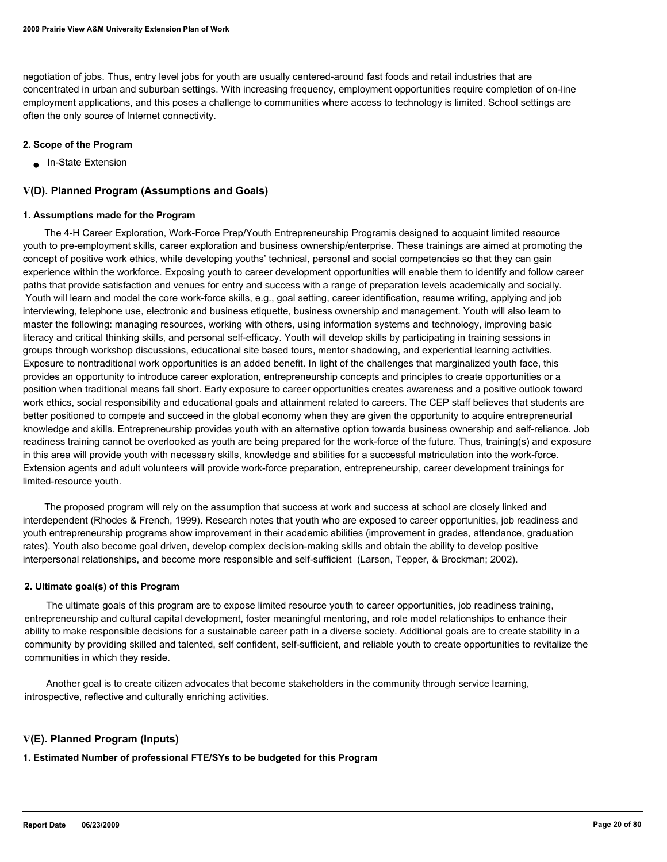negotiation of jobs. Thus, entry level jobs for youth are usually centered-around fast foods and retail industries that are concentrated in urban and suburban settings. With increasing frequency, employment opportunities require completion of on-line employment applications, and this poses a challenge to communities where access to technology is limited. School settings are often the only source of Internet connectivity.

### **2. Scope of the Program**

■ In-State Extension

### **V(D). Planned Program (Assumptions and Goals)**

#### **1. Assumptions made for the Program**

 The 4-H Career Exploration, Work-Force Prep/Youth Entrepreneurship Programis designed to acquaint limited resource youth to pre-employment skills, career exploration and business ownership/enterprise. These trainings are aimed at promoting the concept of positive work ethics, while developing youths' technical, personal and social competencies so that they can gain experience within the workforce. Exposing youth to career development opportunities will enable them to identify and follow career paths that provide satisfaction and venues for entry and success with a range of preparation levels academically and socially. Youth will learn and model the core work-force skills, e.g., goal setting, career identification, resume writing, applying and job interviewing, telephone use, electronic and business etiquette, business ownership and management. Youth will also learn to master the following: managing resources, working with others, using information systems and technology, improving basic literacy and critical thinking skills, and personal self-efficacy. Youth will develop skills by participating in training sessions in groups through workshop discussions, educational site based tours, mentor shadowing, and experiential learning activities. Exposure to nontraditional work opportunities is an added benefit. In light of the challenges that marginalized youth face, this provides an opportunity to introduce career exploration, entrepreneurship concepts and principles to create opportunities or a position when traditional means fall short. Early exposure to career opportunities creates awareness and a positive outlook toward work ethics, social responsibility and educational goals and attainment related to careers. The CEP staff believes that students are better positioned to compete and succeed in the global economy when they are given the opportunity to acquire entrepreneurial knowledge and skills. Entrepreneurship provides youth with an alternative option towards business ownership and self-reliance. Job readiness training cannot be overlooked as youth are being prepared for the work-force of the future. Thus, training(s) and exposure in this area will provide youth with necessary skills, knowledge and abilities for a successful matriculation into the work-force. Extension agents and adult volunteers will provide work-force preparation, entrepreneurship, career development trainings for limited-resource youth.

 The proposed program will rely on the assumption that success at work and success at school are closely linked and interdependent (Rhodes & French, 1999). Research notes that youth who are exposed to career opportunities, job readiness and youth entrepreneurship programs show improvement in their academic abilities (improvement in grades, attendance, graduation rates). Youth also become goal driven, develop complex decision-making skills and obtain the ability to develop positive interpersonal relationships, and become more responsible and self-sufficient (Larson, Tepper, & Brockman; 2002).

#### **2. Ultimate goal(s) of this Program**

 The ultimate goals of this program are to expose limited resource youth to career opportunities, job readiness training, entrepreneurship and cultural capital development, foster meaningful mentoring, and role model relationships to enhance their ability to make responsible decisions for a sustainable career path in a diverse society. Additional goals are to create stability in a community by providing skilled and talented, self confident, self-sufficient, and reliable youth to create opportunities to revitalize the communities in which they reside.

 Another goal is to create citizen advocates that become stakeholders in the community through service learning, introspective, reflective and culturally enriching activities.

### **V(E). Planned Program (Inputs)**

**1. Estimated Number of professional FTE/SYs to be budgeted for this Program**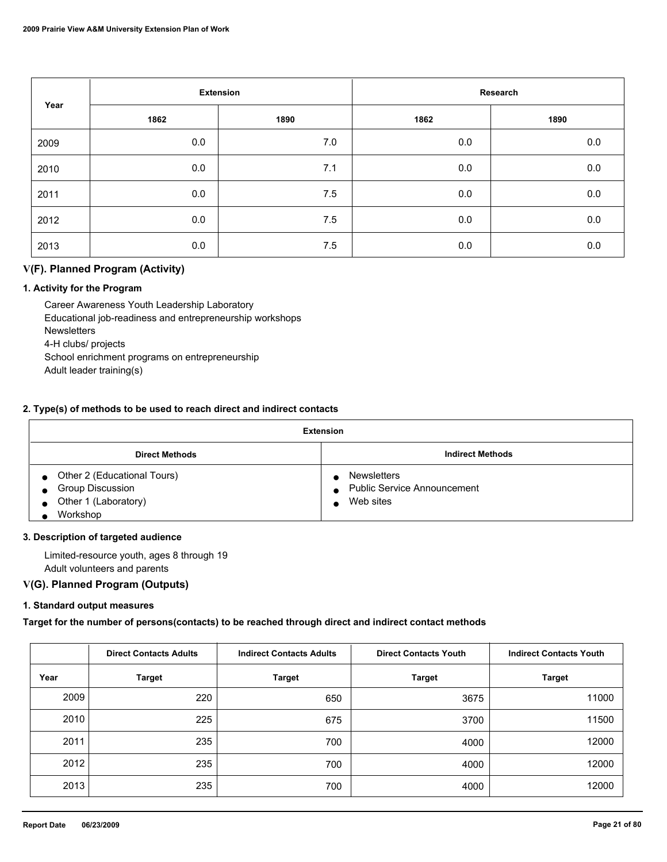|      | <b>Extension</b> |      |      | Research |
|------|------------------|------|------|----------|
| Year | 1862             | 1890 | 1862 | 1890     |
| 2009 | 0.0              | 7.0  | 0.0  | 0.0      |
| 2010 | 0.0              | 7.1  | 0.0  | $0.0\,$  |
| 2011 | 0.0              | 7.5  | 0.0  | $0.0\,$  |
| 2012 | 0.0              | 7.5  | 0.0  | 0.0      |
| 2013 | 0.0              | 7.5  | 0.0  | 0.0      |

## **V(F). Planned Program (Activity)**

### **1. Activity for the Program**

 Career Awareness Youth Leadership Laboratory Educational job-readiness and entrepreneurship workshops **Newsletters**  4-H clubs/ projects School enrichment programs on entrepreneurship Adult leader training(s)

#### **2. Type(s) of methods to be used to reach direct and indirect contacts**

| Extension                                                                                                   |                                                                                                 |  |  |
|-------------------------------------------------------------------------------------------------------------|-------------------------------------------------------------------------------------------------|--|--|
| <b>Direct Methods</b>                                                                                       | <b>Indirect Methods</b>                                                                         |  |  |
| • Other 2 (Educational Tours)<br><b>Group Discussion</b><br>$\bullet$<br>• Other 1 (Laboratory)<br>Workshop | <b>Newsletters</b><br><b>Public Service Announcement</b><br>$\bullet$<br>Web sites<br>$\bullet$ |  |  |

#### **3. Description of targeted audience**

 Limited-resource youth, ages 8 through 19 Adult volunteers and parents

## **V(G). Planned Program (Outputs)**

### **1. Standard output measures**

**Target for the number of persons(contacts) to be reached through direct and indirect contact methods**

|      | <b>Direct Contacts Adults</b> | <b>Indirect Contacts Adults</b> | <b>Direct Contacts Youth</b> | <b>Indirect Contacts Youth</b> |
|------|-------------------------------|---------------------------------|------------------------------|--------------------------------|
| Year | <b>Target</b>                 | <b>Target</b>                   | <b>Target</b>                | <b>Target</b>                  |
| 2009 | 220                           | 650                             | 3675                         | 11000                          |
| 2010 | 225                           | 675                             | 3700                         | 11500                          |
| 2011 | 235                           | 700                             | 4000                         | 12000                          |
| 2012 | 235                           | 700                             | 4000                         | 12000                          |
| 2013 | 235                           | 700                             | 4000                         | 12000                          |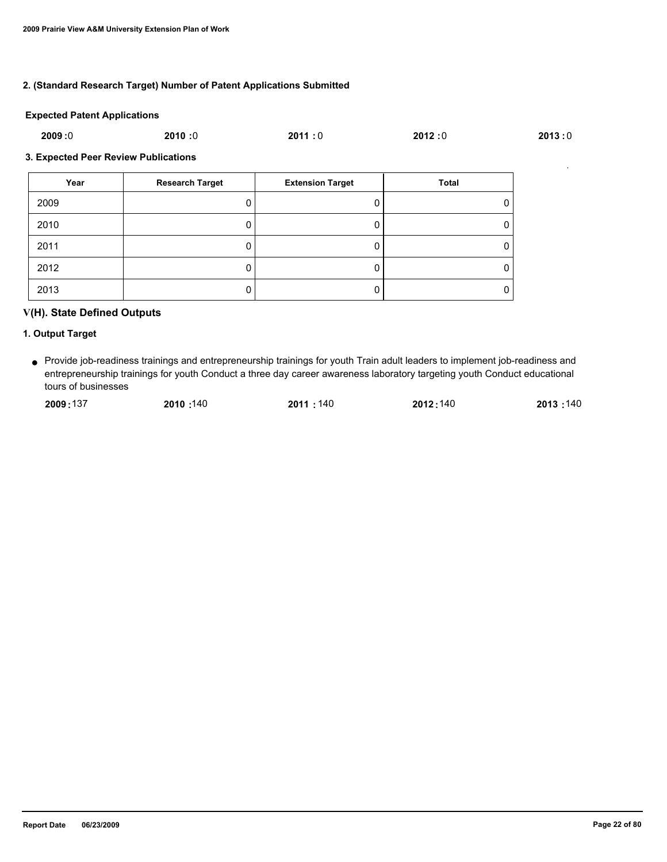### **2. (Standard Research Target) Number of Patent Applications Submitted**

#### **Expected Patent Applications**

| 2009:0<br>2011:0<br>2012:0 |
|----------------------------|
|----------------------------|

#### **3. Expected Peer Review Publications**

| Year | <b>Research Target</b> | <b>Extension Target</b> | Total |
|------|------------------------|-------------------------|-------|
| 2009 |                        |                         | 0     |
| 2010 |                        |                         | 0     |
| 2011 |                        |                         | 0     |
| 2012 |                        |                         | Ü     |
| 2013 |                        |                         | 0     |

## **V(H). State Defined Outputs**

### **1. Output Target**

Provide job-readiness trainings and entrepreneurship trainings for youth Train adult leaders to implement job-readiness and ● entrepreneurship trainings for youth Conduct a three day career awareness laboratory targeting youth Conduct educational tours of businesses

| 2009:137 | 2010:140 | 2011:140 | 2012:140 | 2013:140 |
|----------|----------|----------|----------|----------|
|          |          |          |          |          |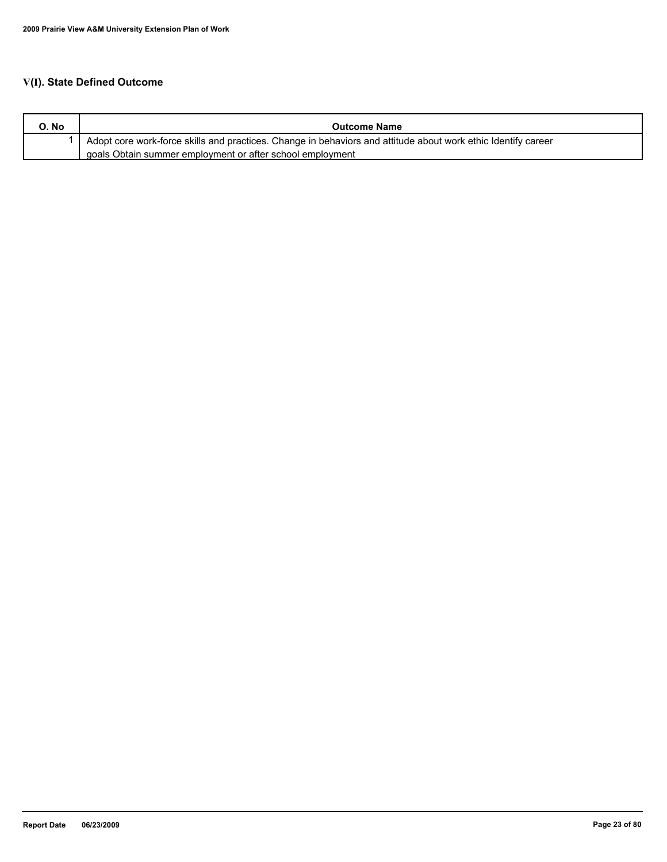## **V(I). State Defined Outcome**

| O. No | <b>Outcome Name</b>                                                                                           |
|-------|---------------------------------------------------------------------------------------------------------------|
|       | Adopt core work-force skills and practices. Change in behaviors and attitude about work ethic Identify career |
|       | goals Obtain summer employment or after school employment                                                     |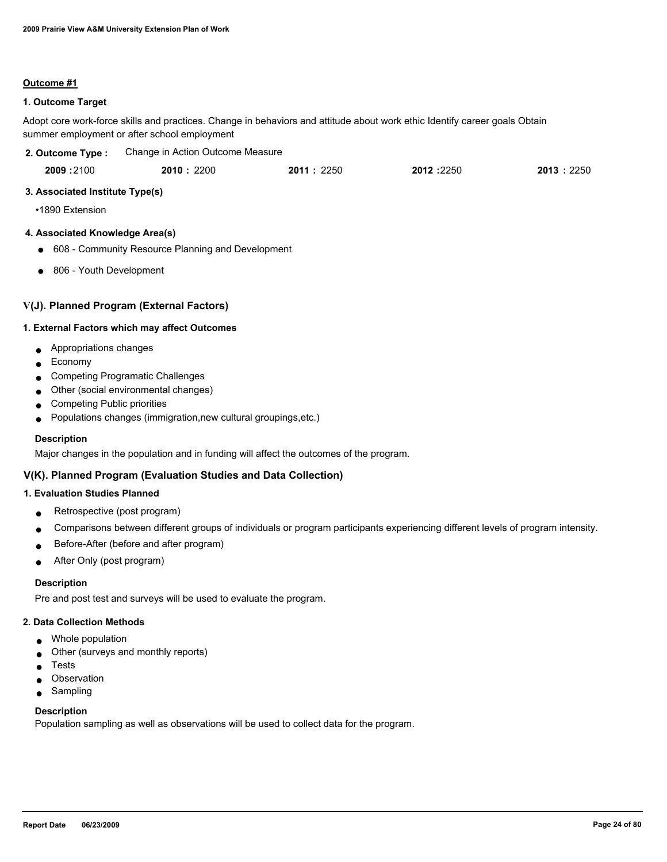#### **Outcome #1**

### **1. Outcome Target**

Adopt core work-force skills and practices. Change in behaviors and attitude about work ethic Identify career goals Obtain summer employment or after school employment

| 2. Outcome Type :               | Change in Action Outcome Measure |           |           |           |
|---------------------------------|----------------------------------|-----------|-----------|-----------|
| 2009:2100                       | <b>2010</b> : 2200               | 2011:2250 | 2012:2250 | 2013:2250 |
| 3. Associated Institute Type(s) |                                  |           |           |           |
| •1890 Extension                 |                                  |           |           |           |

#### **4. Associated Knowledge Area(s)**

- 608 Community Resource Planning and Development
- 806 Youth Development

### **V(J). Planned Program (External Factors)**

### **1. External Factors which may affect Outcomes**

- Appropriations changes
- Economy
- Competing Programatic Challenges
- Other (social environmental changes)
- Competing Public priorities
- Populations changes (immigration, new cultural groupings, etc.)

#### **Description**

Major changes in the population and in funding will affect the outcomes of the program.

### **V(K). Planned Program (Evaluation Studies and Data Collection)**

### **1. Evaluation Studies Planned**

- Retrospective (post program)
- Comparisons between different groups of individuals or program participants experiencing different levels of program intensity.
- Before-After (before and after program)
- After Only (post program)

#### **Description**

Pre and post test and surveys will be used to evaluate the program.

### **2. Data Collection Methods**

- Whole population
- Other (surveys and monthly reports)
- **Tests**
- Observation
- Sampling

### **Description**

Population sampling as well as observations will be used to collect data for the program.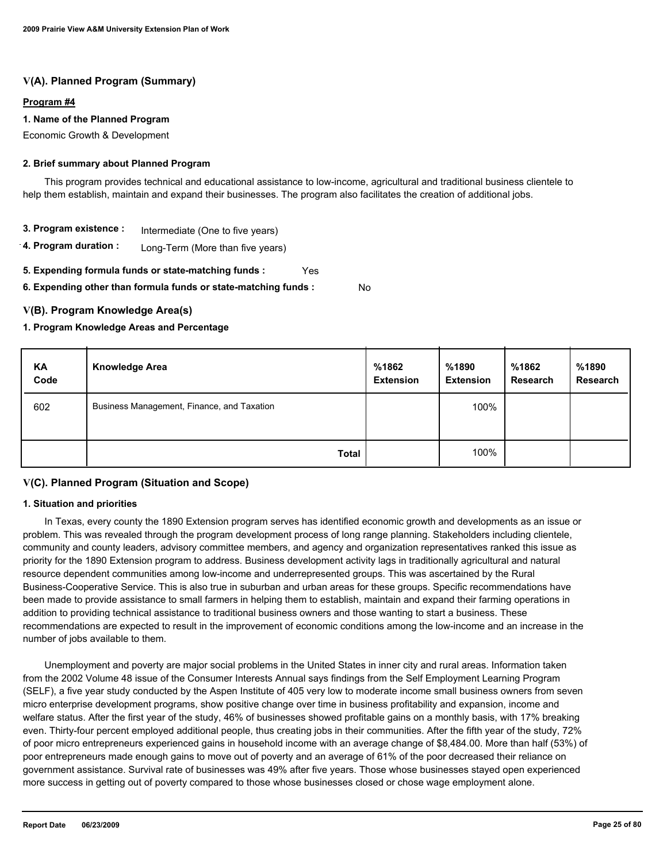## **V(A). Planned Program (Summary)**

### **Program #4**

#### **1. Name of the Planned Program**

Economic Growth & Development

### **2. Brief summary about Planned Program**

 This program provides technical and educational assistance to low-income, agricultural and traditional business clientele to help them establish, maintain and expand their businesses. The program also facilitates the creation of additional jobs.

- **3. Program existence :** Intermediate (One to five years)
- **4. Program duration :** Long-Term (More than five years)
- **5. Expending formula funds or state-matching funds :** Yes

**6. Expending other than formula funds or state-matching funds :**

### **V(B). Program Knowledge Area(s)**

### **1. Program Knowledge Areas and Percentage**

| KA<br>Code | <b>Knowledge Area</b>                      | %1862<br><b>Extension</b> | %1890<br><b>Extension</b> | %1862<br>Research | %1890<br><b>Research</b> |
|------------|--------------------------------------------|---------------------------|---------------------------|-------------------|--------------------------|
| 602        | Business Management, Finance, and Taxation |                           | 100%                      |                   |                          |
|            | <b>Total</b>                               |                           | 100%                      |                   |                          |

No

### **V(C). Planned Program (Situation and Scope)**

#### **1. Situation and priorities**

 In Texas, every county the 1890 Extension program serves has identified economic growth and developments as an issue or problem. This was revealed through the program development process of long range planning. Stakeholders including clientele, community and county leaders, advisory committee members, and agency and organization representatives ranked this issue as priority for the 1890 Extension program to address. Business development activity lags in traditionally agricultural and natural resource dependent communities among low-income and underrepresented groups. This was ascertained by the Rural Business-Cooperative Service. This is also true in suburban and urban areas for these groups. Specific recommendations have been made to provide assistance to small farmers in helping them to establish, maintain and expand their farming operations in addition to providing technical assistance to traditional business owners and those wanting to start a business. These recommendations are expected to result in the improvement of economic conditions among the low-income and an increase in the number of jobs available to them.

 Unemployment and poverty are major social problems in the United States in inner city and rural areas. Information taken from the 2002 Volume 48 issue of the Consumer Interests Annual says findings from the Self Employment Learning Program (SELF), a five year study conducted by the Aspen Institute of 405 very low to moderate income small business owners from seven micro enterprise development programs, show positive change over time in business profitability and expansion, income and welfare status. After the first year of the study, 46% of businesses showed profitable gains on a monthly basis, with 17% breaking even. Thirty-four percent employed additional people, thus creating jobs in their communities. After the fifth year of the study, 72% of poor micro entrepreneurs experienced gains in household income with an average change of \$8,484.00. More than half (53%) of poor entrepreneurs made enough gains to move out of poverty and an average of 61% of the poor decreased their reliance on government assistance. Survival rate of businesses was 49% after five years. Those whose businesses stayed open experienced more success in getting out of poverty compared to those whose businesses closed or chose wage employment alone.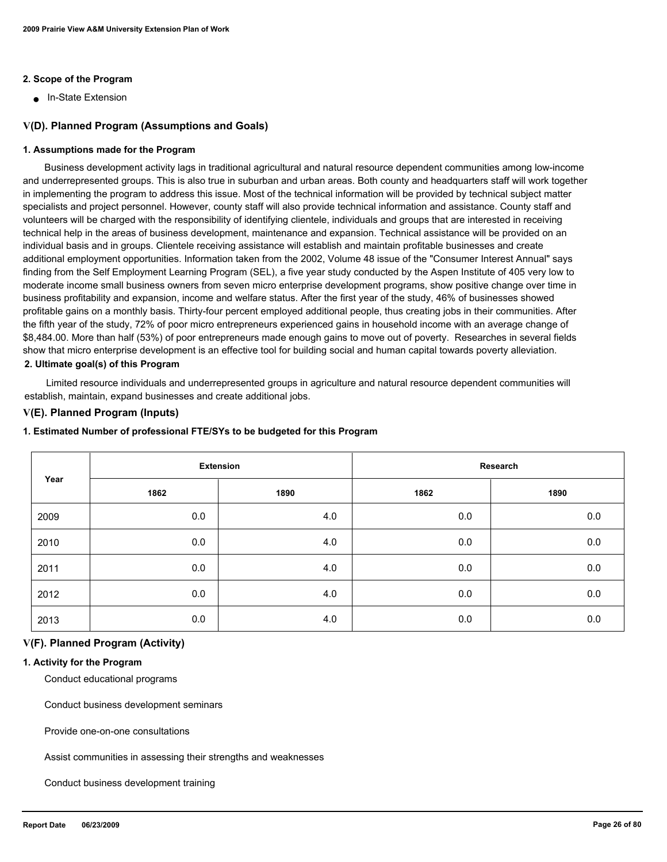#### **2. Scope of the Program**

■ In-State Extension

#### **V(D). Planned Program (Assumptions and Goals)**

#### **1. Assumptions made for the Program**

 Business development activity lags in traditional agricultural and natural resource dependent communities among low-income and underrepresented groups. This is also true in suburban and urban areas. Both county and headquarters staff will work together in implementing the program to address this issue. Most of the technical information will be provided by technical subject matter specialists and project personnel. However, county staff will also provide technical information and assistance. County staff and volunteers will be charged with the responsibility of identifying clientele, individuals and groups that are interested in receiving technical help in the areas of business development, maintenance and expansion. Technical assistance will be provided on an individual basis and in groups. Clientele receiving assistance will establish and maintain profitable businesses and create additional employment opportunities. Information taken from the 2002, Volume 48 issue of the "Consumer Interest Annual" says finding from the Self Employment Learning Program (SEL), a five year study conducted by the Aspen Institute of 405 very low to moderate income small business owners from seven micro enterprise development programs, show positive change over time in business profitability and expansion, income and welfare status. After the first year of the study, 46% of businesses showed profitable gains on a monthly basis. Thirty-four percent employed additional people, thus creating jobs in their communities. After the fifth year of the study, 72% of poor micro entrepreneurs experienced gains in household income with an average change of \$8,484.00. More than half (53%) of poor entrepreneurs made enough gains to move out of poverty. Researches in several fields show that micro enterprise development is an effective tool for building social and human capital towards poverty alleviation. **2. Ultimate goal(s) of this Program**

 Limited resource individuals and underrepresented groups in agriculture and natural resource dependent communities will establish, maintain, expand businesses and create additional jobs.

### **V(E). Planned Program (Inputs)**

#### **1. Estimated Number of professional FTE/SYs to be budgeted for this Program**

| Year | <b>Extension</b> |      | Research |         |
|------|------------------|------|----------|---------|
|      | 1862             | 1890 | 1862     | 1890    |
| 2009 | 0.0              | 4.0  | 0.0      | 0.0     |
| 2010 | 0.0              | 4.0  | 0.0      | 0.0     |
| 2011 | 0.0              | 4.0  | 0.0      | 0.0     |
| 2012 | 0.0              | 4.0  | 0.0      | 0.0     |
| 2013 | 0.0              | 4.0  | 0.0      | $0.0\,$ |

#### **V(F). Planned Program (Activity)**

#### **1. Activity for the Program**

Conduct educational programs

Conduct business development seminars

Provide one-on-one consultations

Assist communities in assessing their strengths and weaknesses

Conduct business development training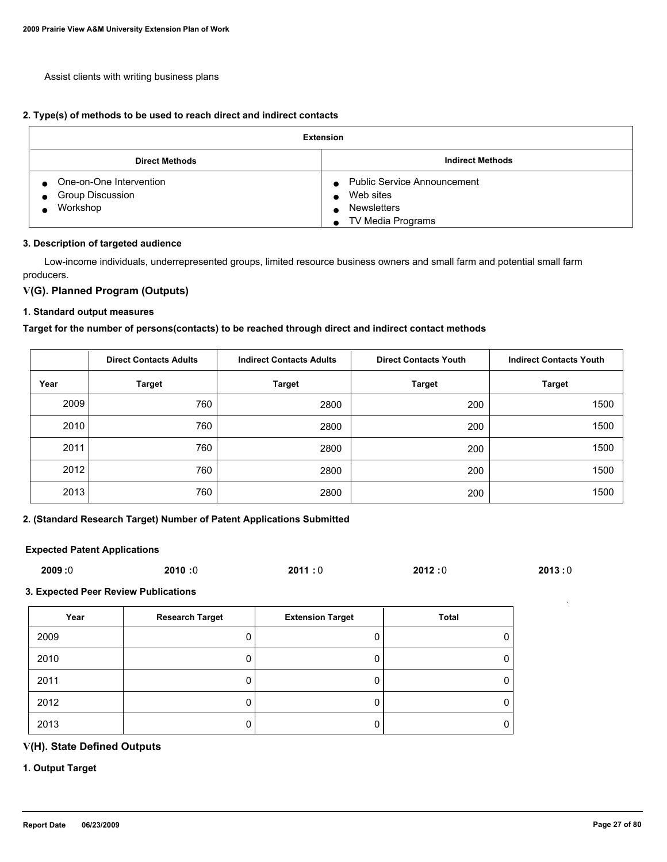Assist clients with writing business plans

#### **2. Type(s) of methods to be used to reach direct and indirect contacts**

| <b>Extension</b>                                                                         |                                                                                     |  |  |  |
|------------------------------------------------------------------------------------------|-------------------------------------------------------------------------------------|--|--|--|
| <b>Direct Methods</b>                                                                    | <b>Indirect Methods</b>                                                             |  |  |  |
| One-on-One Intervention<br>$\bullet$<br><b>Group Discussion</b><br>$\bullet$<br>Workshop | <b>Public Service Announcement</b><br>Web sites<br>Newsletters<br>TV Media Programs |  |  |  |

#### **3. Description of targeted audience**

 Low-income individuals, underrepresented groups, limited resource business owners and small farm and potential small farm producers.

### **V(G). Planned Program (Outputs)**

#### **1. Standard output measures**

### **Target for the number of persons(contacts) to be reached through direct and indirect contact methods**

|      | <b>Direct Contacts Adults</b> | <b>Indirect Contacts Adults</b> | <b>Direct Contacts Youth</b> | <b>Indirect Contacts Youth</b> |
|------|-------------------------------|---------------------------------|------------------------------|--------------------------------|
| Year | <b>Target</b>                 | <b>Target</b>                   | <b>Target</b>                | <b>Target</b>                  |
| 2009 | 760                           | 2800                            | 200                          | 1500                           |
| 2010 | 760                           | 2800                            | 200                          | 1500                           |
| 2011 | 760                           | 2800                            | 200                          | 1500                           |
| 2012 | 760                           | 2800                            | 200                          | 1500                           |
| 2013 | 760                           | 2800                            | 200                          | 1500                           |

### **2. (Standard Research Target) Number of Patent Applications Submitted**

#### **Expected Patent Applications**

| 2009:0 | 2010:0 | 2011:0 | 2012:0 | 2013:0 |
|--------|--------|--------|--------|--------|
|        |        |        |        |        |

**3. Expected Peer Review Publications**

| Year | <b>Research Target</b> | <b>Extension Target</b> | <b>Total</b> |
|------|------------------------|-------------------------|--------------|
| 2009 |                        |                         |              |
| 2010 |                        |                         | υ            |
| 2011 |                        |                         | 0            |
| 2012 |                        |                         | O            |
| 2013 |                        |                         | υ            |

## **V(H). State Defined Outputs**

### **1. Output Target**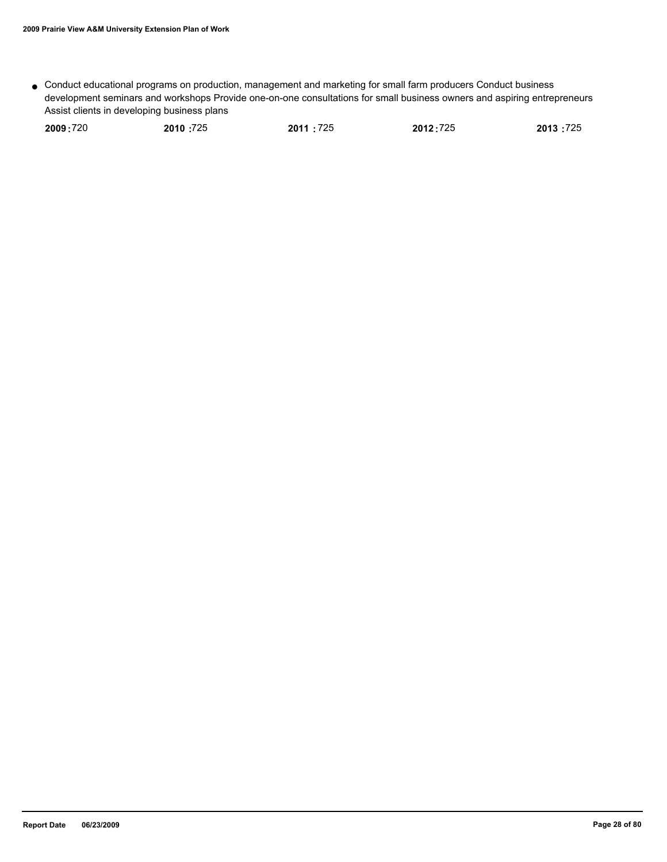Conduct educational programs on production, management and marketing for small farm producers Conduct business ● development seminars and workshops Provide one-on-one consultations for small business owners and aspiring entrepreneurs Assist clients in developing business plans

| 2009:720 | 2010:725 | 2011:725 | 2012:725 | 2013:725 |
|----------|----------|----------|----------|----------|
|          |          |          |          |          |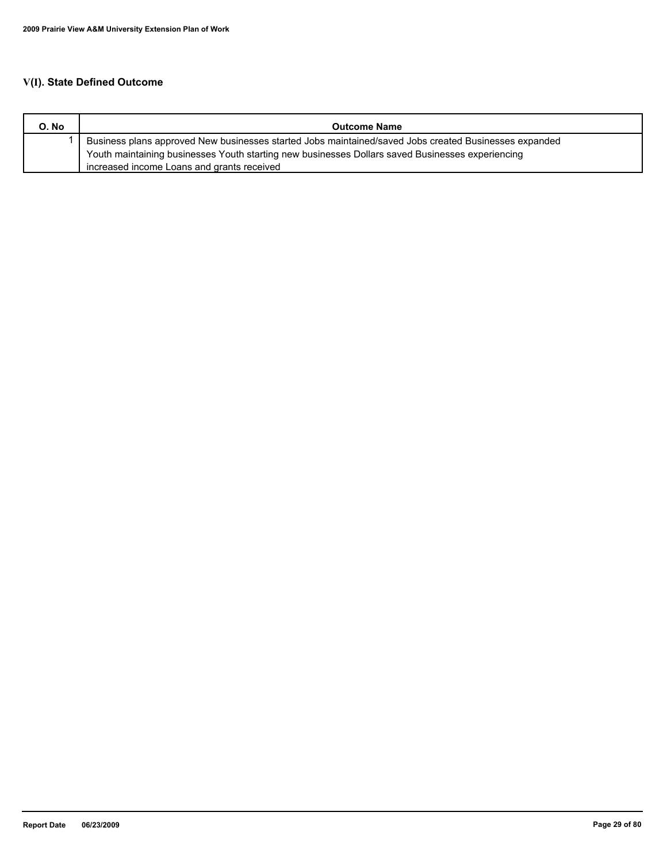## **V(I). State Defined Outcome**

| O. No | <b>Outcome Name</b>                                                                                   |
|-------|-------------------------------------------------------------------------------------------------------|
|       | Business plans approved New businesses started Jobs maintained/saved Jobs created Businesses expanded |
|       | Youth maintaining businesses Youth starting new businesses Dollars saved Businesses experiencing      |
|       | increased income Loans and grants received                                                            |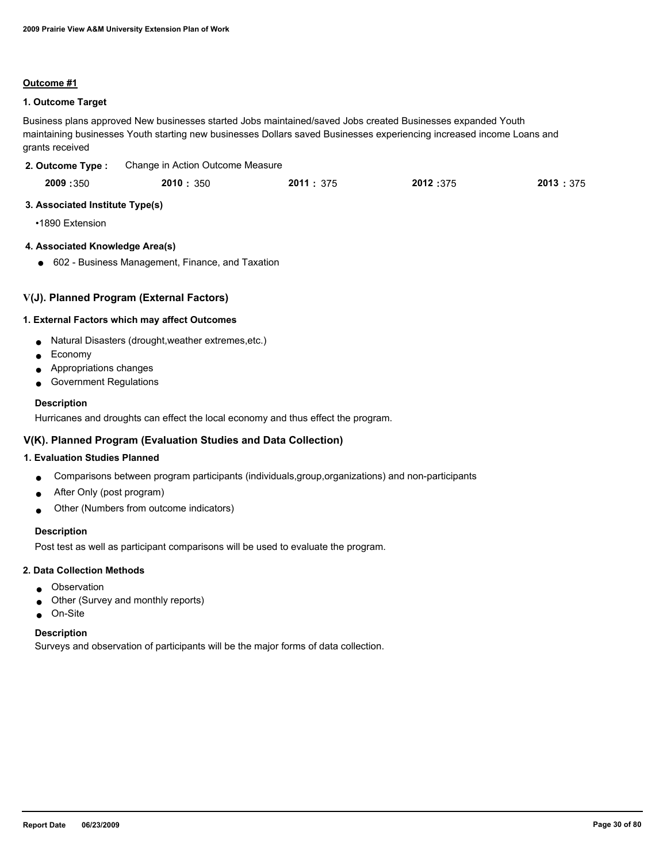#### **Outcome #1**

### **1. Outcome Target**

Business plans approved New businesses started Jobs maintained/saved Jobs created Businesses expanded Youth maintaining businesses Youth starting new businesses Dollars saved Businesses experiencing increased income Loans and grants received

| 2. Outcome Type: | Change in Action Outcome Measure |
|------------------|----------------------------------|
|                  |                                  |

| 2009:350 | 2010: 350 | 2011: 375 | 2012:375 | 2013 : 375 |
|----------|-----------|-----------|----------|------------|
|          |           |           |          |            |

### **3. Associated Institute Type(s)**

•1890 Extension

### **4. Associated Knowledge Area(s)**

● 602 - Business Management, Finance, and Taxation

## **V(J). Planned Program (External Factors)**

### **1. External Factors which may affect Outcomes**

- Natural Disasters (drought,weather extremes,etc.)
- **Economy**
- Appropriations changes
- Government Regulations

### **Description**

Hurricanes and droughts can effect the local economy and thus effect the program.

### **V(K). Planned Program (Evaluation Studies and Data Collection)**

### **1. Evaluation Studies Planned**

- Comparisons between program participants (individuals,group,organizations) and non-participants
- After Only (post program)
- Other (Numbers from outcome indicators)

#### **Description**

Post test as well as participant comparisons will be used to evaluate the program.

#### **2. Data Collection Methods**

- Observation
- Other (Survey and monthly reports)
- On-Site

#### **Description**

Surveys and observation of participants will be the major forms of data collection.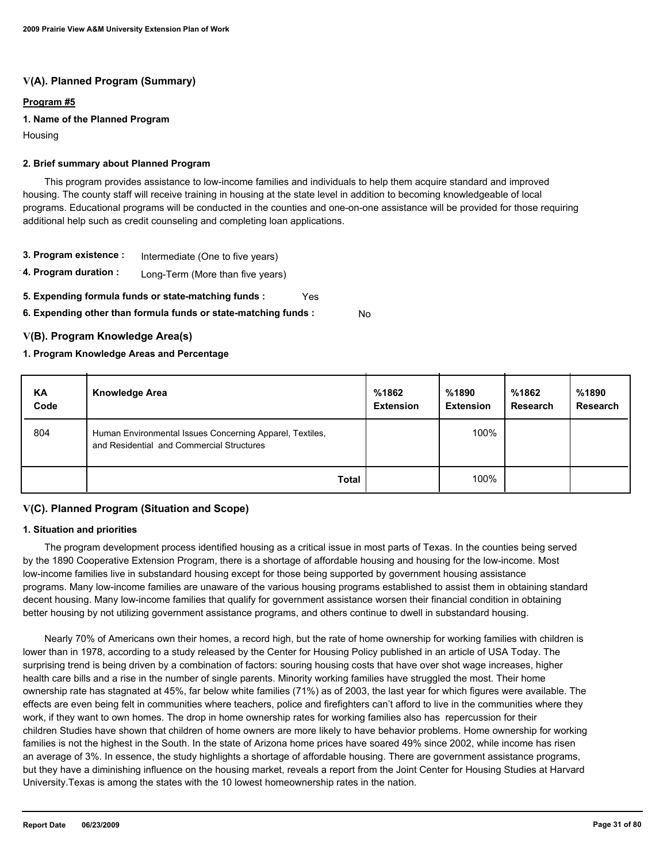## **V(A). Planned Program (Summary)**

### **Program #5**

### **1. Name of the Planned Program**

Housing

### **2. Brief summary about Planned Program**

 This program provides assistance to low-income families and individuals to help them acquire standard and improved housing. The county staff will receive training in housing at the state level in addition to becoming knowledgeable of local programs. Educational programs will be conducted in the counties and one-on-one assistance will be provided for those requiring additional help such as credit counseling and completing loan applications.

- **3. Program existence :** Intermediate (One to five years)
- **4. Program duration :** Long-Term (More than five years)
- **5. Expending formula funds or state-matching funds :** Yes
- **6. Expending other than formula funds or state-matching funds :** No

### **V(B). Program Knowledge Area(s)**

### **1. Program Knowledge Areas and Percentage**

| KA<br>Code | <b>Knowledge Area</b>                                                                                 | %1862<br><b>Extension</b> | %1890<br><b>Extension</b> | %1862<br><b>Research</b> | %1890<br><b>Research</b> |
|------------|-------------------------------------------------------------------------------------------------------|---------------------------|---------------------------|--------------------------|--------------------------|
| 804        | Human Environmental Issues Concerning Apparel, Textiles,<br>and Residential and Commercial Structures |                           | 100%                      |                          |                          |
|            | <b>Total</b>                                                                                          |                           | 100%                      |                          |                          |

### **V(C). Planned Program (Situation and Scope)**

#### **1. Situation and priorities**

 The program development process identified housing as a critical issue in most parts of Texas. In the counties being served by the 1890 Cooperative Extension Program, there is a shortage of affordable housing and housing for the low-income. Most low-income families live in substandard housing except for those being supported by government housing assistance programs. Many low-income families are unaware of the various housing programs established to assist them in obtaining standard decent housing. Many low-income families that qualify for government assistance worsen their financial condition in obtaining better housing by not utilizing government assistance programs, and others continue to dwell in substandard housing.

 Nearly 70% of Americans own their homes, a record high, but the rate of home ownership for working families with children is lower than in 1978, according to a study released by the Center for Housing Policy published in an article of USA Today. The surprising trend is being driven by a combination of factors: souring housing costs that have over shot wage increases, higher health care bills and a rise in the number of single parents. Minority working families have struggled the most. Their home ownership rate has stagnated at 45%, far below white families (71%) as of 2003, the last year for which figures were available. The effects are even being felt in communities where teachers, police and firefighters can't afford to live in the communities where they work, if they want to own homes. The drop in home ownership rates for working families also has repercussion for their children Studies have shown that children of home owners are more likely to have behavior problems. Home ownership for working families is not the highest in the South. In the state of Arizona home prices have soared 49% since 2002, while income has risen an average of 3%. In essence, the study highlights a shortage of affordable housing. There are government assistance programs, but they have a diminishing influence on the housing market, reveals a report from the Joint Center for Housing Studies at Harvard University.Texas is among the states with the 10 lowest homeownership rates in the nation.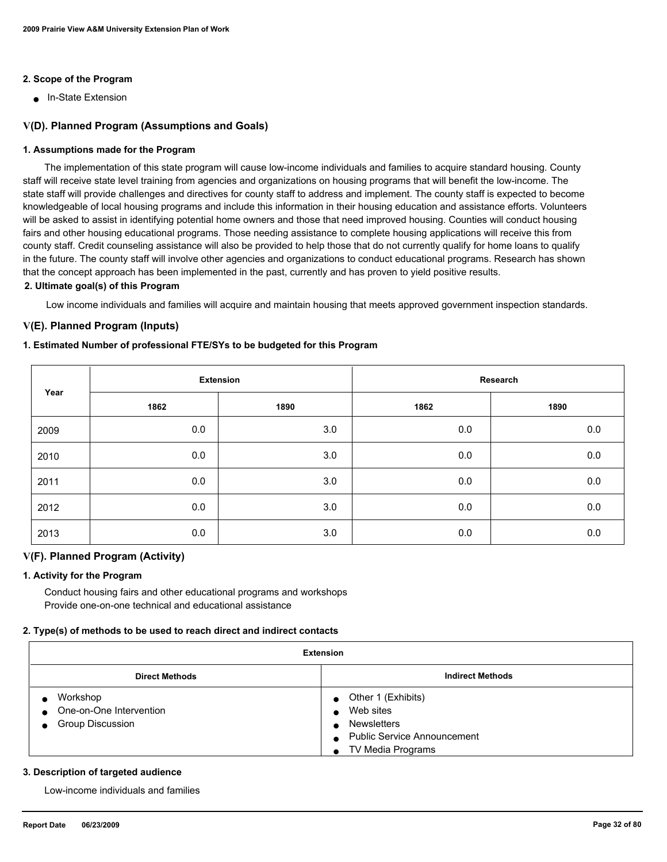### **2. Scope of the Program**

■ In-State Extension

### **V(D). Planned Program (Assumptions and Goals)**

### **1. Assumptions made for the Program**

 The implementation of this state program will cause low-income individuals and families to acquire standard housing. County staff will receive state level training from agencies and organizations on housing programs that will benefit the low-income. The state staff will provide challenges and directives for county staff to address and implement. The county staff is expected to become knowledgeable of local housing programs and include this information in their housing education and assistance efforts. Volunteers will be asked to assist in identifying potential home owners and those that need improved housing. Counties will conduct housing fairs and other housing educational programs. Those needing assistance to complete housing applications will receive this from county staff. Credit counseling assistance will also be provided to help those that do not currently qualify for home loans to qualify in the future. The county staff will involve other agencies and organizations to conduct educational programs. Research has shown that the concept approach has been implemented in the past, currently and has proven to yield positive results.

### **2. Ultimate goal(s) of this Program**

Low income individuals and families will acquire and maintain housing that meets approved government inspection standards.

### **V(E). Planned Program (Inputs)**

#### **1. Estimated Number of professional FTE/SYs to be budgeted for this Program**

| Year | <b>Extension</b> |      | Research |         |
|------|------------------|------|----------|---------|
|      | 1862             | 1890 | 1862     | 1890    |
| 2009 | 0.0              | 3.0  | 0.0      | 0.0     |
| 2010 | 0.0              | 3.0  | 0.0      | $0.0\,$ |
| 2011 | 0.0              | 3.0  | 0.0      | $0.0\,$ |
| 2012 | 0.0              | 3.0  | 0.0      | 0.0     |
| 2013 | 0.0              | 3.0  | 0.0      | 0.0     |

### **V(F). Planned Program (Activity)**

#### **1. Activity for the Program**

 Conduct housing fairs and other educational programs and workshops Provide one-on-one technical and educational assistance

#### **2. Type(s) of methods to be used to reach direct and indirect contacts**

| <b>Extension</b>                                                            |                                                                                                                                                      |  |  |
|-----------------------------------------------------------------------------|------------------------------------------------------------------------------------------------------------------------------------------------------|--|--|
| <b>Indirect Methods</b><br><b>Direct Methods</b>                            |                                                                                                                                                      |  |  |
| Workshop<br>One-on-One Intervention<br>$\bullet$<br><b>Group Discussion</b> | • Other 1 (Exhibits)<br>Web sites<br>$\bullet$<br><b>Newsletters</b><br>$\bullet$<br>• Public Service Announcement<br>TV Media Programs<br>$\bullet$ |  |  |

#### **3. Description of targeted audience**

Low-income individuals and families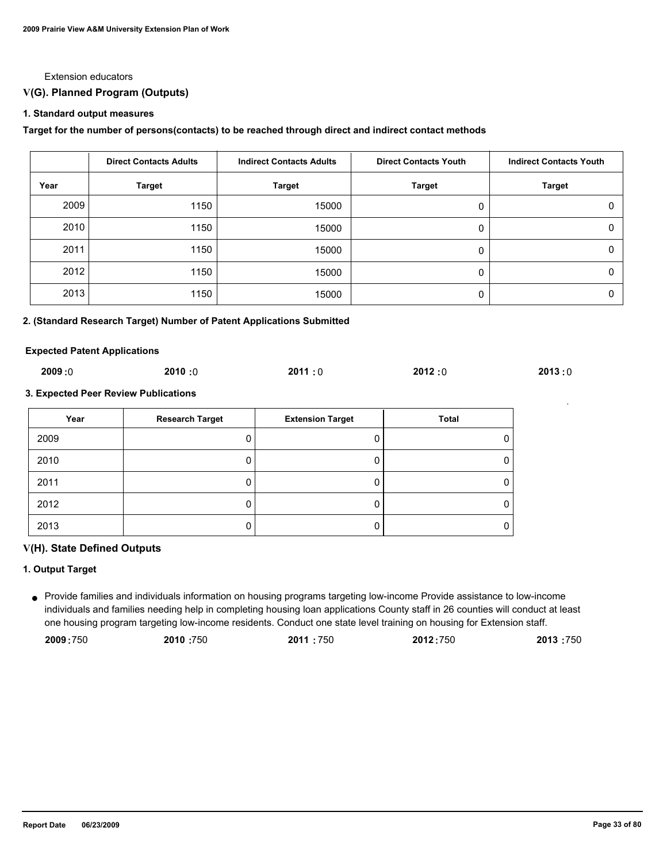#### Extension educators

### **V(G). Planned Program (Outputs)**

#### **1. Standard output measures**

#### **Target for the number of persons(contacts) to be reached through direct and indirect contact methods**

|      | <b>Direct Contacts Adults</b> | <b>Indirect Contacts Adults</b> | <b>Direct Contacts Youth</b> | <b>Indirect Contacts Youth</b> |
|------|-------------------------------|---------------------------------|------------------------------|--------------------------------|
| Year | <b>Target</b>                 | <b>Target</b>                   | <b>Target</b>                | <b>Target</b>                  |
| 2009 | 1150                          | 15000                           | 0                            | 0                              |
| 2010 | 1150                          | 15000                           | 0                            | 0                              |
| 2011 | 1150                          | 15000                           | 0                            | 0                              |
| 2012 | 1150                          | 15000                           | 0                            | $\Omega$                       |
| 2013 | 1150                          | 15000                           | 0                            | 0                              |

#### **2. (Standard Research Target) Number of Patent Applications Submitted**

#### **Expected Patent Applications**

| 2009:0<br>2012:0<br>2010:0<br>2011:0<br>2013:0 |
|------------------------------------------------|
|------------------------------------------------|

#### **3. Expected Peer Review Publications**

| Year | <b>Research Target</b> | <b>Extension Target</b> | Total |
|------|------------------------|-------------------------|-------|
| 2009 |                        |                         |       |
| 2010 |                        |                         |       |
| 2011 |                        |                         |       |
| 2012 |                        |                         |       |
| 2013 |                        |                         |       |

#### **V(H). State Defined Outputs**

### **1. Output Target**

Provide families and individuals information on housing programs targeting low-income Provide assistance to low-income ● individuals and families needing help in completing housing loan applications County staff in 26 counties will conduct at least one housing program targeting low-income residents. Conduct one state level training on housing for Extension staff.

| 2009:750 | 2010:750 | 2011:750 | 2012:750 | 2013 :750 |
|----------|----------|----------|----------|-----------|
|----------|----------|----------|----------|-----------|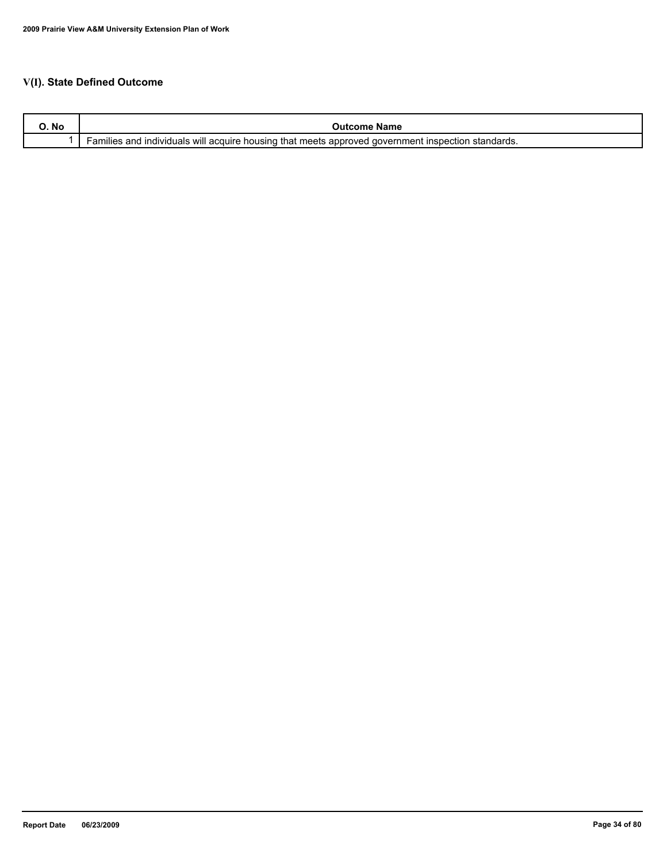## **V(I). State Defined Outcome**

| O. No | name<br>:ome                                                                                                                                            |
|-------|---------------------------------------------------------------------------------------------------------------------------------------------------------|
|       | ⊧that meets<br>individuals will acquire<br>, housino<br>approved<br>$\sim$<br>and<br>aovernment<br><b>INS</b><br>າເແes<br>standards.<br>าspection<br>aı |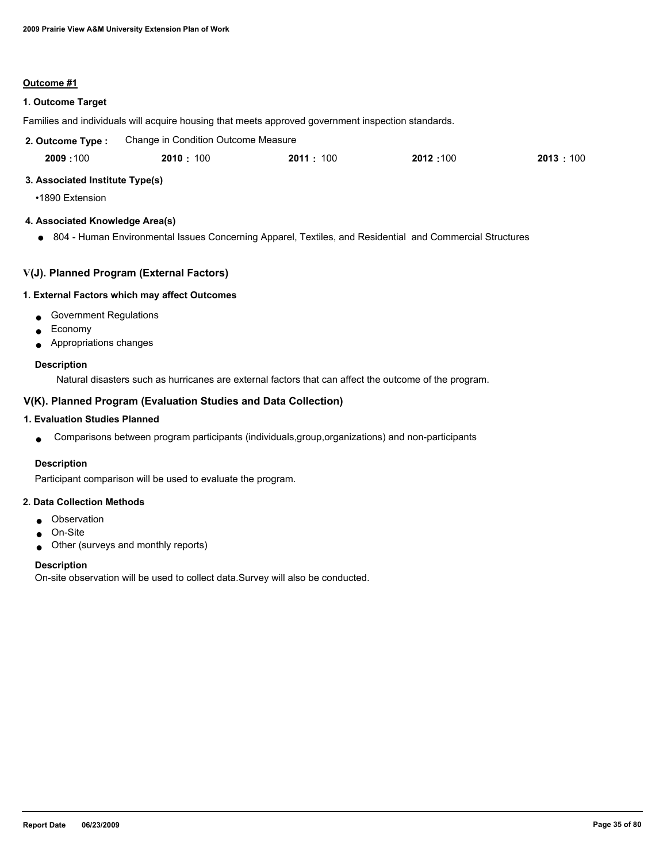#### **Outcome #1**

### **1. Outcome Target**

Families and individuals will acquire housing that meets approved government inspection standards.

| 2. Outcome Type: | Change in Condition Outcome Measure |          |          |            |
|------------------|-------------------------------------|----------|----------|------------|
| 2009:100         | 2010 : 100                          | 2011:100 | 2012:100 | 2013 : 100 |

### **3. Associated Institute Type(s)**

•1890 Extension

### **4. Associated Knowledge Area(s)**

● 804 - Human Environmental Issues Concerning Apparel, Textiles, and Residential and Commercial Structures

### **V(J). Planned Program (External Factors)**

#### **1. External Factors which may affect Outcomes**

- Government Regulations
- Economy
- Appropriations changes

#### **Description**

Natural disasters such as hurricanes are external factors that can affect the outcome of the program.

### **V(K). Planned Program (Evaluation Studies and Data Collection)**

### **1. Evaluation Studies Planned**

● Comparisons between program participants (individuals,group,organizations) and non-participants

#### **Description**

Participant comparison will be used to evaluate the program.

### **2. Data Collection Methods**

- Observation
- On-Site
- Other (surveys and monthly reports)

#### **Description**

On-site observation will be used to collect data.Survey will also be conducted.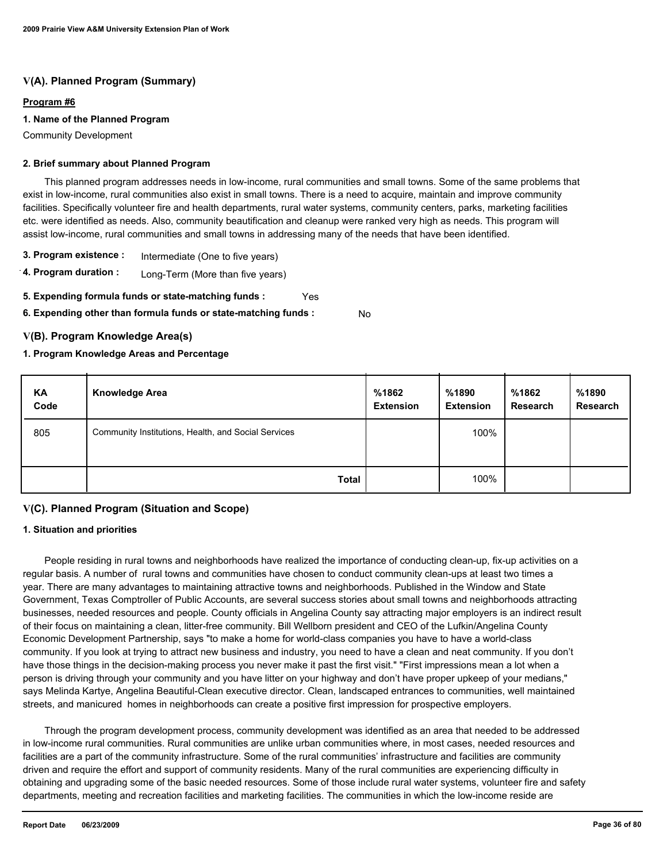## **V(A). Planned Program (Summary)**

### **Program #6**

### **1. Name of the Planned Program**

Community Development

#### **2. Brief summary about Planned Program**

 This planned program addresses needs in low-income, rural communities and small towns. Some of the same problems that exist in low-income, rural communities also exist in small towns. There is a need to acquire, maintain and improve community facilities. Specifically volunteer fire and health departments, rural water systems, community centers, parks, marketing facilities etc. were identified as needs. Also, community beautification and cleanup were ranked very high as needs. This program will assist low-income, rural communities and small towns in addressing many of the needs that have been identified.

- **3. Program existence :** Intermediate (One to five years)
- **4. Program duration :** Long-Term (More than five years)
- **5. Expending formula funds or state-matching funds :** Yes
- **6. Expending other than formula funds or state-matching funds :** No

### **V(B). Program Knowledge Area(s)**

### **1. Program Knowledge Areas and Percentage**

| ΚA<br>Code | <b>Knowledge Area</b>                               | %1862<br><b>Extension</b> | %1890<br><b>Extension</b> | %1862<br><b>Research</b> | %1890<br><b>Research</b> |
|------------|-----------------------------------------------------|---------------------------|---------------------------|--------------------------|--------------------------|
| 805        | Community Institutions, Health, and Social Services |                           | 100%                      |                          |                          |
|            | <b>Total</b>                                        |                           | 100%                      |                          |                          |

### **V(C). Planned Program (Situation and Scope)**

#### **1. Situation and priorities**

 People residing in rural towns and neighborhoods have realized the importance of conducting clean-up, fix-up activities on a regular basis. A number of rural towns and communities have chosen to conduct community clean-ups at least two times a year. There are many advantages to maintaining attractive towns and neighborhoods. Published in the Window and State Government, Texas Comptroller of Public Accounts, are several success stories about small towns and neighborhoods attracting businesses, needed resources and people. County officials in Angelina County say attracting major employers is an indirect result of their focus on maintaining a clean, litter-free community. Bill Wellborn president and CEO of the Lufkin/Angelina County Economic Development Partnership, says "to make a home for world-class companies you have to have a world-class community. If you look at trying to attract new business and industry, you need to have a clean and neat community. If you don't have those things in the decision-making process you never make it past the first visit." "First impressions mean a lot when a person is driving through your community and you have litter on your highway and don't have proper upkeep of your medians," says Melinda Kartye, Angelina Beautiful-Clean executive director. Clean, landscaped entrances to communities, well maintained streets, and manicured homes in neighborhoods can create a positive first impression for prospective employers.

 Through the program development process, community development was identified as an area that needed to be addressed in low-income rural communities. Rural communities are unlike urban communities where, in most cases, needed resources and facilities are a part of the community infrastructure. Some of the rural communities' infrastructure and facilities are community driven and require the effort and support of community residents. Many of the rural communities are experiencing difficulty in obtaining and upgrading some of the basic needed resources. Some of those include rural water systems, volunteer fire and safety departments, meeting and recreation facilities and marketing facilities. The communities in which the low-income reside are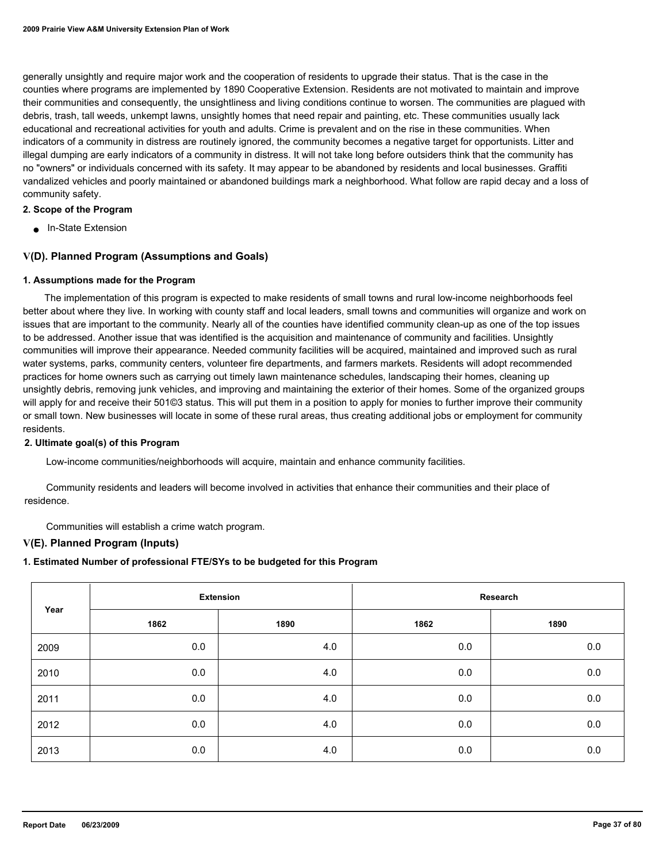generally unsightly and require major work and the cooperation of residents to upgrade their status. That is the case in the counties where programs are implemented by 1890 Cooperative Extension. Residents are not motivated to maintain and improve their communities and consequently, the unsightliness and living conditions continue to worsen. The communities are plagued with debris, trash, tall weeds, unkempt lawns, unsightly homes that need repair and painting, etc. These communities usually lack educational and recreational activities for youth and adults. Crime is prevalent and on the rise in these communities. When indicators of a community in distress are routinely ignored, the community becomes a negative target for opportunists. Litter and illegal dumping are early indicators of a community in distress. It will not take long before outsiders think that the community has no "owners" or individuals concerned with its safety. It may appear to be abandoned by residents and local businesses. Graffiti vandalized vehicles and poorly maintained or abandoned buildings mark a neighborhood. What follow are rapid decay and a loss of community safety.

#### **2. Scope of the Program**

■ In-State Extension

### **V(D). Planned Program (Assumptions and Goals)**

#### **1. Assumptions made for the Program**

 The implementation of this program is expected to make residents of small towns and rural low-income neighborhoods feel better about where they live. In working with county staff and local leaders, small towns and communities will organize and work on issues that are important to the community. Nearly all of the counties have identified community clean-up as one of the top issues to be addressed. Another issue that was identified is the acquisition and maintenance of community and facilities. Unsightly communities will improve their appearance. Needed community facilities will be acquired, maintained and improved such as rural water systems, parks, community centers, volunteer fire departments, and farmers markets. Residents will adopt recommended practices for home owners such as carrying out timely lawn maintenance schedules, landscaping their homes, cleaning up unsightly debris, removing junk vehicles, and improving and maintaining the exterior of their homes. Some of the organized groups will apply for and receive their 501©3 status. This will put them in a position to apply for monies to further improve their community or small town. New businesses will locate in some of these rural areas, thus creating additional jobs or employment for community residents.

#### **2. Ultimate goal(s) of this Program**

Low-income communities/neighborhoods will acquire, maintain and enhance community facilities.

 Community residents and leaders will become involved in activities that enhance their communities and their place of residence.

Communities will establish a crime watch program.

#### **V(E). Planned Program (Inputs)**

## **1. Estimated Number of professional FTE/SYs to be budgeted for this Program**

| Year |      | <b>Extension</b> |      | Research |
|------|------|------------------|------|----------|
|      | 1862 | 1890             | 1862 | 1890     |
| 2009 | 0.0  | 4.0              | 0.0  | 0.0      |
| 2010 | 0.0  | 4.0              | 0.0  | 0.0      |
| 2011 | 0.0  | 4.0              | 0.0  | 0.0      |
| 2012 | 0.0  | 4.0              | 0.0  | 0.0      |
| 2013 | 0.0  | 4.0              | 0.0  | 0.0      |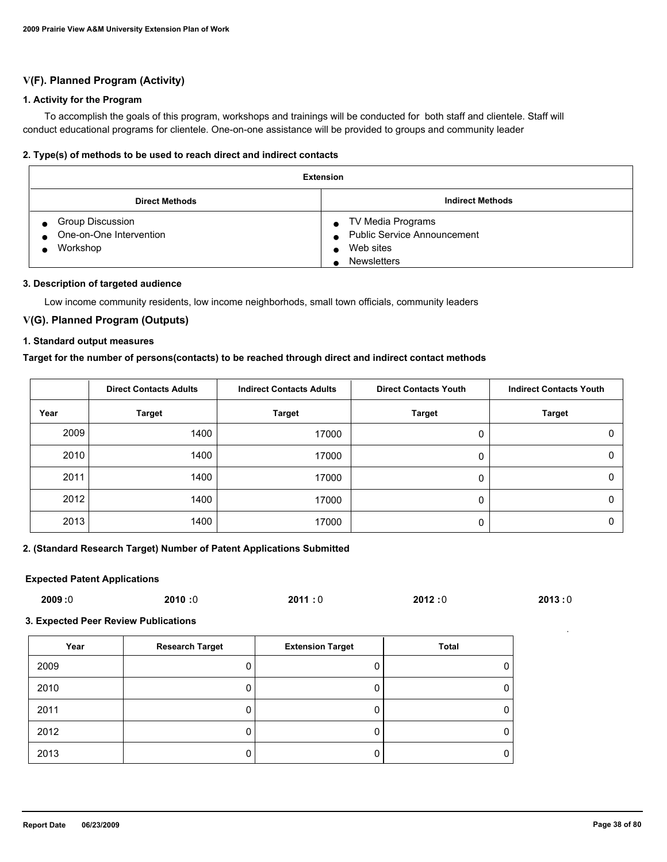## **V(F). Planned Program (Activity)**

#### **1. Activity for the Program**

 To accomplish the goals of this program, workshops and trainings will be conducted for both staff and clientele. Staff will conduct educational programs for clientele. One-on-one assistance will be provided to groups and community leader

#### **2. Type(s) of methods to be used to reach direct and indirect contacts**

| <b>Extension</b>                                        |                                                                                                                      |  |  |  |
|---------------------------------------------------------|----------------------------------------------------------------------------------------------------------------------|--|--|--|
| <b>Direct Methods</b>                                   | <b>Indirect Methods</b>                                                                                              |  |  |  |
| Group Discussion<br>One-on-One Intervention<br>Workshop | TV Media Programs<br>$\bullet$<br><b>Public Service Announcement</b><br>$\bullet$<br>Web sites<br><b>Newsletters</b> |  |  |  |

#### **3. Description of targeted audience**

Low income community residents, low income neighborhods, small town officials, community leaders

## **V(G). Planned Program (Outputs)**

### **1. Standard output measures**

### **Target for the number of persons(contacts) to be reached through direct and indirect contact methods**

|      | <b>Direct Contacts Adults</b> | <b>Indirect Contacts Adults</b> | <b>Direct Contacts Youth</b> | <b>Indirect Contacts Youth</b> |
|------|-------------------------------|---------------------------------|------------------------------|--------------------------------|
| Year | <b>Target</b>                 | <b>Target</b>                   | <b>Target</b>                | <b>Target</b>                  |
| 2009 | 1400                          | 17000                           | 0                            |                                |
| 2010 | 1400                          | 17000                           | 0                            | 0                              |
| 2011 | 1400                          | 17000                           | 0                            |                                |
| 2012 | 1400                          | 17000                           | 0                            |                                |
| 2013 | 1400                          | 17000                           | 0                            | U                              |

#### **2. (Standard Research Target) Number of Patent Applications Submitted**

#### **Expected Patent Applications**

| 2009:0 | 2010:0 | 2011:0 | 2012:0 | 2013:0 |
|--------|--------|--------|--------|--------|
|        |        |        |        |        |

#### **3. Expected Peer Review Publications**

| Year | <b>Research Target</b> | <b>Extension Target</b> | Total |
|------|------------------------|-------------------------|-------|
| 2009 | 0                      |                         | 0     |
| 2010 | 0                      |                         | 0     |
| 2011 | 0                      |                         | 0     |
| 2012 | 0                      |                         | 0     |
| 2013 | 0                      |                         | 0     |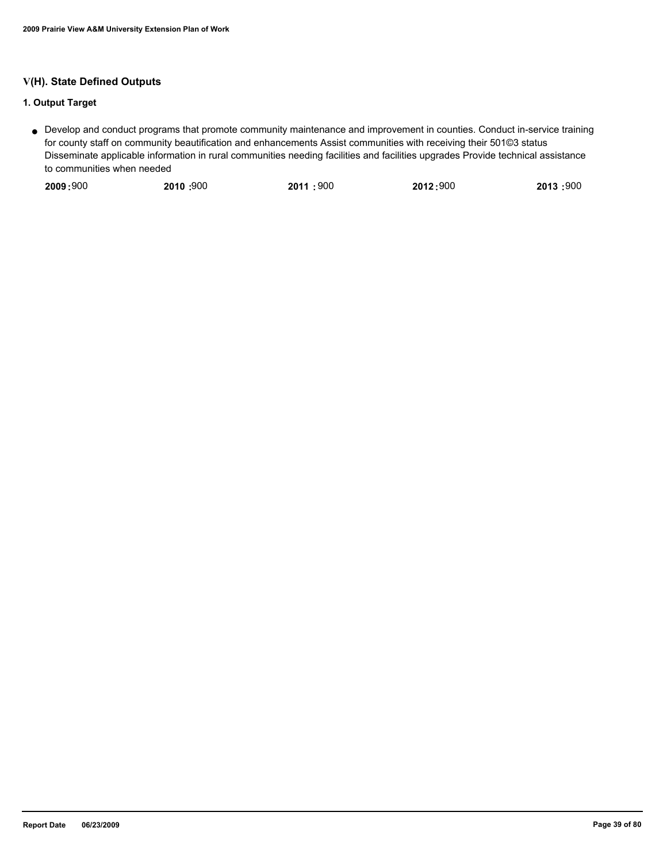## **V(H). State Defined Outputs**

## **1. Output Target**

Develop and conduct programs that promote community maintenance and improvement in counties. Conduct in-service training ● for county staff on community beautification and enhancements Assist communities with receiving their 501©3 status Disseminate applicable information in rural communities needing facilities and facilities upgrades Provide technical assistance to communities when needed

|  | 2009:900 | 2010:900 | 2011:900 | 2012:900 | 2013 :900 |
|--|----------|----------|----------|----------|-----------|
|--|----------|----------|----------|----------|-----------|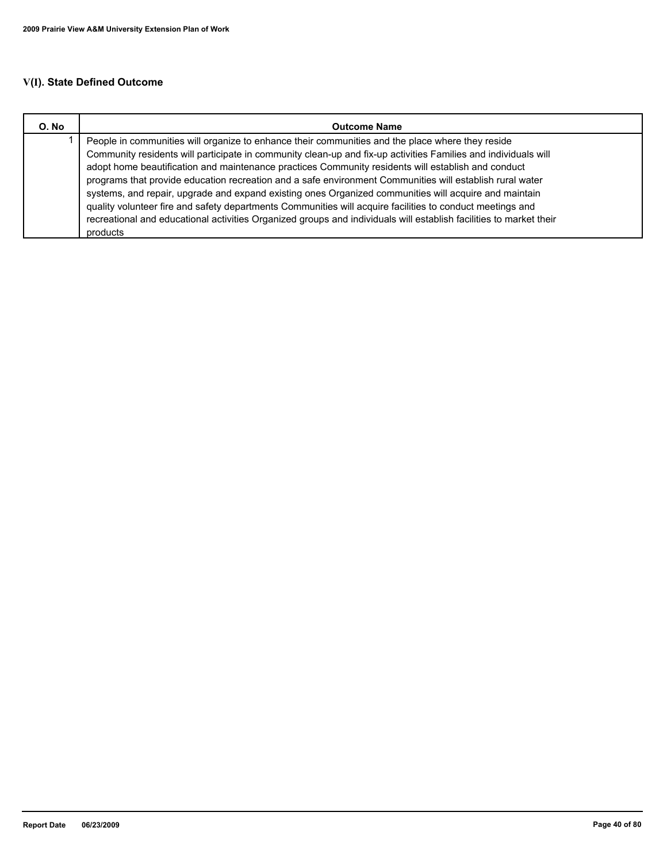# **V(I). State Defined Outcome**

| O. No | <b>Outcome Name</b>                                                                                                |  |  |
|-------|--------------------------------------------------------------------------------------------------------------------|--|--|
|       | People in communities will organize to enhance their communities and the place where they reside                   |  |  |
|       | Community residents will participate in community clean-up and fix-up activities Families and individuals will     |  |  |
|       | adopt home beautification and maintenance practices Community residents will establish and conduct                 |  |  |
|       | programs that provide education recreation and a safe environment Communities will establish rural water           |  |  |
|       | systems, and repair, upgrade and expand existing ones Organized communities will acquire and maintain              |  |  |
|       | quality volunteer fire and safety departments Communities will acquire facilities to conduct meetings and          |  |  |
|       | recreational and educational activities Organized groups and individuals will establish facilities to market their |  |  |
|       | products                                                                                                           |  |  |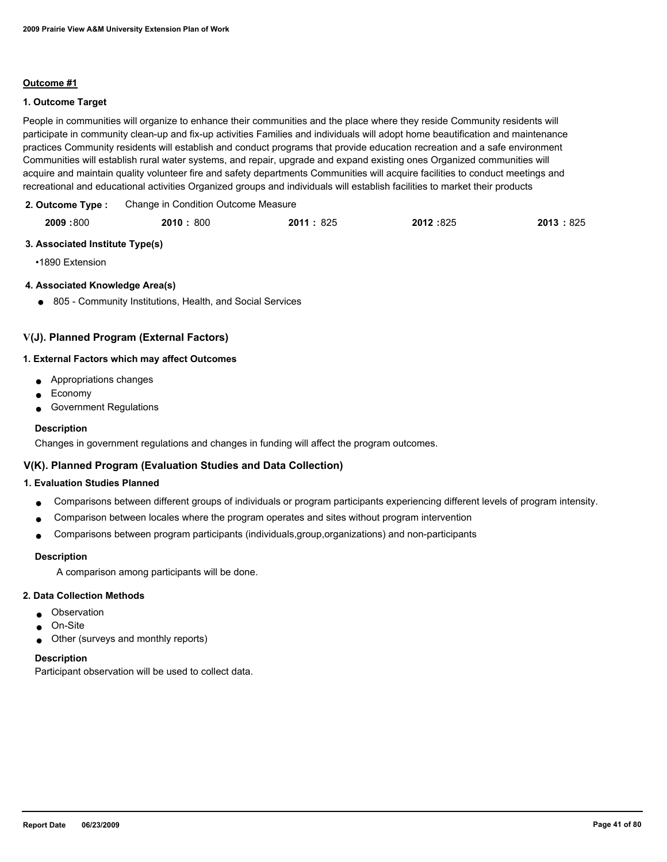### **Outcome #1**

### **1. Outcome Target**

People in communities will organize to enhance their communities and the place where they reside Community residents will participate in community clean-up and fix-up activities Families and individuals will adopt home beautification and maintenance practices Community residents will establish and conduct programs that provide education recreation and a safe environment Communities will establish rural water systems, and repair, upgrade and expand existing ones Organized communities will acquire and maintain quality volunteer fire and safety departments Communities will acquire facilities to conduct meetings and recreational and educational activities Organized groups and individuals will establish facilities to market their products

| 2. Outcome Type: | Change in Condition Outcome Measure |
|------------------|-------------------------------------|
|                  |                                     |

| 2009:800 | 2010:800 | 2011: 825 | 2012:825 | 2013:825 |
|----------|----------|-----------|----------|----------|
|          |          |           |          |          |

### **3. Associated Institute Type(s)**

•1890 Extension

### **4. Associated Knowledge Area(s)**

● 805 - Community Institutions, Health, and Social Services

## **V(J). Planned Program (External Factors)**

#### **1. External Factors which may affect Outcomes**

- Appropriations changes
- Economy
- Government Regulations

### **Description**

Changes in government regulations and changes in funding will affect the program outcomes.

## **V(K). Planned Program (Evaluation Studies and Data Collection)**

#### **1. Evaluation Studies Planned**

- Comparisons between different groups of individuals or program participants experiencing different levels of program intensity.
- Comparison between locales where the program operates and sites without program intervention
- Comparisons between program participants (individuals,group,organizations) and non-participants

#### **Description**

A comparison among participants will be done.

#### **2. Data Collection Methods**

- Observation
- On-Site
- Other (surveys and monthly reports)

#### **Description**

Participant observation will be used to collect data.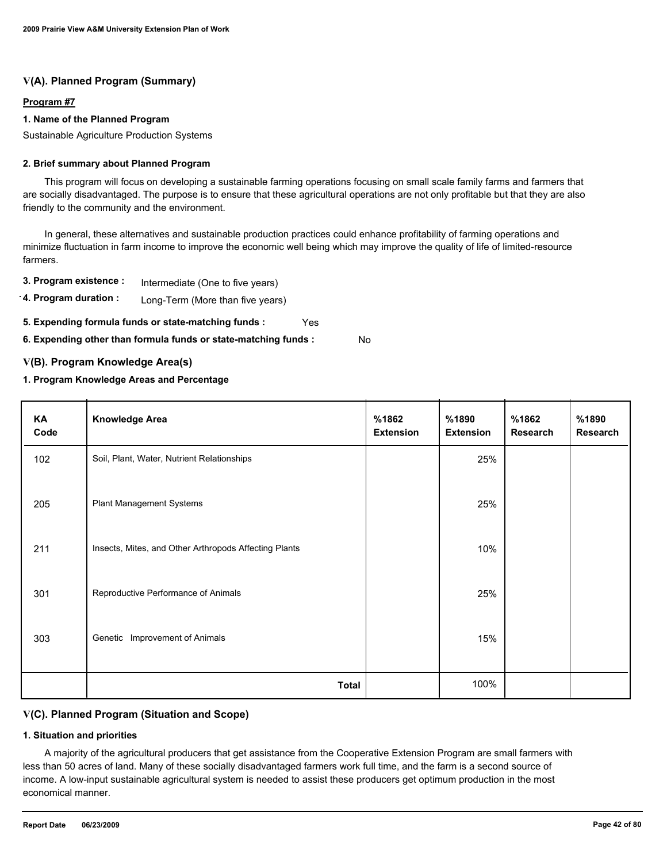## **V(A). Planned Program (Summary)**

## **Program #7**

### **1. Name of the Planned Program**

Sustainable Agriculture Production Systems

#### **2. Brief summary about Planned Program**

 This program will focus on developing a sustainable farming operations focusing on small scale family farms and farmers that are socially disadvantaged. The purpose is to ensure that these agricultural operations are not only profitable but that they are also friendly to the community and the environment.

 In general, these alternatives and sustainable production practices could enhance profitability of farming operations and minimize fluctuation in farm income to improve the economic well being which may improve the quality of life of limited-resource farmers.

**3. Program existence :** Intermediate (One to five years)

**4. Program duration :** Long-Term (More than five years)

**5. Expending formula funds or state-matching funds :** Yes

**6. Expending other than formula funds or state-matching funds :** No

### **V(B). Program Knowledge Area(s)**

### **1. Program Knowledge Areas and Percentage**

| KA<br>Code | <b>Knowledge Area</b>                                 | %1862<br><b>Extension</b> | %1890<br><b>Extension</b> | %1862<br><b>Research</b> | %1890<br>Research |
|------------|-------------------------------------------------------|---------------------------|---------------------------|--------------------------|-------------------|
| 102        | Soil, Plant, Water, Nutrient Relationships            |                           | 25%                       |                          |                   |
| 205        | <b>Plant Management Systems</b>                       |                           | 25%                       |                          |                   |
| 211        | Insects, Mites, and Other Arthropods Affecting Plants |                           | 10%                       |                          |                   |
| 301        | Reproductive Performance of Animals                   |                           | 25%                       |                          |                   |
| 303        | Genetic Improvement of Animals                        |                           | 15%                       |                          |                   |
|            | <b>Total</b>                                          |                           | 100%                      |                          |                   |

## **V(C). Planned Program (Situation and Scope)**

#### **1. Situation and priorities**

 A majority of the agricultural producers that get assistance from the Cooperative Extension Program are small farmers with less than 50 acres of land. Many of these socially disadvantaged farmers work full time, and the farm is a second source of income. A low-input sustainable agricultural system is needed to assist these producers get optimum production in the most economical manner.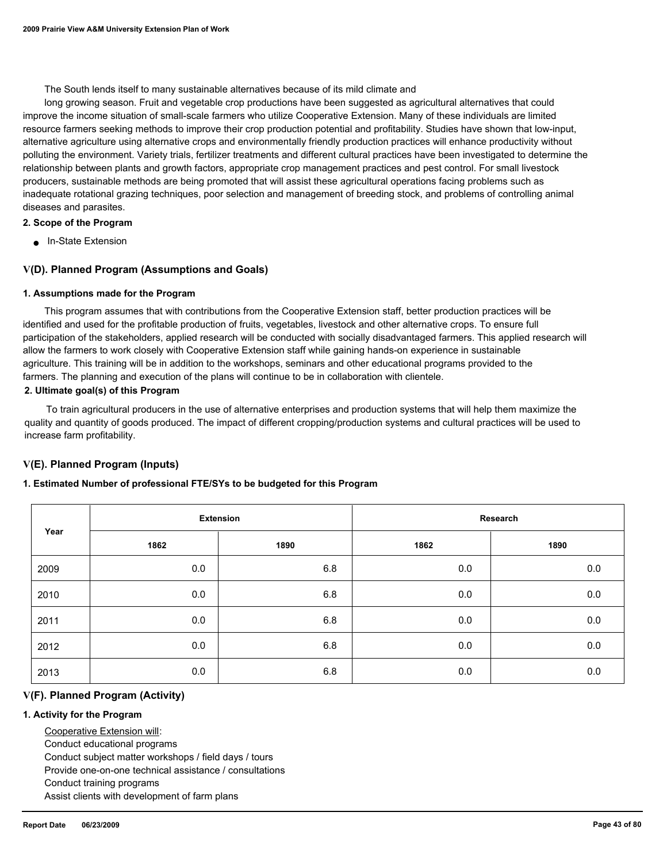The South lends itself to many sustainable alternatives because of its mild climate and

 long growing season. Fruit and vegetable crop productions have been suggested as agricultural alternatives that could improve the income situation of small-scale farmers who utilize Cooperative Extension. Many of these individuals are limited resource farmers seeking methods to improve their crop production potential and profitability. Studies have shown that low-input, alternative agriculture using alternative crops and environmentally friendly production practices will enhance productivity without polluting the environment. Variety trials, fertilizer treatments and different cultural practices have been investigated to determine the relationship between plants and growth factors, appropriate crop management practices and pest control. For small livestock producers, sustainable methods are being promoted that will assist these agricultural operations facing problems such as inadequate rotational grazing techniques, poor selection and management of breeding stock, and problems of controlling animal diseases and parasites.

#### **2. Scope of the Program**

■ In-State Extension

### **V(D). Planned Program (Assumptions and Goals)**

#### **1. Assumptions made for the Program**

 This program assumes that with contributions from the Cooperative Extension staff, better production practices will be identified and used for the profitable production of fruits, vegetables, livestock and other alternative crops. To ensure full participation of the stakeholders, applied research will be conducted with socially disadvantaged farmers. This applied research will allow the farmers to work closely with Cooperative Extension staff while gaining hands-on experience in sustainable agriculture. This training will be in addition to the workshops, seminars and other educational programs provided to the farmers. The planning and execution of the plans will continue to be in collaboration with clientele.

#### **2. Ultimate goal(s) of this Program**

 To train agricultural producers in the use of alternative enterprises and production systems that will help them maximize the quality and quantity of goods produced. The impact of different cropping/production systems and cultural practices will be used to increase farm profitability.

#### **V(E). Planned Program (Inputs)**

#### **1. Estimated Number of professional FTE/SYs to be budgeted for this Program**

|      |      | <b>Extension</b> |      | Research |
|------|------|------------------|------|----------|
| Year | 1862 | 1890             | 1862 | 1890     |
| 2009 | 0.0  | 6.8              | 0.0  | 0.0      |
| 2010 | 0.0  | 6.8              | 0.0  | 0.0      |
| 2011 | 0.0  | 6.8              | 0.0  | 0.0      |
| 2012 | 0.0  | 6.8              | 0.0  | 0.0      |
| 2013 | 0.0  | 6.8              | 0.0  | 0.0      |

#### **V(F). Planned Program (Activity)**

#### **1. Activity for the Program**

 Cooperative Extension will: Conduct educational programs Conduct subject matter workshops / field days / tours Provide one-on-one technical assistance / consultations Conduct training programs Assist clients with development of farm plans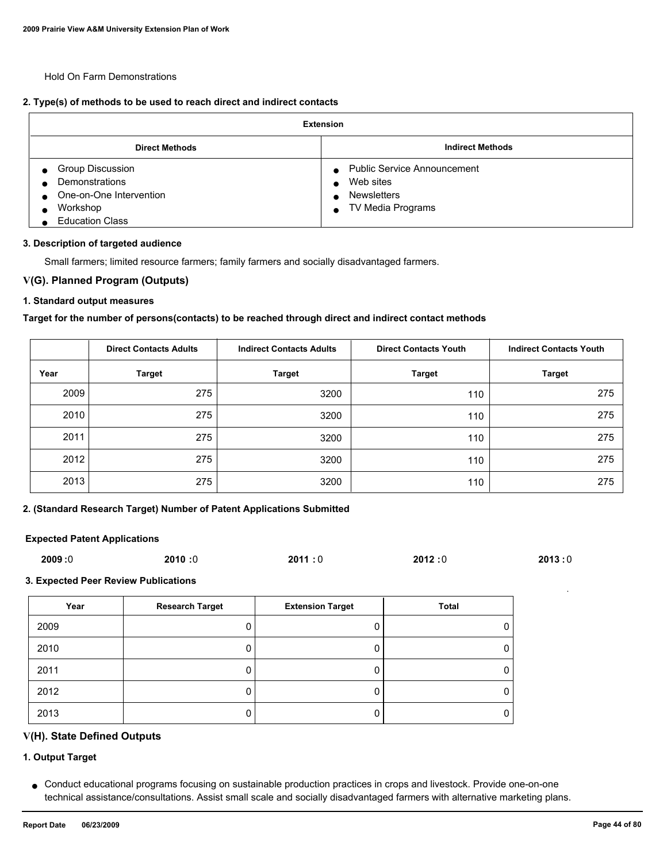Hold On Farm Demonstrations

### **2. Type(s) of methods to be used to reach direct and indirect contacts**

| <b>Extension</b>                                                                                           |                                                                                                         |  |  |  |
|------------------------------------------------------------------------------------------------------------|---------------------------------------------------------------------------------------------------------|--|--|--|
| <b>Direct Methods</b>                                                                                      | <b>Indirect Methods</b>                                                                                 |  |  |  |
| <b>Group Discussion</b><br>Demonstrations<br>One-on-One Intervention<br>Workshop<br><b>Education Class</b> | <b>Public Service Announcement</b><br>$\bullet$<br>Web sites<br><b>Newsletters</b><br>TV Media Programs |  |  |  |

#### **3. Description of targeted audience**

Small farmers; limited resource farmers; family farmers and socially disadvantaged farmers.

#### **V(G). Planned Program (Outputs)**

#### **1. Standard output measures**

#### **Target for the number of persons(contacts) to be reached through direct and indirect contact methods**

|      | <b>Direct Contacts Adults</b> | <b>Indirect Contacts Adults</b> | <b>Direct Contacts Youth</b> | <b>Indirect Contacts Youth</b> |
|------|-------------------------------|---------------------------------|------------------------------|--------------------------------|
| Year | <b>Target</b>                 | <b>Target</b>                   | <b>Target</b>                | <b>Target</b>                  |
| 2009 | 275                           | 3200                            | 110                          | 275                            |
| 2010 | 275                           | 3200                            | 110                          | 275                            |
| 2011 | 275                           | 3200                            | 110                          | 275                            |
| 2012 | 275                           | 3200                            | 110                          | 275                            |
| 2013 | 275                           | 3200                            | 110                          | 275                            |

### **2. (Standard Research Target) Number of Patent Applications Submitted**

### **Expected Patent Applications**

| 2009:0 | 2010:0 | 2011:0 | 2012:0 | 2013:0 |
|--------|--------|--------|--------|--------|
|        |        |        |        |        |

### **3. Expected Peer Review Publications**

| Year | <b>Research Target</b> | <b>Extension Target</b> | Total |
|------|------------------------|-------------------------|-------|
| 2009 |                        |                         |       |
| 2010 |                        |                         | O     |
| 2011 |                        |                         | 0     |
| 2012 |                        |                         |       |
| 2013 |                        |                         |       |

### **V(H). State Defined Outputs**

## **1. Output Target**

Conduct educational programs focusing on sustainable production practices in crops and livestock. Provide one-on-one ● technical assistance/consultations. Assist small scale and socially disadvantaged farmers with alternative marketing plans.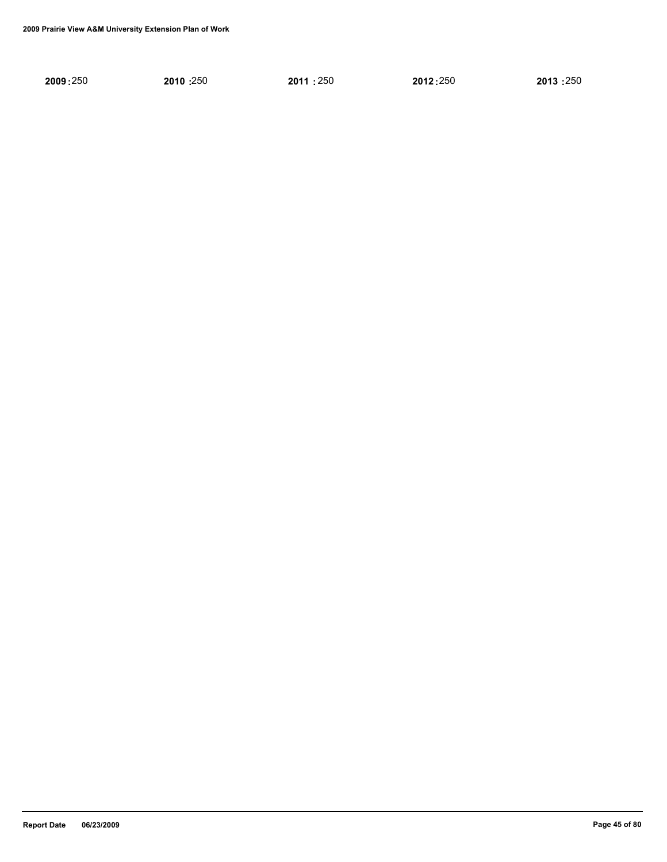| 2009:250 | 2010:250 | 2011:250 | 2012:250 | 2013:250 |
|----------|----------|----------|----------|----------|
|          |          |          |          |          |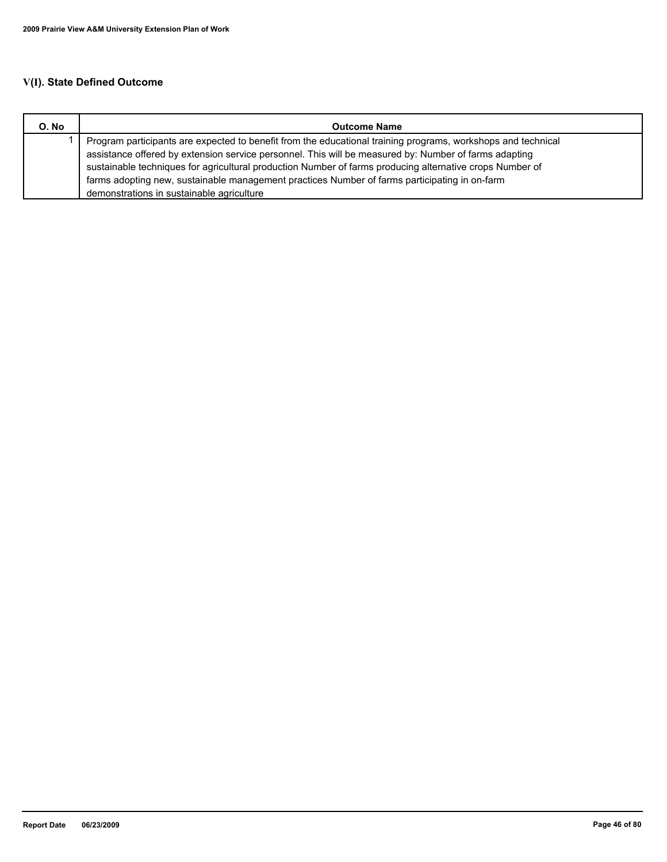# **V(I). State Defined Outcome**

| O. No | <b>Outcome Name</b>                                                                                          |
|-------|--------------------------------------------------------------------------------------------------------------|
|       | Program participants are expected to benefit from the educational training programs, workshops and technical |
|       | assistance offered by extension service personnel. This will be measured by: Number of farms adapting        |
|       | sustainable techniques for agricultural production Number of farms producing alternative crops Number of     |
|       | farms adopting new, sustainable management practices Number of farms participating in on-farm                |
|       | demonstrations in sustainable agriculture                                                                    |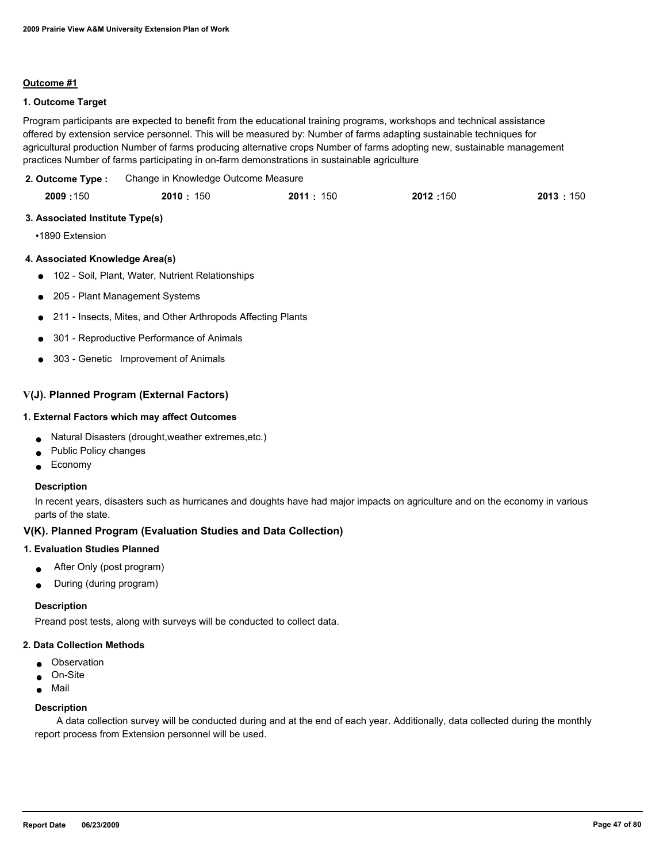#### **Outcome #1**

### **1. Outcome Target**

Program participants are expected to benefit from the educational training programs, workshops and technical assistance offered by extension service personnel. This will be measured by: Number of farms adapting sustainable techniques for agricultural production Number of farms producing alternative crops Number of farms adopting new, sustainable management practices Number of farms participating in on-farm demonstrations in sustainable agriculture

Change in Knowledge Outcome Measure **2. Outcome Type :**

| 2009:150 | 2010: 150 | 2011:<br>: 150 | 2012:150 | 2013:150 |
|----------|-----------|----------------|----------|----------|
|          |           |                |          |          |

#### **3. Associated Institute Type(s)**

•1890 Extension

#### **4. Associated Knowledge Area(s)**

- 102 Soil, Plant, Water, Nutrient Relationships
- 205 Plant Management Systems
- 211 Insects, Mites, and Other Arthropods Affecting Plants
- 301 Reproductive Performance of Animals
- 303 Genetic Improvement of Animals

### **V(J). Planned Program (External Factors)**

#### **1. External Factors which may affect Outcomes**

- Natural Disasters (drought,weather extremes,etc.)
- Public Policy changes
- Economy

#### **Description**

In recent years, disasters such as hurricanes and doughts have had major impacts on agriculture and on the economy in various parts of the state.

#### **V(K). Planned Program (Evaluation Studies and Data Collection)**

#### **1. Evaluation Studies Planned**

- After Only (post program)
- During (during program)

#### **Description**

Preand post tests, along with surveys will be conducted to collect data.

#### **2. Data Collection Methods**

- Observation
- On-Site
- Mail

#### **Description**

 A data collection survey will be conducted during and at the end of each year. Additionally, data collected during the monthly report process from Extension personnel will be used.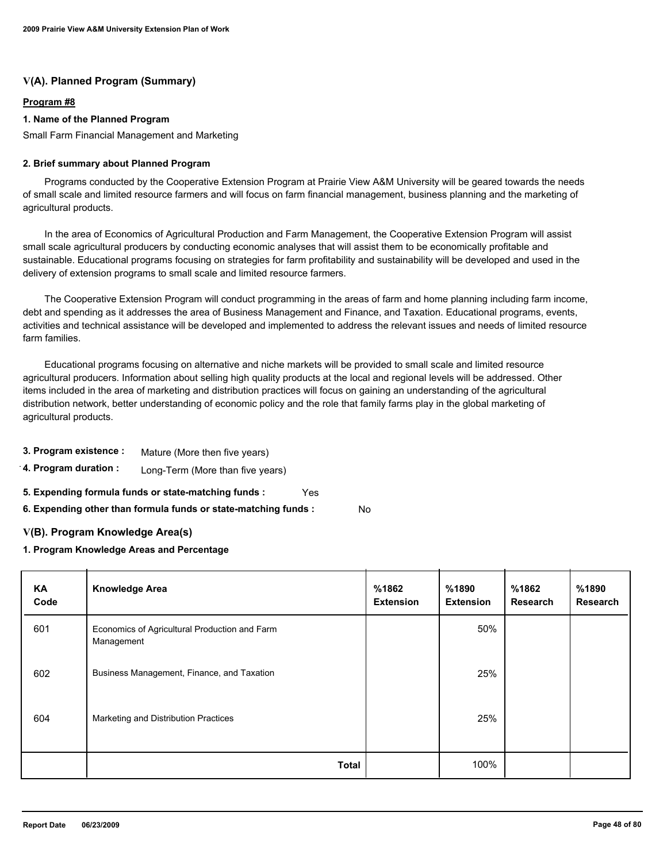## **V(A). Planned Program (Summary)**

## **Program #8**

### **1. Name of the Planned Program**

Small Farm Financial Management and Marketing

#### **2. Brief summary about Planned Program**

 Programs conducted by the Cooperative Extension Program at Prairie View A&M University will be geared towards the needs of small scale and limited resource farmers and will focus on farm financial management, business planning and the marketing of agricultural products.

 In the area of Economics of Agricultural Production and Farm Management, the Cooperative Extension Program will assist small scale agricultural producers by conducting economic analyses that will assist them to be economically profitable and sustainable. Educational programs focusing on strategies for farm profitability and sustainability will be developed and used in the delivery of extension programs to small scale and limited resource farmers.

 The Cooperative Extension Program will conduct programming in the areas of farm and home planning including farm income, debt and spending as it addresses the area of Business Management and Finance, and Taxation. Educational programs, events, activities and technical assistance will be developed and implemented to address the relevant issues and needs of limited resource farm families.

 Educational programs focusing on alternative and niche markets will be provided to small scale and limited resource agricultural producers. Information about selling high quality products at the local and regional levels will be addressed. Other items included in the area of marketing and distribution practices will focus on gaining an understanding of the agricultural distribution network, better understanding of economic policy and the role that family farms play in the global marketing of agricultural products.

- **3. Program existence :** Mature (More then five years)
- **4. Program duration :** Long-Term (More than five years)
- **5. Expending formula funds or state-matching funds :** Yes

**6. Expending other than formula funds or state-matching funds :** No

#### **V(B). Program Knowledge Area(s)**

#### **1. Program Knowledge Areas and Percentage**

| <b>KA</b><br>Code | <b>Knowledge Area</b>                                       | %1862<br><b>Extension</b> | %1890<br><b>Extension</b> | %1862<br>Research | %1890<br><b>Research</b> |
|-------------------|-------------------------------------------------------------|---------------------------|---------------------------|-------------------|--------------------------|
| 601               | Economics of Agricultural Production and Farm<br>Management |                           | 50%                       |                   |                          |
| 602               | Business Management, Finance, and Taxation                  |                           | 25%                       |                   |                          |
| 604               | Marketing and Distribution Practices                        |                           | 25%                       |                   |                          |
|                   | <b>Total</b>                                                |                           | 100%                      |                   |                          |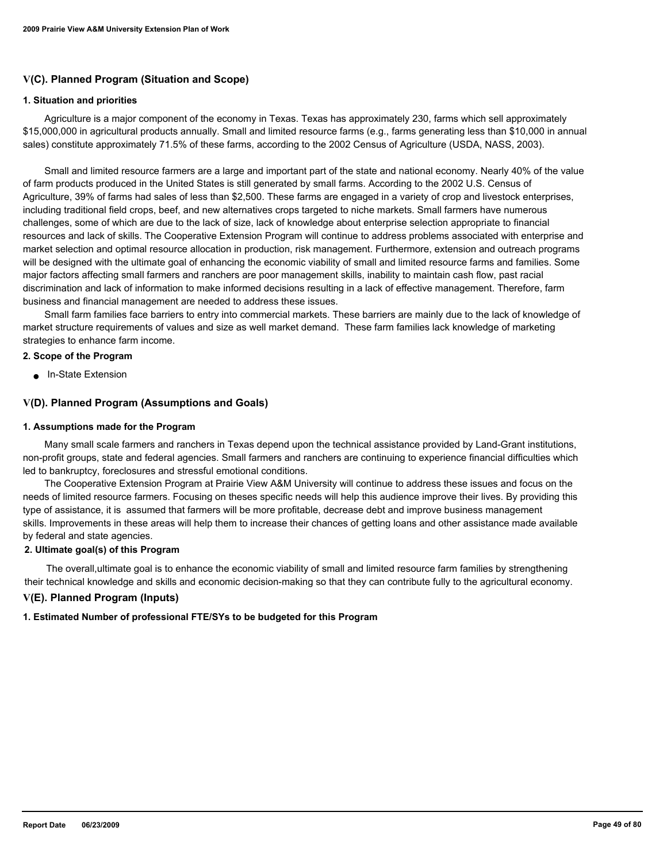## **V(C). Planned Program (Situation and Scope)**

#### **1. Situation and priorities**

 Agriculture is a major component of the economy in Texas. Texas has approximately 230, farms which sell approximately \$15,000,000 in agricultural products annually. Small and limited resource farms (e.g., farms generating less than \$10,000 in annual sales) constitute approximately 71.5% of these farms, according to the 2002 Census of Agriculture (USDA, NASS, 2003).

 Small and limited resource farmers are a large and important part of the state and national economy. Nearly 40% of the value of farm products produced in the United States is still generated by small farms. According to the 2002 U.S. Census of Agriculture, 39% of farms had sales of less than \$2,500. These farms are engaged in a variety of crop and livestock enterprises, including traditional field crops, beef, and new alternatives crops targeted to niche markets. Small farmers have numerous challenges, some of which are due to the lack of size, lack of knowledge about enterprise selection appropriate to financial resources and lack of skills. The Cooperative Extension Program will continue to address problems associated with enterprise and market selection and optimal resource allocation in production, risk management. Furthermore, extension and outreach programs will be designed with the ultimate goal of enhancing the economic viability of small and limited resource farms and families. Some major factors affecting small farmers and ranchers are poor management skills, inability to maintain cash flow, past racial discrimination and lack of information to make informed decisions resulting in a lack of effective management. Therefore, farm business and financial management are needed to address these issues.

 Small farm families face barriers to entry into commercial markets. These barriers are mainly due to the lack of knowledge of market structure requirements of values and size as well market demand. These farm families lack knowledge of marketing strategies to enhance farm income.

#### **2. Scope of the Program**

In-State Extension

#### **V(D). Planned Program (Assumptions and Goals)**

#### **1. Assumptions made for the Program**

 Many small scale farmers and ranchers in Texas depend upon the technical assistance provided by Land-Grant institutions, non-profit groups, state and federal agencies. Small farmers and ranchers are continuing to experience financial difficulties which led to bankruptcy, foreclosures and stressful emotional conditions.

 The Cooperative Extension Program at Prairie View A&M University will continue to address these issues and focus on the needs of limited resource farmers. Focusing on theses specific needs will help this audience improve their lives. By providing this type of assistance, it is assumed that farmers will be more profitable, decrease debt and improve business management skills. Improvements in these areas will help them to increase their chances of getting loans and other assistance made available by federal and state agencies.

### **2. Ultimate goal(s) of this Program**

 The overall,ultimate goal is to enhance the economic viability of small and limited resource farm families by strengthening their technical knowledge and skills and economic decision-making so that they can contribute fully to the agricultural economy.

#### **V(E). Planned Program (Inputs)**

#### **1. Estimated Number of professional FTE/SYs to be budgeted for this Program**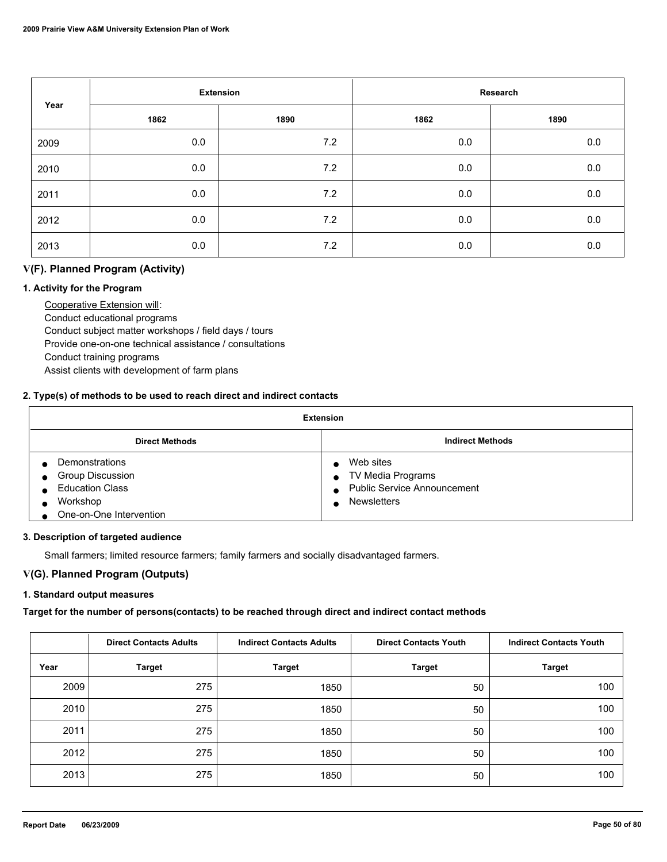| Year |      | <b>Extension</b> |      | Research |
|------|------|------------------|------|----------|
|      | 1862 | 1890             | 1862 | 1890     |
| 2009 | 0.0  | 7.2              | 0.0  | 0.0      |
| 2010 | 0.0  | 7.2              | 0.0  | $0.0\,$  |
| 2011 | 0.0  | 7.2              | 0.0  | 0.0      |
| 2012 | 0.0  | 7.2              | 0.0  | 0.0      |
| 2013 | 0.0  | 7.2              | 0.0  | 0.0      |

## **V(F). Planned Program (Activity)**

### **1. Activity for the Program**

 Cooperative Extension will: Conduct educational programs Conduct subject matter workshops / field days / tours Provide one-on-one technical assistance / consultations Conduct training programs Assist clients with development of farm plans

### **2. Type(s) of methods to be used to reach direct and indirect contacts**

| <b>Extension</b>                                                                                    |                                                                                                         |  |  |  |
|-----------------------------------------------------------------------------------------------------|---------------------------------------------------------------------------------------------------------|--|--|--|
| <b>Direct Methods</b>                                                                               | <b>Indirect Methods</b>                                                                                 |  |  |  |
| Demonstrations<br>Group Discussion<br><b>Education Class</b><br>Workshop<br>One-on-One Intervention | Web sites<br>TV Media Programs<br>$\bullet$<br><b>Public Service Announcement</b><br><b>Newsletters</b> |  |  |  |

#### **3. Description of targeted audience**

Small farmers; limited resource farmers; family farmers and socially disadvantaged farmers.

## **V(G). Planned Program (Outputs)**

#### **1. Standard output measures**

## **Target for the number of persons(contacts) to be reached through direct and indirect contact methods**

|      | <b>Direct Contacts Adults</b> | <b>Indirect Contacts Adults</b> | <b>Direct Contacts Youth</b> | <b>Indirect Contacts Youth</b> |
|------|-------------------------------|---------------------------------|------------------------------|--------------------------------|
| Year | <b>Target</b>                 | <b>Target</b>                   | <b>Target</b>                | <b>Target</b>                  |
| 2009 | 275                           | 1850                            | 50                           | 100                            |
| 2010 | 275                           | 1850                            | 50                           | 100                            |
| 2011 | 275                           | 1850                            | 50                           | 100                            |
| 2012 | 275                           | 1850                            | 50                           | 100                            |
| 2013 | 275                           | 1850                            | 50                           | 100                            |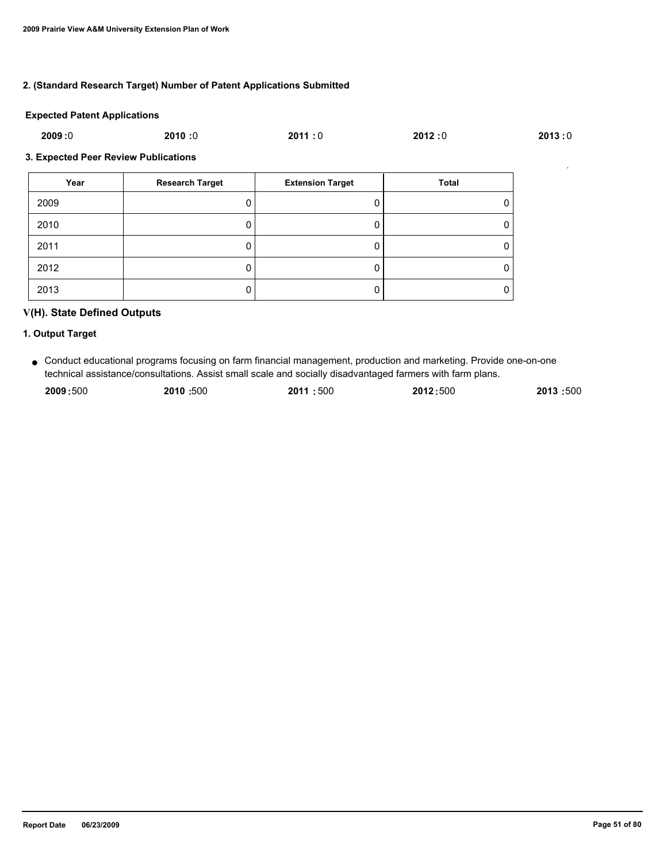### **2. (Standard Research Target) Number of Patent Applications Submitted**

#### **Expected Patent Applications**

| 2009:0 | 2010:0 | 2011:0 | 2012:0 | 2013:0 |
|--------|--------|--------|--------|--------|
|        |        |        |        |        |

#### **3. Expected Peer Review Publications**

| Year | <b>Research Target</b> | <b>Extension Target</b> | Total |
|------|------------------------|-------------------------|-------|
| 2009 |                        |                         | 0     |
| 2010 |                        |                         | 0     |
| 2011 |                        |                         | 0     |
| 2012 |                        |                         | 0     |
| 2013 |                        |                         | 0     |

## **V(H). State Defined Outputs**

## **1. Output Target**

Conduct educational programs focusing on farm financial management, production and marketing. Provide one-on-one ● technical assistance/consultations. Assist small scale and socially disadvantaged farmers with farm plans.

| 2009:500 | 2010:500 | 2011:500 | 2012:500 | 2013:500 |
|----------|----------|----------|----------|----------|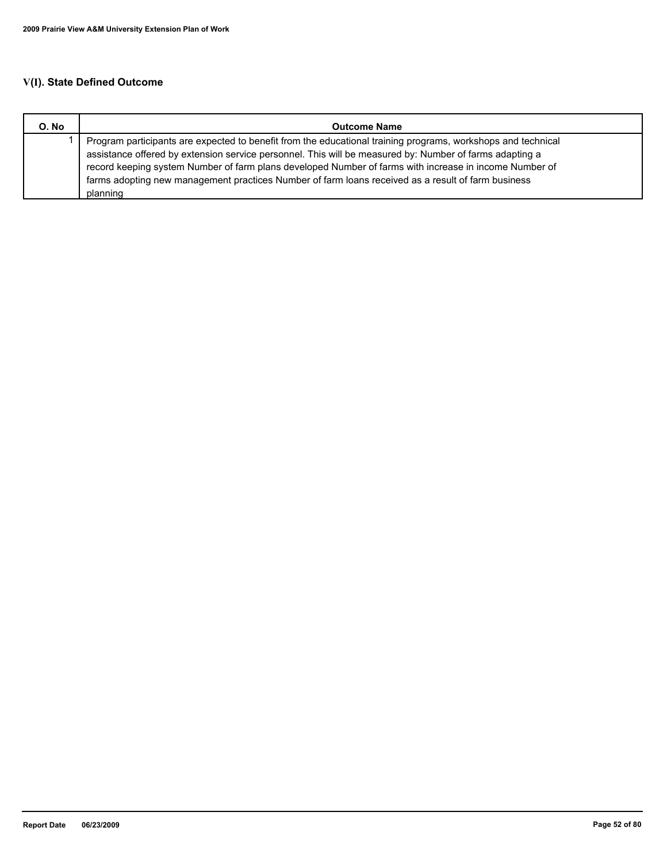# **V(I). State Defined Outcome**

| O. No | <b>Outcome Name</b>                                                                                          |
|-------|--------------------------------------------------------------------------------------------------------------|
|       | Program participants are expected to benefit from the educational training programs, workshops and technical |
|       | assistance offered by extension service personnel. This will be measured by: Number of farms adapting a      |
|       | record keeping system Number of farm plans developed Number of farms with increase in income Number of       |
|       | farms adopting new management practices Number of farm loans received as a result of farm business           |
|       | planning                                                                                                     |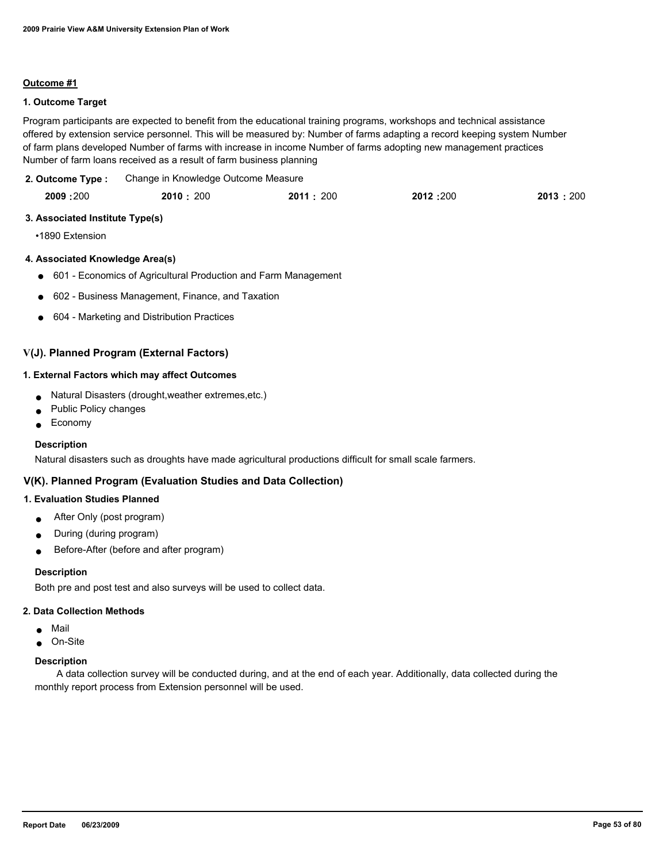#### **Outcome #1**

### **1. Outcome Target**

Program participants are expected to benefit from the educational training programs, workshops and technical assistance offered by extension service personnel. This will be measured by: Number of farms adapting a record keeping system Number of farm plans developed Number of farms with increase in income Number of farms adopting new management practices Number of farm loans received as a result of farm business planning

Change in Knowledge Outcome Measure **2. Outcome Type :**

| 2009:200 | 2010: 200 | 2011:200 | 2012:200 | 2013:200 |
|----------|-----------|----------|----------|----------|
|          |           |          |          |          |

#### **3. Associated Institute Type(s)**

•1890 Extension

#### **4. Associated Knowledge Area(s)**

- 601 Economics of Agricultural Production and Farm Management
- 602 Business Management, Finance, and Taxation
- 604 Marketing and Distribution Practices

### **V(J). Planned Program (External Factors)**

#### **1. External Factors which may affect Outcomes**

- Natural Disasters (drought, weather extremes, etc.)
- Public Policy changes
- **Economy**

#### **Description**

Natural disasters such as droughts have made agricultural productions difficult for small scale farmers.

### **V(K). Planned Program (Evaluation Studies and Data Collection)**

### **1. Evaluation Studies Planned**

- After Only (post program)
- During (during program)
- Before-After (before and after program)

#### **Description**

Both pre and post test and also surveys will be used to collect data.

#### **2. Data Collection Methods**

- Mail
- On-Site

#### **Description**

 A data collection survey will be conducted during, and at the end of each year. Additionally, data collected during the monthly report process from Extension personnel will be used.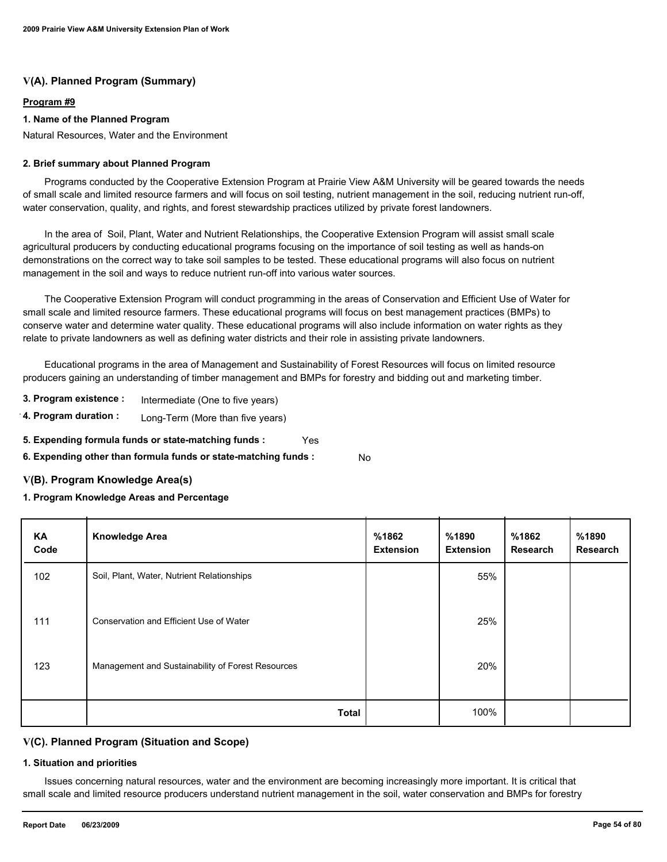## **V(A). Planned Program (Summary)**

### **Program #9**

### **1. Name of the Planned Program**

Natural Resources, Water and the Environment

#### **2. Brief summary about Planned Program**

 Programs conducted by the Cooperative Extension Program at Prairie View A&M University will be geared towards the needs of small scale and limited resource farmers and will focus on soil testing, nutrient management in the soil, reducing nutrient run-off, water conservation, quality, and rights, and forest stewardship practices utilized by private forest landowners.

 In the area of Soil, Plant, Water and Nutrient Relationships, the Cooperative Extension Program will assist small scale agricultural producers by conducting educational programs focusing on the importance of soil testing as well as hands-on demonstrations on the correct way to take soil samples to be tested. These educational programs will also focus on nutrient management in the soil and ways to reduce nutrient run-off into various water sources.

 The Cooperative Extension Program will conduct programming in the areas of Conservation and Efficient Use of Water for small scale and limited resource farmers. These educational programs will focus on best management practices (BMPs) to conserve water and determine water quality. These educational programs will also include information on water rights as they relate to private landowners as well as defining water districts and their role in assisting private landowners.

 Educational programs in the area of Management and Sustainability of Forest Resources will focus on limited resource producers gaining an understanding of timber management and BMPs for forestry and bidding out and marketing timber.

- **3. Program existence :** Intermediate (One to five years)
- **4. Program duration :** Long-Term (More than five years)
- **5. Expending formula funds or state-matching funds :** Yes
- **6. Expending other than formula funds or state-matching funds :** No

## **V(B). Program Knowledge Area(s)**

## **1. Program Knowledge Areas and Percentage**

| KA<br>Code | <b>Knowledge Area</b>                             | %1862<br><b>Extension</b> | %1890<br><b>Extension</b> | %1862<br>Research | %1890<br>Research |
|------------|---------------------------------------------------|---------------------------|---------------------------|-------------------|-------------------|
| 102        | Soil, Plant, Water, Nutrient Relationships        |                           | 55%                       |                   |                   |
| 111        | Conservation and Efficient Use of Water           |                           | 25%                       |                   |                   |
| 123        | Management and Sustainability of Forest Resources |                           | 20%                       |                   |                   |
|            | <b>Total</b>                                      |                           | 100%                      |                   |                   |

## **V(C). Planned Program (Situation and Scope)**

#### **1. Situation and priorities**

 Issues concerning natural resources, water and the environment are becoming increasingly more important. It is critical that small scale and limited resource producers understand nutrient management in the soil, water conservation and BMPs for forestry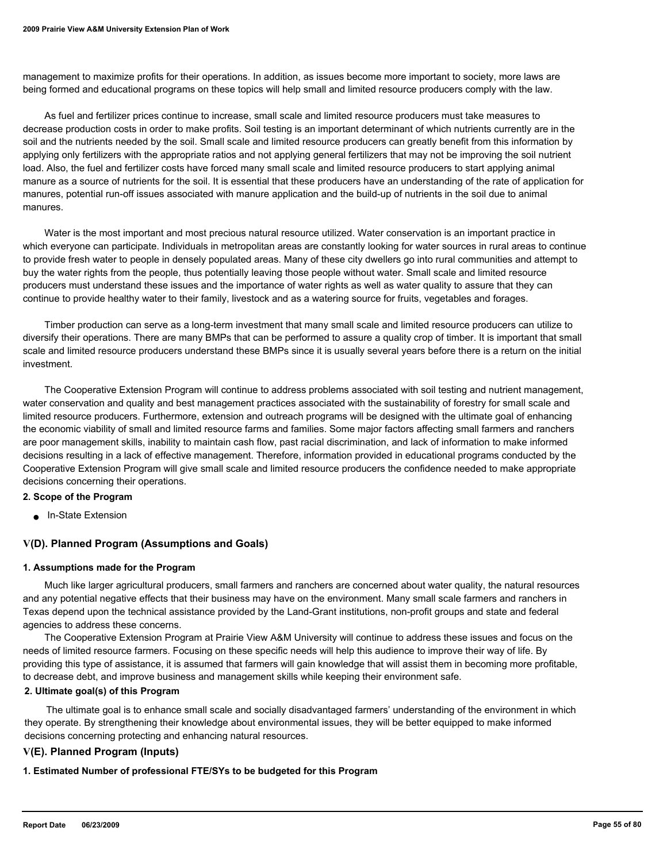management to maximize profits for their operations. In addition, as issues become more important to society, more laws are being formed and educational programs on these topics will help small and limited resource producers comply with the law.

 As fuel and fertilizer prices continue to increase, small scale and limited resource producers must take measures to decrease production costs in order to make profits. Soil testing is an important determinant of which nutrients currently are in the soil and the nutrients needed by the soil. Small scale and limited resource producers can greatly benefit from this information by applying only fertilizers with the appropriate ratios and not applying general fertilizers that may not be improving the soil nutrient load. Also, the fuel and fertilizer costs have forced many small scale and limited resource producers to start applying animal manure as a source of nutrients for the soil. It is essential that these producers have an understanding of the rate of application for manures, potential run-off issues associated with manure application and the build-up of nutrients in the soil due to animal manures.

 Water is the most important and most precious natural resource utilized. Water conservation is an important practice in which everyone can participate. Individuals in metropolitan areas are constantly looking for water sources in rural areas to continue to provide fresh water to people in densely populated areas. Many of these city dwellers go into rural communities and attempt to buy the water rights from the people, thus potentially leaving those people without water. Small scale and limited resource producers must understand these issues and the importance of water rights as well as water quality to assure that they can continue to provide healthy water to their family, livestock and as a watering source for fruits, vegetables and forages.

 Timber production can serve as a long-term investment that many small scale and limited resource producers can utilize to diversify their operations. There are many BMPs that can be performed to assure a quality crop of timber. It is important that small scale and limited resource producers understand these BMPs since it is usually several years before there is a return on the initial investment.

 The Cooperative Extension Program will continue to address problems associated with soil testing and nutrient management, water conservation and quality and best management practices associated with the sustainability of forestry for small scale and limited resource producers. Furthermore, extension and outreach programs will be designed with the ultimate goal of enhancing the economic viability of small and limited resource farms and families. Some major factors affecting small farmers and ranchers are poor management skills, inability to maintain cash flow, past racial discrimination, and lack of information to make informed decisions resulting in a lack of effective management. Therefore, information provided in educational programs conducted by the Cooperative Extension Program will give small scale and limited resource producers the confidence needed to make appropriate decisions concerning their operations.

#### **2. Scope of the Program**

■ In-State Extension

#### **V(D). Planned Program (Assumptions and Goals)**

#### **1. Assumptions made for the Program**

 Much like larger agricultural producers, small farmers and ranchers are concerned about water quality, the natural resources and any potential negative effects that their business may have on the environment. Many small scale farmers and ranchers in Texas depend upon the technical assistance provided by the Land-Grant institutions, non-profit groups and state and federal agencies to address these concerns.

 The Cooperative Extension Program at Prairie View A&M University will continue to address these issues and focus on the needs of limited resource farmers. Focusing on these specific needs will help this audience to improve their way of life. By providing this type of assistance, it is assumed that farmers will gain knowledge that will assist them in becoming more profitable, to decrease debt, and improve business and management skills while keeping their environment safe.

#### **2. Ultimate goal(s) of this Program**

 The ultimate goal is to enhance small scale and socially disadvantaged farmers' understanding of the environment in which they operate. By strengthening their knowledge about environmental issues, they will be better equipped to make informed decisions concerning protecting and enhancing natural resources.

#### **V(E). Planned Program (Inputs)**

**1. Estimated Number of professional FTE/SYs to be budgeted for this Program**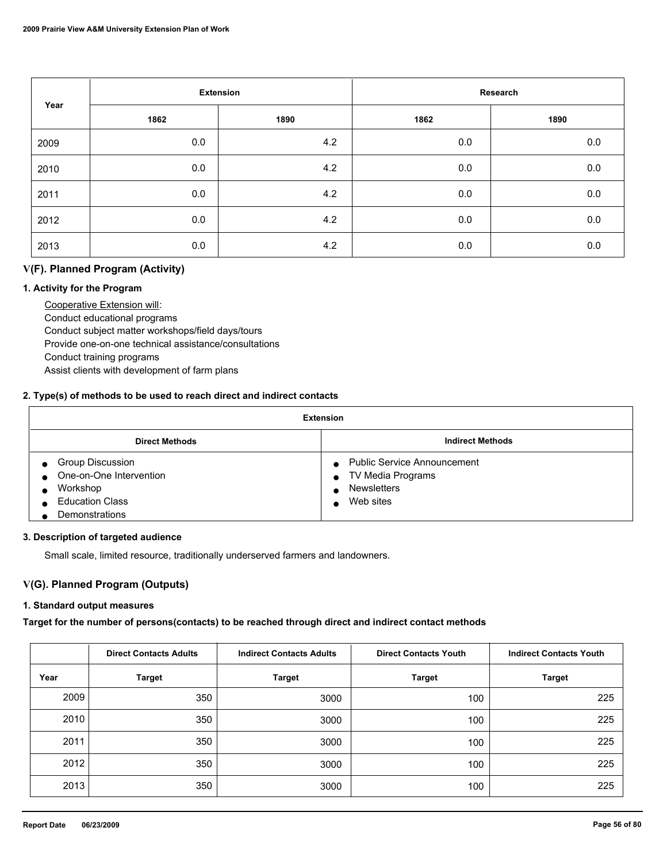| Year |      | <b>Extension</b> |      | Research |  |  |
|------|------|------------------|------|----------|--|--|
|      | 1862 | 1890             | 1862 | 1890     |  |  |
| 2009 | 0.0  | 4.2              | 0.0  | $0.0\,$  |  |  |
| 2010 | 0.0  | 4.2              | 0.0  | $0.0\,$  |  |  |
| 2011 | 0.0  | 4.2              | 0.0  | $0.0\,$  |  |  |
| 2012 | 0.0  | 4.2              | 0.0  | $0.0\,$  |  |  |
| 2013 | 0.0  | 4.2              | 0.0  | $0.0\,$  |  |  |

## **V(F). Planned Program (Activity)**

### **1. Activity for the Program**

 Cooperative Extension will: Conduct educational programs Conduct subject matter workshops/field days/tours Provide one-on-one technical assistance/consultations Conduct training programs Assist clients with development of farm plans

### **2. Type(s) of methods to be used to reach direct and indirect contacts**

| <b>Extension</b>                                                                                    |                                                                                            |  |  |
|-----------------------------------------------------------------------------------------------------|--------------------------------------------------------------------------------------------|--|--|
| <b>Direct Methods</b>                                                                               | <b>Indirect Methods</b>                                                                    |  |  |
| Group Discussion<br>One-on-One Intervention<br>Workshop<br><b>Education Class</b><br>Demonstrations | <b>Public Service Announcement</b><br>TV Media Programs<br><b>Newsletters</b><br>Web sites |  |  |

#### **3. Description of targeted audience**

Small scale, limited resource, traditionally underserved farmers and landowners.

## **V(G). Planned Program (Outputs)**

### **1. Standard output measures**

**Target for the number of persons(contacts) to be reached through direct and indirect contact methods**

|      | <b>Direct Contacts Adults</b> | <b>Indirect Contacts Adults</b> | <b>Direct Contacts Youth</b> | <b>Indirect Contacts Youth</b> |
|------|-------------------------------|---------------------------------|------------------------------|--------------------------------|
| Year | <b>Target</b>                 | <b>Target</b>                   | <b>Target</b>                | <b>Target</b>                  |
| 2009 | 350                           | 3000                            | 100                          | 225                            |
| 2010 | 350                           | 3000                            | 100                          | 225                            |
| 2011 | 350                           | 3000                            | 100                          | 225                            |
| 2012 | 350                           | 3000                            | 100                          | 225                            |
| 2013 | 350                           | 3000                            | 100                          | 225                            |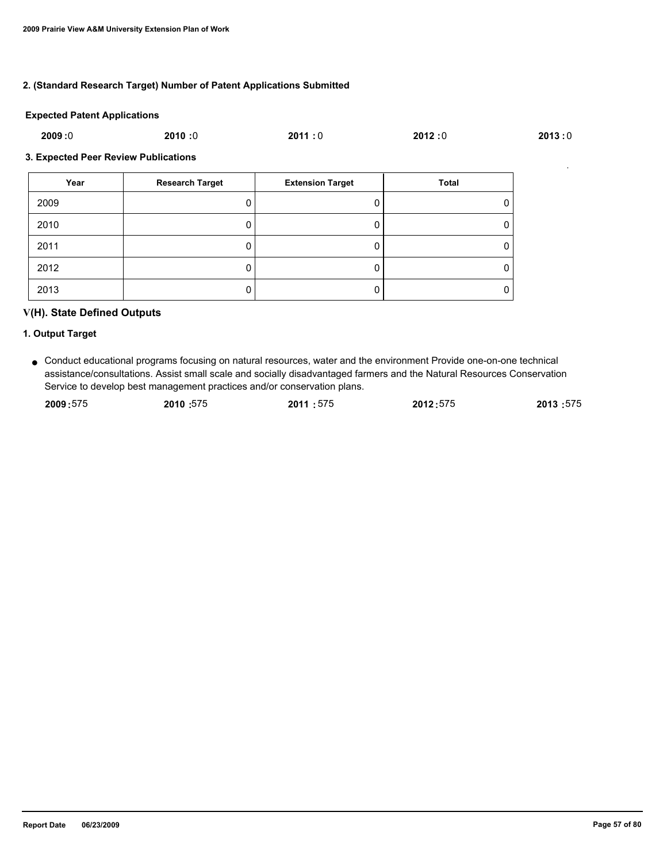### **2. (Standard Research Target) Number of Patent Applications Submitted**

#### **Expected Patent Applications**

| 2009:0 | 2010:0 | 2011:0 | 2012:0 | 2013:0 |
|--------|--------|--------|--------|--------|
|        |        |        |        |        |

#### **3. Expected Peer Review Publications**

| Year | <b>Research Target</b> | <b>Extension Target</b> | <b>Total</b> |
|------|------------------------|-------------------------|--------------|
| 2009 |                        |                         | 0            |
| 2010 | υ                      |                         | 0            |
| 2011 |                        |                         | 0            |
| 2012 | υ                      |                         | 0            |
| 2013 | U                      |                         | 0            |

## **V(H). State Defined Outputs**

#### **1. Output Target**

● Conduct educational programs focusing on natural resources, water and the environment Provide one-on-one technical assistance/consultations. Assist small scale and socially disadvantaged farmers and the Natural Resources Conservation Service to develop best management practices and/or conservation plans.

| 2009:575 | 2010:575 | 2011:575 | 2012:575 | 2013:575 |
|----------|----------|----------|----------|----------|
|          |          |          |          |          |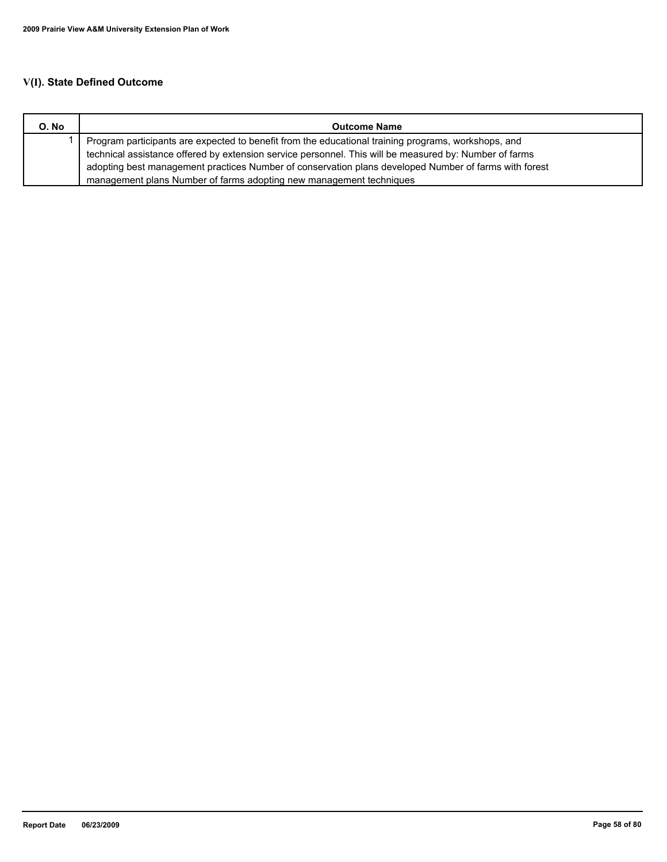# **V(I). State Defined Outcome**

| O. No | <b>Outcome Name</b>                                                                                    |
|-------|--------------------------------------------------------------------------------------------------------|
|       | Program participants are expected to benefit from the educational training programs, workshops, and    |
|       | technical assistance offered by extension service personnel. This will be measured by: Number of farms |
|       | adopting best management practices Number of conservation plans developed Number of farms with forest  |
|       | management plans Number of farms adopting new management techniques                                    |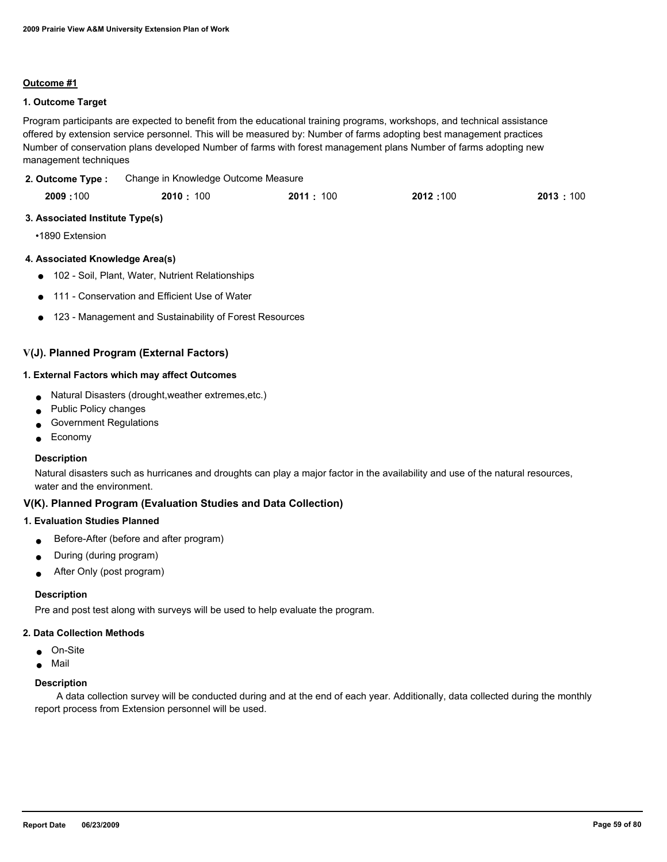#### **Outcome #1**

### **1. Outcome Target**

Program participants are expected to benefit from the educational training programs, workshops, and technical assistance offered by extension service personnel. This will be measured by: Number of farms adopting best management practices Number of conservation plans developed Number of farms with forest management plans Number of farms adopting new management techniques

Change in Knowledge Outcome Measure **2. Outcome Type :**

| 2009:100 | 2010: 100 | 2011:<br>100 | 2012:100 | 2013:100 |
|----------|-----------|--------------|----------|----------|
|          |           |              |          |          |

#### **3. Associated Institute Type(s)**

•1890 Extension

#### **4. Associated Knowledge Area(s)**

- 102 Soil, Plant, Water, Nutrient Relationships
- 111 Conservation and Efficient Use of Water
- 123 Management and Sustainability of Forest Resources

### **V(J). Planned Program (External Factors)**

#### **1. External Factors which may affect Outcomes**

- Natural Disasters (drought,weather extremes,etc.)
- Public Policy changes
- Government Regulations
- Economy

#### **Description**

Natural disasters such as hurricanes and droughts can play a major factor in the availability and use of the natural resources, water and the environment.

### **V(K). Planned Program (Evaluation Studies and Data Collection)**

#### **1. Evaluation Studies Planned**

- Before-After (before and after program)
- During (during program)
- After Only (post program)

#### **Description**

Pre and post test along with surveys will be used to help evaluate the program.

#### **2. Data Collection Methods**

- On-Site
- Mail

#### **Description**

 A data collection survey will be conducted during and at the end of each year. Additionally, data collected during the monthly report process from Extension personnel will be used.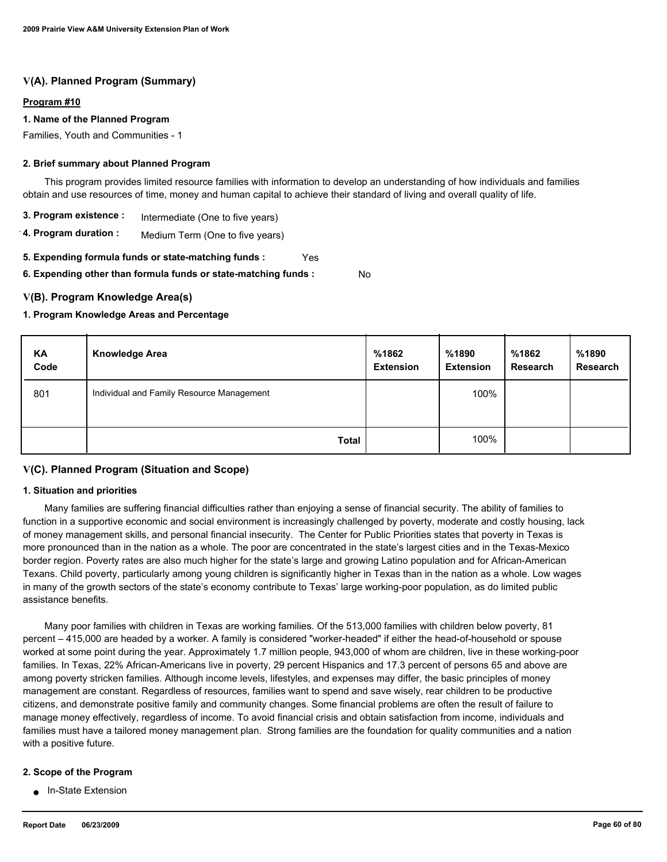## **V(A). Planned Program (Summary)**

#### **Program #10**

#### **1. Name of the Planned Program**

Families, Youth and Communities - 1

#### **2. Brief summary about Planned Program**

 This program provides limited resource families with information to develop an understanding of how individuals and families obtain and use resources of time, money and human capital to achieve their standard of living and overall quality of life.

- **3. Program existence :** Intermediate (One to five years)
- **4. Program duration :** Medium Term (One to five years)

**5. Expending formula funds or state-matching funds :** Yes

**6. Expending other than formula funds or state-matching funds :** No

#### **V(B). Program Knowledge Area(s)**

#### **1. Program Knowledge Areas and Percentage**

| KA<br>Code | <b>Knowledge Area</b>                     | %1862<br><b>Extension</b> | %1890<br><b>Extension</b> | %1862<br><b>Research</b> | %1890<br><b>Research</b> |
|------------|-------------------------------------------|---------------------------|---------------------------|--------------------------|--------------------------|
| 801        | Individual and Family Resource Management |                           | 100%                      |                          |                          |
|            | <b>Total</b>                              |                           | 100%                      |                          |                          |

#### **V(C). Planned Program (Situation and Scope)**

#### **1. Situation and priorities**

 Many families are suffering financial difficulties rather than enjoying a sense of financial security. The ability of families to function in a supportive economic and social environment is increasingly challenged by poverty, moderate and costly housing, lack of money management skills, and personal financial insecurity. The Center for Public Priorities states that poverty in Texas is more pronounced than in the nation as a whole. The poor are concentrated in the state's largest cities and in the Texas-Mexico border region. Poverty rates are also much higher for the state's large and growing Latino population and for African-American Texans. Child poverty, particularly among young children is significantly higher in Texas than in the nation as a whole. Low wages in many of the growth sectors of the state's economy contribute to Texas' large working-poor population, as do limited public assistance benefits.

 Many poor families with children in Texas are working families. Of the 513,000 families with children below poverty, 81 percent – 415,000 are headed by a worker. A family is considered "worker-headed" if either the head-of-household or spouse worked at some point during the year. Approximately 1.7 million people, 943,000 of whom are children, live in these working-poor families. In Texas, 22% African-Americans live in poverty, 29 percent Hispanics and 17.3 percent of persons 65 and above are among poverty stricken families. Although income levels, lifestyles, and expenses may differ, the basic principles of money management are constant. Regardless of resources, families want to spend and save wisely, rear children to be productive citizens, and demonstrate positive family and community changes. Some financial problems are often the result of failure to manage money effectively, regardless of income. To avoid financial crisis and obtain satisfaction from income, individuals and families must have a tailored money management plan. Strong families are the foundation for quality communities and a nation with a positive future.

#### **2. Scope of the Program**

● In-State Extension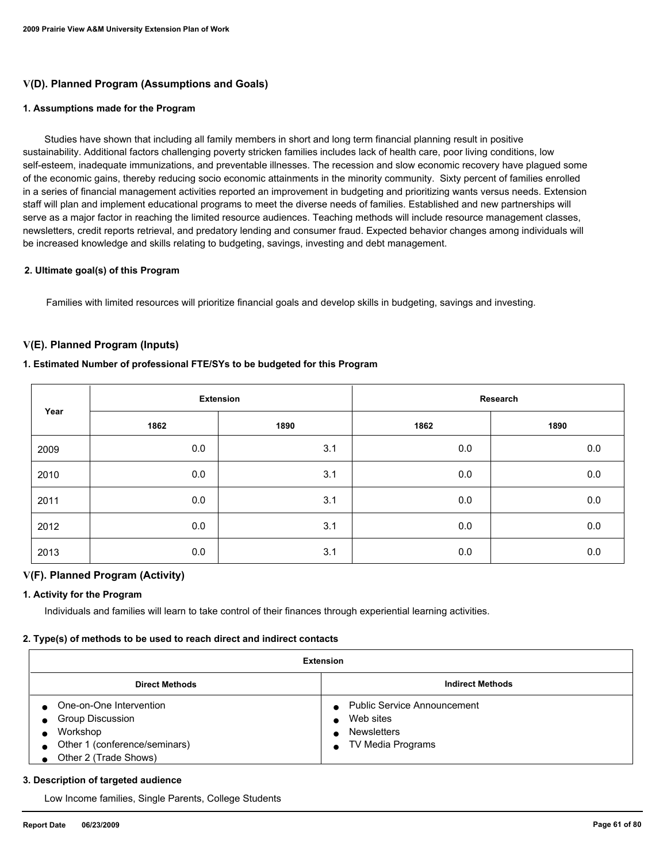## **V(D). Planned Program (Assumptions and Goals)**

#### **1. Assumptions made for the Program**

 Studies have shown that including all family members in short and long term financial planning result in positive sustainability. Additional factors challenging poverty stricken families includes lack of health care, poor living conditions, low self-esteem, inadequate immunizations, and preventable illnesses. The recession and slow economic recovery have plagued some of the economic gains, thereby reducing socio economic attainments in the minority community. Sixty percent of families enrolled in a series of financial management activities reported an improvement in budgeting and prioritizing wants versus needs. Extension staff will plan and implement educational programs to meet the diverse needs of families. Established and new partnerships will serve as a major factor in reaching the limited resource audiences. Teaching methods will include resource management classes, newsletters, credit reports retrieval, and predatory lending and consumer fraud. Expected behavior changes among individuals will be increased knowledge and skills relating to budgeting, savings, investing and debt management.

#### **2. Ultimate goal(s) of this Program**

Families with limited resources will prioritize financial goals and develop skills in budgeting, savings and investing.

### **V(E). Planned Program (Inputs)**

#### **1. Estimated Number of professional FTE/SYs to be budgeted for this Program**

| Year | <b>Extension</b> |      | Research |      |
|------|------------------|------|----------|------|
|      | 1862             | 1890 | 1862     | 1890 |
| 2009 | 0.0              | 3.1  | 0.0      | 0.0  |
| 2010 | 0.0              | 3.1  | 0.0      | 0.0  |
| 2011 | 0.0              | 3.1  | 0.0      | 0.0  |
| 2012 | 0.0              | 3.1  | 0.0      | 0.0  |
| 2013 | 0.0              | 3.1  | 0.0      | 0.0  |

## **V(F). Planned Program (Activity)**

#### **1. Activity for the Program**

Individuals and families will learn to take control of their finances through experiential learning activities.

#### **2. Type(s) of methods to be used to reach direct and indirect contacts**

| <b>Extension</b>                                 |                                                 |  |  |  |
|--------------------------------------------------|-------------------------------------------------|--|--|--|
| <b>Indirect Methods</b><br><b>Direct Methods</b> |                                                 |  |  |  |
| One-on-One Intervention<br>Group Discussion      | <b>Public Service Announcement</b><br>Web sites |  |  |  |
| Workshop<br>Other 1 (conference/seminars)        | <b>Newsletters</b><br>TV Media Programs         |  |  |  |
| Other 2 (Trade Shows)                            |                                                 |  |  |  |

#### **3. Description of targeted audience**

Low Income families, Single Parents, College Students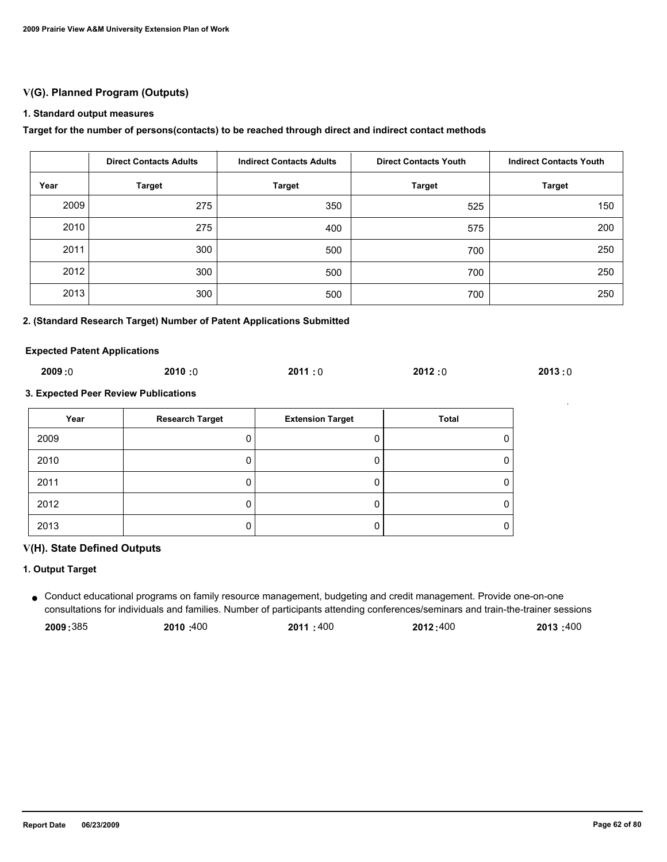## **V(G). Planned Program (Outputs)**

### **1. Standard output measures**

### **Target for the number of persons(contacts) to be reached through direct and indirect contact methods**

|      | <b>Direct Contacts Adults</b> | <b>Indirect Contacts Adults</b> | <b>Direct Contacts Youth</b> | <b>Indirect Contacts Youth</b> |
|------|-------------------------------|---------------------------------|------------------------------|--------------------------------|
| Year | <b>Target</b>                 | <b>Target</b>                   | <b>Target</b>                | <b>Target</b>                  |
| 2009 | 275                           | 350                             | 525                          | 150                            |
| 2010 | 275                           | 400                             | 575                          | 200                            |
| 2011 | 300                           | 500                             | 700                          | 250                            |
| 2012 | 300                           | 500                             | 700                          | 250                            |
| 2013 | 300                           | 500                             | 700                          | 250                            |

#### **2. (Standard Research Target) Number of Patent Applications Submitted**

#### **Expected Patent Applications**

| 2009:0 | 2010:0 | 2011:0 | 2012:0 | 2013:0 |
|--------|--------|--------|--------|--------|
|--------|--------|--------|--------|--------|

#### **3. Expected Peer Review Publications**

| Year | <b>Research Target</b> | <b>Extension Target</b> | Total |
|------|------------------------|-------------------------|-------|
| 2009 |                        |                         |       |
| 2010 |                        |                         |       |
| 2011 |                        |                         |       |
| 2012 |                        |                         |       |
| 2013 |                        |                         |       |

#### **V(H). State Defined Outputs**

### **1. Output Target**

Conduct educational programs on family resource management, budgeting and credit management. Provide one-on-one ● consultations for individuals and families. Number of participants attending conferences/seminars and train-the-trainer sessions

| 2009:385<br>2010:400<br>2011:400 | 2013:400<br>2012:400 |
|----------------------------------|----------------------|
|----------------------------------|----------------------|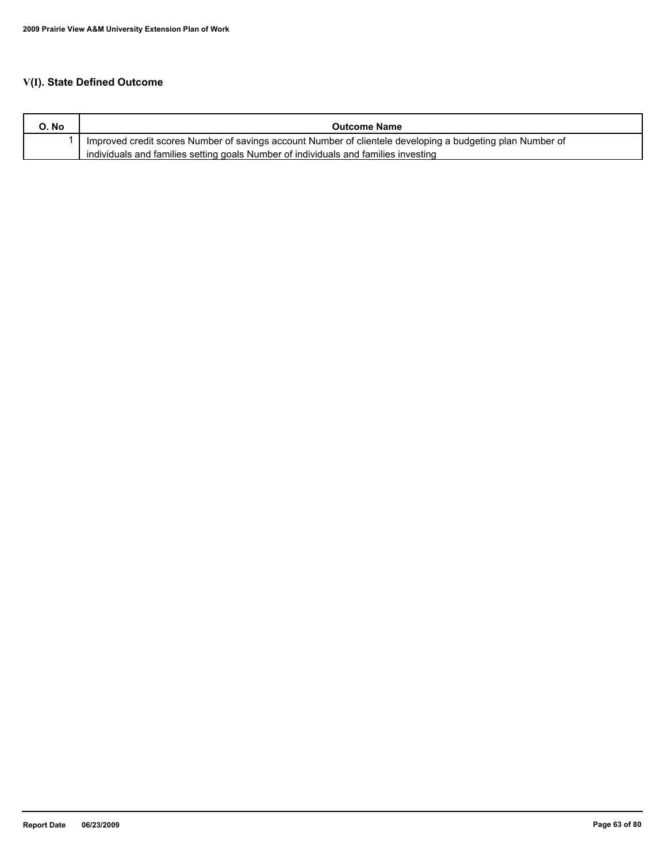# **V(I). State Defined Outcome**

| O. No | <b>Outcome Name</b>                                                                                        |
|-------|------------------------------------------------------------------------------------------------------------|
|       | Improved credit scores Number of savings account Number of clientele developing a budgeting plan Number of |
|       | individuals and families setting goals Number of individuals and families investing                        |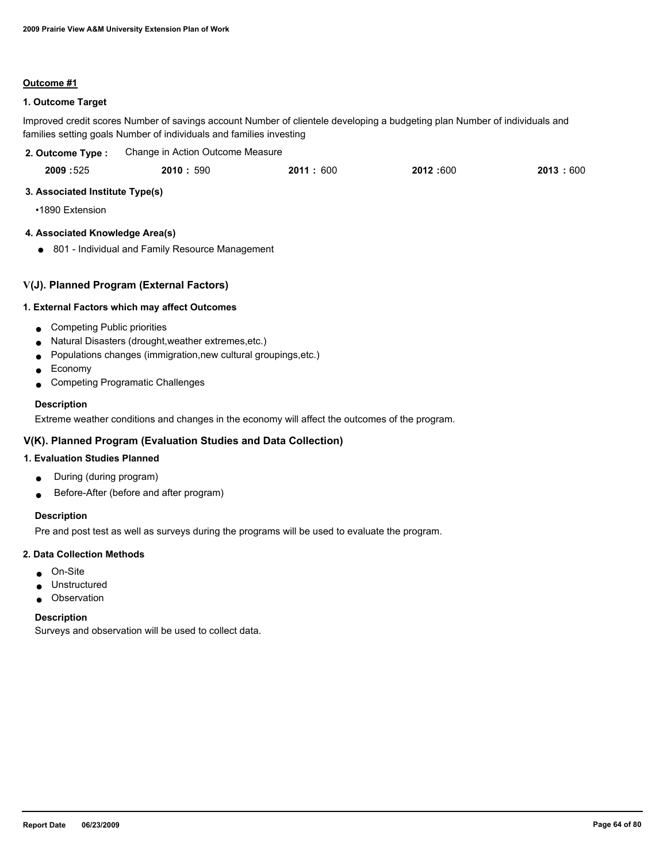### **Outcome #1**

## **1. Outcome Target**

Improved credit scores Number of savings account Number of clientele developing a budgeting plan Number of individuals and families setting goals Number of individuals and families investing

| 2. Outcome Type: | Change in Action Outcome Measure |          |          |          |
|------------------|----------------------------------|----------|----------|----------|
| 2009:525         | 2010:590                         | 2011:600 | 2012:600 | 2013:600 |

### **3. Associated Institute Type(s)**

•1890 Extension

## **4. Associated Knowledge Area(s)**

● 801 - Individual and Family Resource Management

### **V(J). Planned Program (External Factors)**

#### **1. External Factors which may affect Outcomes**

- Competing Public priorities
- Natural Disasters (drought,weather extremes,etc.)
- Populations changes (immigration,new cultural groupings,etc.)
- Economy
- Competing Programatic Challenges

#### **Description**

Extreme weather conditions and changes in the economy will affect the outcomes of the program.

## **V(K). Planned Program (Evaluation Studies and Data Collection)**

### **1. Evaluation Studies Planned**

- During (during program)
- Before-After (before and after program)

## **Description**

Pre and post test as well as surveys during the programs will be used to evaluate the program.

#### **2. Data Collection Methods**

- On-Site
- Unstructured
- Observation

#### **Description**

Surveys and observation will be used to collect data.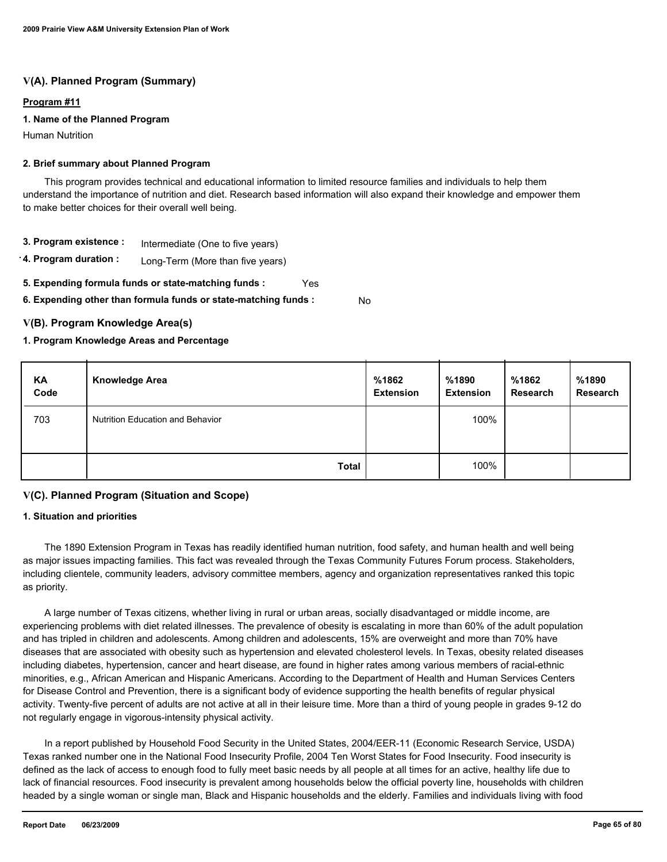## **V(A). Planned Program (Summary)**

### **Program #11**

### **1. Name of the Planned Program**

Human Nutrition

#### **2. Brief summary about Planned Program**

 This program provides technical and educational information to limited resource families and individuals to help them understand the importance of nutrition and diet. Research based information will also expand their knowledge and empower them to make better choices for their overall well being.

- **3. Program existence :** Intermediate (One to five years)
- **4. Program duration :** Long-Term (More than five years)
- **5. Expending formula funds or state-matching funds :** Yes

**6. Expending other than formula funds or state-matching funds :** No

### **V(B). Program Knowledge Area(s)**

#### **1. Program Knowledge Areas and Percentage**

| KA<br>Code | <b>Knowledge Area</b>                   | %1862<br><b>Extension</b> | %1890<br><b>Extension</b> | %1862<br>Research | %1890<br><b>Research</b> |
|------------|-----------------------------------------|---------------------------|---------------------------|-------------------|--------------------------|
| 703        | <b>Nutrition Education and Behavior</b> |                           | 100%                      |                   |                          |
|            | <b>Total</b>                            |                           | 100%                      |                   |                          |

## **V(C). Planned Program (Situation and Scope)**

#### **1. Situation and priorities**

 The 1890 Extension Program in Texas has readily identified human nutrition, food safety, and human health and well being as major issues impacting families. This fact was revealed through the Texas Community Futures Forum process. Stakeholders, including clientele, community leaders, advisory committee members, agency and organization representatives ranked this topic as priority.

 A large number of Texas citizens, whether living in rural or urban areas, socially disadvantaged or middle income, are experiencing problems with diet related illnesses. The prevalence of obesity is escalating in more than 60% of the adult population and has tripled in children and adolescents. Among children and adolescents, 15% are overweight and more than 70% have diseases that are associated with obesity such as hypertension and elevated cholesterol levels. In Texas, obesity related diseases including diabetes, hypertension, cancer and heart disease, are found in higher rates among various members of racial-ethnic minorities, e.g., African American and Hispanic Americans. According to the Department of Health and Human Services Centers for Disease Control and Prevention, there is a significant body of evidence supporting the health benefits of regular physical activity. Twenty-five percent of adults are not active at all in their leisure time. More than a third of young people in grades 9-12 do not regularly engage in vigorous-intensity physical activity.

 In a report published by Household Food Security in the United States, 2004/EER-11 (Economic Research Service, USDA) Texas ranked number one in the National Food Insecurity Profile, 2004 Ten Worst States for Food Insecurity. Food insecurity is defined as the lack of access to enough food to fully meet basic needs by all people at all times for an active, healthy life due to lack of financial resources. Food insecurity is prevalent among households below the official poverty line, households with children headed by a single woman or single man, Black and Hispanic households and the elderly. Families and individuals living with food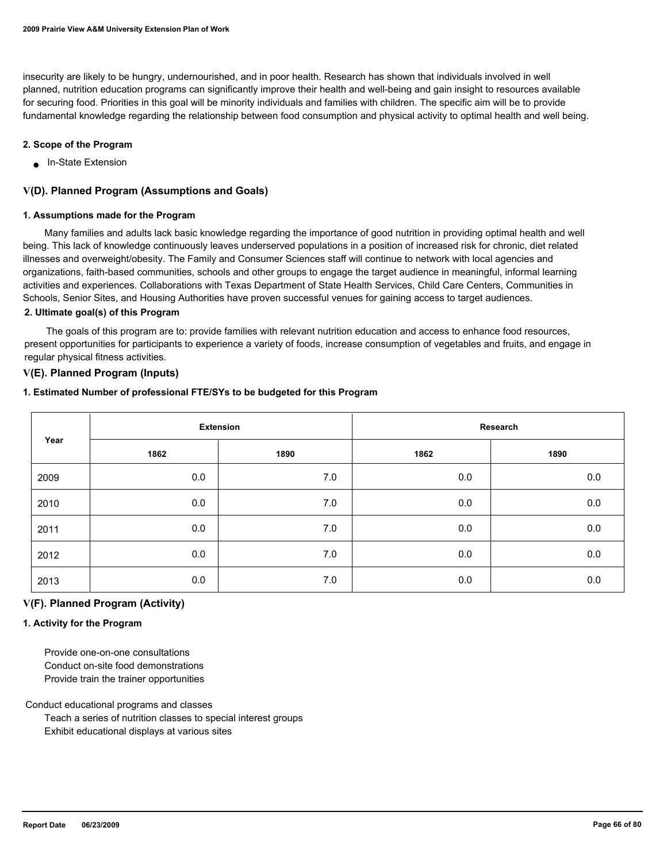insecurity are likely to be hungry, undernourished, and in poor health. Research has shown that individuals involved in well planned, nutrition education programs can significantly improve their health and well-being and gain insight to resources available for securing food. Priorities in this goal will be minority individuals and families with children. The specific aim will be to provide fundamental knowledge regarding the relationship between food consumption and physical activity to optimal health and well being.

### **2. Scope of the Program**

■ In-State Extension

### **V(D). Planned Program (Assumptions and Goals)**

#### **1. Assumptions made for the Program**

 Many families and adults lack basic knowledge regarding the importance of good nutrition in providing optimal health and well being. This lack of knowledge continuously leaves underserved populations in a position of increased risk for chronic, diet related illnesses and overweight/obesity. The Family and Consumer Sciences staff will continue to network with local agencies and organizations, faith-based communities, schools and other groups to engage the target audience in meaningful, informal learning activities and experiences. Collaborations with Texas Department of State Health Services, Child Care Centers, Communities in Schools, Senior Sites, and Housing Authorities have proven successful venues for gaining access to target audiences.

### **2. Ultimate goal(s) of this Program**

 The goals of this program are to: provide families with relevant nutrition education and access to enhance food resources, present opportunities for participants to experience a variety of foods, increase consumption of vegetables and fruits, and engage in regular physical fitness activities.

### **V(E). Planned Program (Inputs)**

#### **1. Estimated Number of professional FTE/SYs to be budgeted for this Program**

| Year | <b>Extension</b> |       | Research |      |
|------|------------------|-------|----------|------|
|      | 1862             | 1890  | 1862     | 1890 |
| 2009 | 0.0              | 7.0   | 0.0      | 0.0  |
| 2010 | 0.0              | 7.0   | 0.0      | 0.0  |
| 2011 | 0.0              | $7.0$ | 0.0      | 0.0  |
| 2012 | 0.0              | 7.0   | 0.0      | 0.0  |
| 2013 | 0.0              | 7.0   | 0.0      | 0.0  |

## **V(F). Planned Program (Activity)**

#### **1. Activity for the Program**

 Provide one-on-one consultations Conduct on-site food demonstrations Provide train the trainer opportunities

Conduct educational programs and classes

 Teach a series of nutrition classes to special interest groups Exhibit educational displays at various sites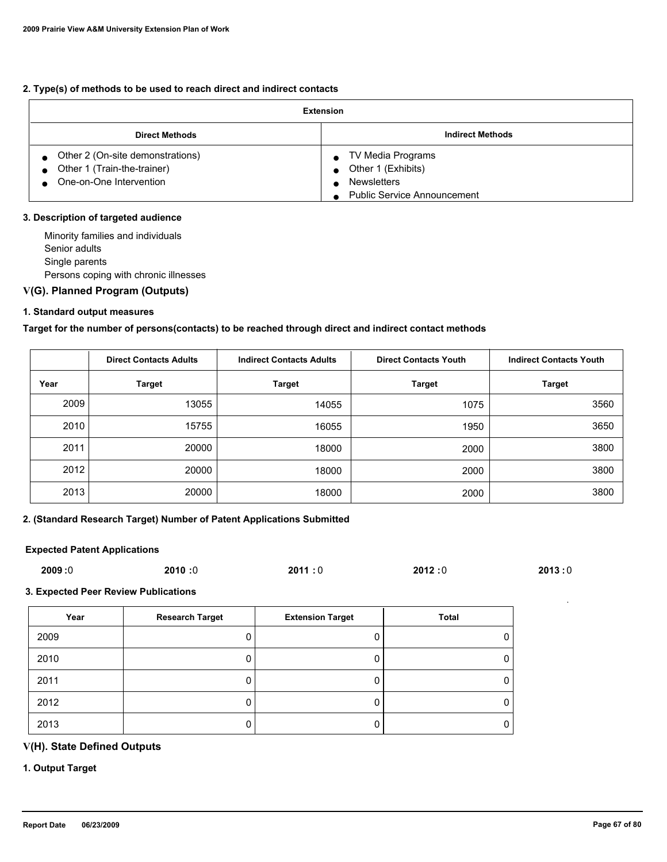### **2. Type(s) of methods to be used to reach direct and indirect contacts**

| <b>Extension</b>                                                                           |                                                                                                     |  |  |
|--------------------------------------------------------------------------------------------|-----------------------------------------------------------------------------------------------------|--|--|
| <b>Direct Methods</b>                                                                      | <b>Indirect Methods</b>                                                                             |  |  |
| Other 2 (On-site demonstrations)<br>Other 1 (Train-the-trainer)<br>One-on-One Intervention | TV Media Programs<br>Other 1 (Exhibits)<br><b>Newsletters</b><br><b>Public Service Announcement</b> |  |  |

### **3. Description of targeted audience**

 Minority families and individuals Senior adults Single parents Persons coping with chronic illnesses

# **V(G). Planned Program (Outputs)**

### **1. Standard output measures**

### **Target for the number of persons(contacts) to be reached through direct and indirect contact methods**

|      | <b>Direct Contacts Adults</b> | <b>Indirect Contacts Adults</b> | <b>Direct Contacts Youth</b> | <b>Indirect Contacts Youth</b> |
|------|-------------------------------|---------------------------------|------------------------------|--------------------------------|
| Year | Target                        | <b>Target</b>                   | Target                       | <b>Target</b>                  |
| 2009 | 13055                         | 14055                           | 1075                         | 3560                           |
| 2010 | 15755                         | 16055                           | 1950                         | 3650                           |
| 2011 | 20000                         | 18000                           | 2000                         | 3800                           |
| 2012 | 20000                         | 18000                           | 2000                         | 3800                           |
| 2013 | 20000                         | 18000                           | 2000                         | 3800                           |

### **2. (Standard Research Target) Number of Patent Applications Submitted**

### **Expected Patent Applications**

| 2009:0 | 2010:0 | 2011:0 | 2012:0 | 2013:0 |
|--------|--------|--------|--------|--------|
|        |        |        |        |        |

#### **3. Expected Peer Review Publications**

| Year | <b>Research Target</b> | <b>Extension Target</b> | <b>Total</b> |
|------|------------------------|-------------------------|--------------|
| 2009 |                        |                         | 0            |
| 2010 |                        |                         | 0            |
| 2011 |                        |                         | O            |
| 2012 |                        |                         | 0            |
| 2013 |                        |                         | 0            |

## **V(H). State Defined Outputs**

### **1. Output Target**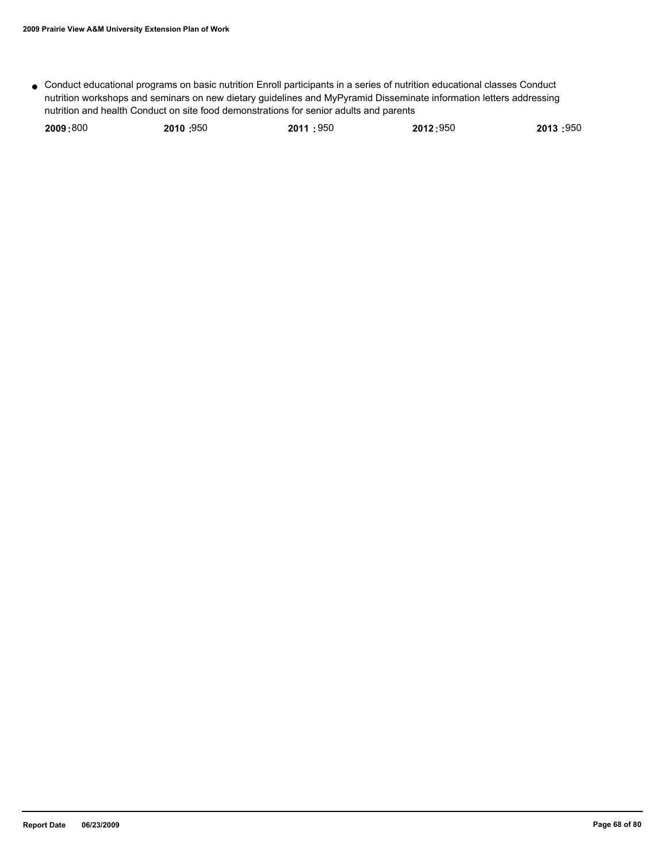● Conduct educational programs on basic nutrition Enroll participants in a series of nutrition educational classes Conduct nutrition workshops and seminars on new dietary guidelines and MyPyramid Disseminate information letters addressing nutrition and health Conduct on site food demonstrations for senior adults and parents

| 2009:800 | 2010:950 | 2011:950 | 2012:950 | 2013:950 |
|----------|----------|----------|----------|----------|
|          |          |          |          |          |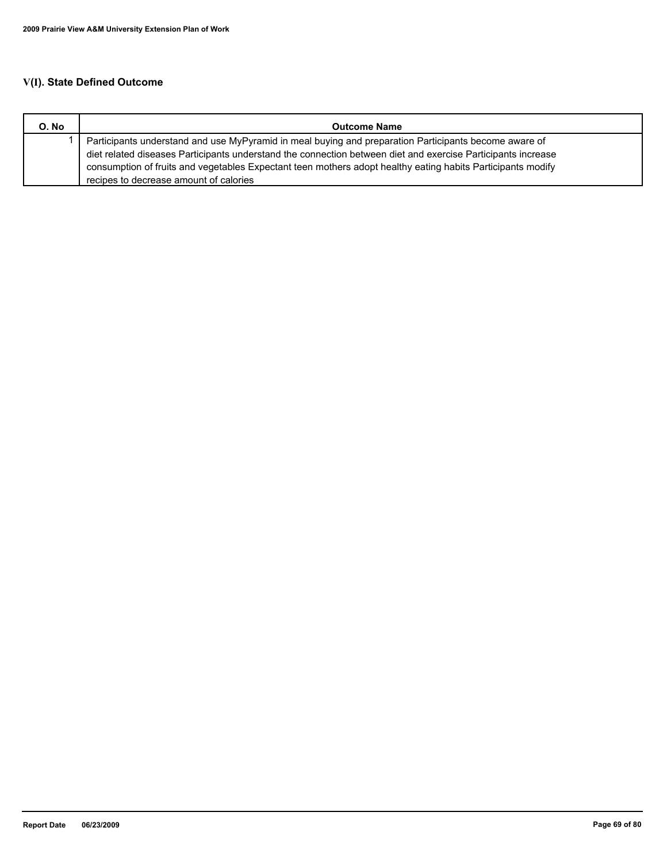# **V(I). State Defined Outcome**

| O. No | <b>Outcome Name</b>                                                                                          |  |  |
|-------|--------------------------------------------------------------------------------------------------------------|--|--|
|       | Participants understand and use MyPyramid in meal buying and preparation Participants become aware of        |  |  |
|       | diet related diseases Participants understand the connection between diet and exercise Participants increase |  |  |
|       | consumption of fruits and vegetables Expectant teen mothers adopt healthy eating habits Participants modify  |  |  |
|       | recipes to decrease amount of calories                                                                       |  |  |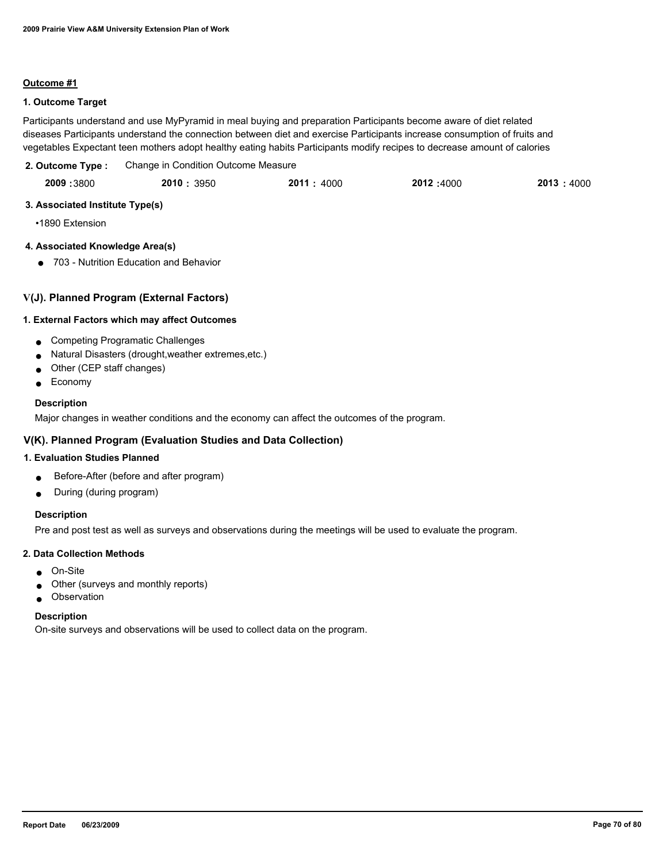### **Outcome #1**

## **1. Outcome Target**

Participants understand and use MyPyramid in meal buying and preparation Participants become aware of diet related diseases Participants understand the connection between diet and exercise Participants increase consumption of fruits and vegetables Expectant teen mothers adopt healthy eating habits Participants modify recipes to decrease amount of calories

| 2. Outcome Type : | Change in Condition Outcome Measure |
|-------------------|-------------------------------------|
|                   |                                     |

| 2009:3800 | 2010: 3950 | 2011 : 4000 | 2012:4000 | 2013:4000 |
|-----------|------------|-------------|-----------|-----------|
|           |            |             |           |           |

### **3. Associated Institute Type(s)**

•1890 Extension

# **4. Associated Knowledge Area(s)**

● 703 - Nutrition Education and Behavior

## **V(J). Planned Program (External Factors)**

### **1. External Factors which may affect Outcomes**

- Competing Programatic Challenges
- Natural Disasters (drought,weather extremes,etc.)
- Other (CEP staff changes)
- Economy

### **Description**

Major changes in weather conditions and the economy can affect the outcomes of the program.

## **V(K). Planned Program (Evaluation Studies and Data Collection)**

## **1. Evaluation Studies Planned**

- Before-After (before and after program)
- During (during program)

## **Description**

Pre and post test as well as surveys and observations during the meetings will be used to evaluate the program.

#### **2. Data Collection Methods**

- On-Site
- Other (surveys and monthly reports)
- Observation

#### **Description**

On-site surveys and observations will be used to collect data on the program.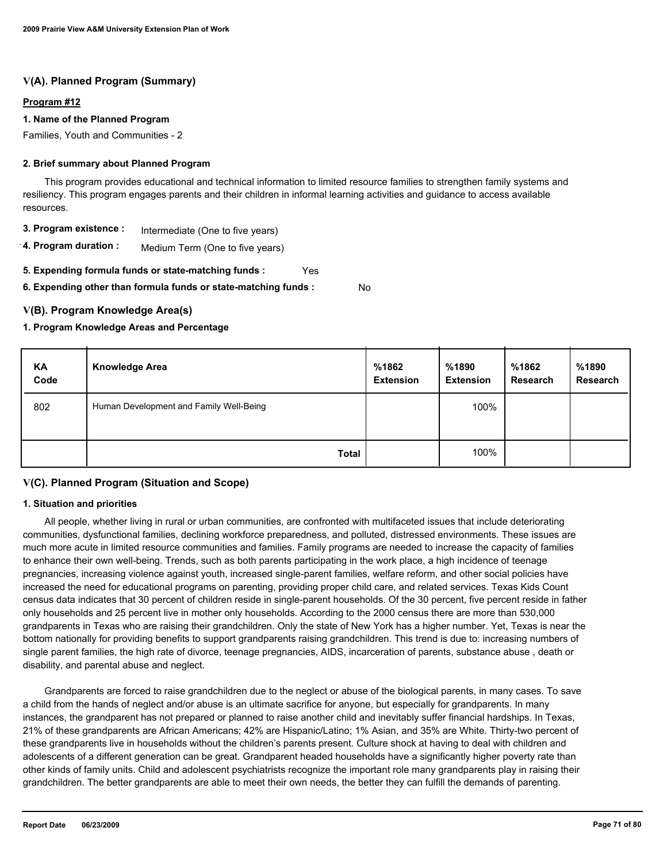## **V(A). Planned Program (Summary)**

### **Program #12**

### **1. Name of the Planned Program**

Families, Youth and Communities - 2

### **2. Brief summary about Planned Program**

 This program provides educational and technical information to limited resource families to strengthen family systems and resiliency. This program engages parents and their children in informal learning activities and guidance to access available resources.

- **3. Program existence :** Intermediate (One to five years)
- **4. Program duration :** Medium Term (One to five years)
- **5. Expending formula funds or state-matching funds :** Yes

**6. Expending other than formula funds or state-matching funds :**

## **V(B). Program Knowledge Area(s)**

### **1. Program Knowledge Areas and Percentage**

| KA<br>Code | <b>Knowledge Area</b>                   | %1862<br><b>Extension</b> | %1890<br><b>Extension</b> | %1862<br><b>Research</b> | %1890<br><b>Research</b> |
|------------|-----------------------------------------|---------------------------|---------------------------|--------------------------|--------------------------|
| 802        | Human Development and Family Well-Being |                           | 100%                      |                          |                          |
|            | <b>Total</b>                            |                           | 100%                      |                          |                          |

No

## **V(C). Planned Program (Situation and Scope)**

#### **1. Situation and priorities**

 All people, whether living in rural or urban communities, are confronted with multifaceted issues that include deteriorating communities, dysfunctional families, declining workforce preparedness, and polluted, distressed environments. These issues are much more acute in limited resource communities and families. Family programs are needed to increase the capacity of families to enhance their own well-being. Trends, such as both parents participating in the work place, a high incidence of teenage pregnancies, increasing violence against youth, increased single-parent families, welfare reform, and other social policies have increased the need for educational programs on parenting, providing proper child care, and related services. Texas Kids Count census data indicates that 30 percent of children reside in single-parent households. Of the 30 percent, five percent reside in father only households and 25 percent live in mother only households. According to the 2000 census there are more than 530,000 grandparents in Texas who are raising their grandchildren. Only the state of New York has a higher number. Yet, Texas is near the bottom nationally for providing benefits to support grandparents raising grandchildren. This trend is due to: increasing numbers of single parent families, the high rate of divorce, teenage pregnancies, AIDS, incarceration of parents, substance abuse , death or disability, and parental abuse and neglect.

 Grandparents are forced to raise grandchildren due to the neglect or abuse of the biological parents, in many cases. To save a child from the hands of neglect and/or abuse is an ultimate sacrifice for anyone, but especially for grandparents. In many instances, the grandparent has not prepared or planned to raise another child and inevitably suffer financial hardships. In Texas, 21% of these grandparents are African Americans; 42% are Hispanic/Latino; 1% Asian, and 35% are White. Thirty-two percent of these grandparents live in households without the children's parents present. Culture shock at having to deal with children and adolescents of a different generation can be great. Grandparent headed households have a significantly higher poverty rate than other kinds of family units. Child and adolescent psychiatrists recognize the important role many grandparents play in raising their grandchildren. The better grandparents are able to meet their own needs, the better they can fulfill the demands of parenting.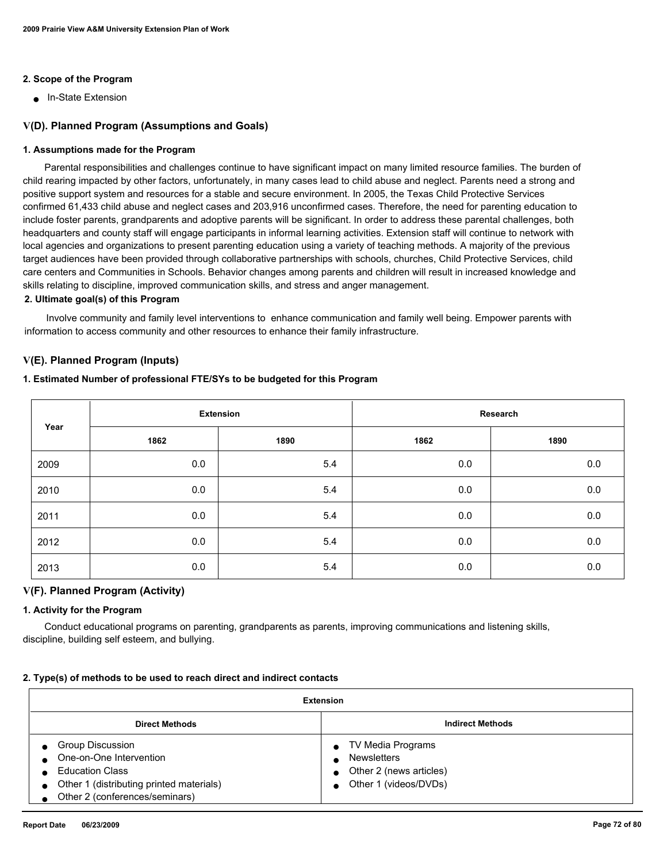#### **2. Scope of the Program**

■ In-State Extension

#### **V(D). Planned Program (Assumptions and Goals)**

#### **1. Assumptions made for the Program**

 Parental responsibilities and challenges continue to have significant impact on many limited resource families. The burden of child rearing impacted by other factors, unfortunately, in many cases lead to child abuse and neglect. Parents need a strong and positive support system and resources for a stable and secure environment. In 2005, the Texas Child Protective Services confirmed 61,433 child abuse and neglect cases and 203,916 unconfirmed cases. Therefore, the need for parenting education to include foster parents, grandparents and adoptive parents will be significant. In order to address these parental challenges, both headquarters and county staff will engage participants in informal learning activities. Extension staff will continue to network with local agencies and organizations to present parenting education using a variety of teaching methods. A majority of the previous target audiences have been provided through collaborative partnerships with schools, churches, Child Protective Services, child care centers and Communities in Schools. Behavior changes among parents and children will result in increased knowledge and skills relating to discipline, improved communication skills, and stress and anger management.

#### **2. Ultimate goal(s) of this Program**

 Involve community and family level interventions to enhance communication and family well being. Empower parents with information to access community and other resources to enhance their family infrastructure.

#### **V(E). Planned Program (Inputs)**

#### **1. Estimated Number of professional FTE/SYs to be budgeted for this Program**

|      | <b>Extension</b> |      | Research |         |  |
|------|------------------|------|----------|---------|--|
| Year | 1862             | 1890 | 1862     | 1890    |  |
| 2009 | 0.0              | 5.4  | 0.0      | 0.0     |  |
| 2010 | 0.0              | 5.4  | 0.0      | 0.0     |  |
| 2011 | 0.0              | 5.4  | 0.0      | $0.0\,$ |  |
| 2012 | 0.0              | 5.4  | 0.0      | 0.0     |  |
| 2013 | 0.0              | 5.4  | 0.0      | $0.0\,$ |  |

#### **V(F). Planned Program (Activity)**

#### **1. Activity for the Program**

 Conduct educational programs on parenting, grandparents as parents, improving communications and listening skills, discipline, building self esteem, and bullying.

#### **2. Type(s) of methods to be used to reach direct and indirect contacts**

| Extension                                                                                                                                                  |                                                                                             |  |  |
|------------------------------------------------------------------------------------------------------------------------------------------------------------|---------------------------------------------------------------------------------------------|--|--|
| <b>Indirect Methods</b><br><b>Direct Methods</b>                                                                                                           |                                                                                             |  |  |
| <b>Group Discussion</b><br>One-on-One Intervention<br><b>Education Class</b><br>Other 1 (distributing printed materials)<br>Other 2 (conferences/seminars) | TV Media Programs<br><b>Newsletters</b><br>Other 2 (news articles)<br>Other 1 (videos/DVDs) |  |  |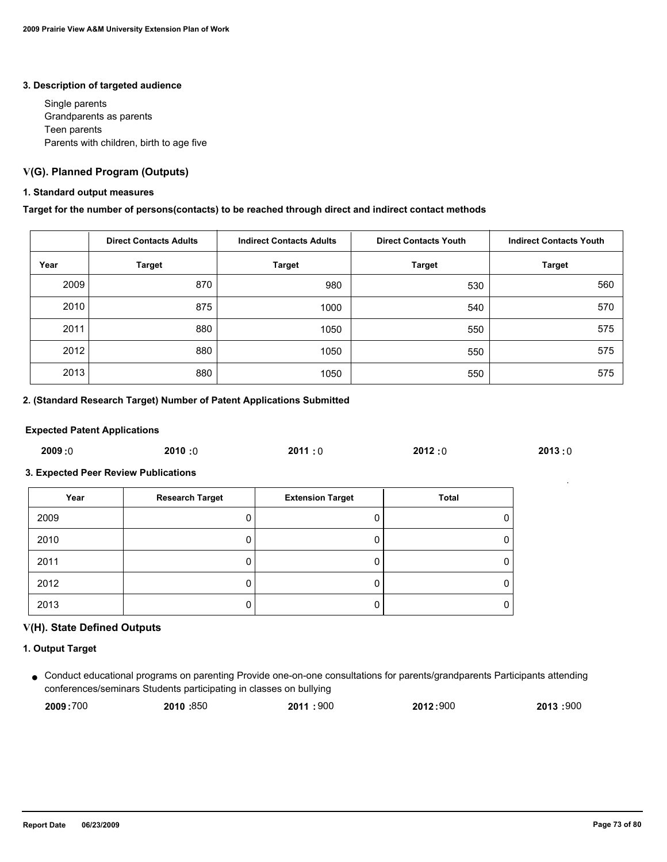#### **3. Description of targeted audience**

 Single parents Grandparents as parents Teen parents Parents with children, birth to age five

# **V(G). Planned Program (Outputs)**

#### **1. Standard output measures**

#### **Target for the number of persons(contacts) to be reached through direct and indirect contact methods**

|      | <b>Direct Contacts Adults</b> | <b>Indirect Contacts Adults</b> | <b>Direct Contacts Youth</b> | <b>Indirect Contacts Youth</b> |
|------|-------------------------------|---------------------------------|------------------------------|--------------------------------|
| Year | <b>Target</b>                 | <b>Target</b>                   | <b>Target</b>                | <b>Target</b>                  |
| 2009 | 870                           | 980                             | 530                          | 560                            |
| 2010 | 875                           | 1000                            | 540                          | 570                            |
| 2011 | 880                           | 1050                            | 550                          | 575                            |
| 2012 | 880                           | 1050                            | 550                          | 575                            |
| 2013 | 880                           | 1050                            | 550                          | 575                            |

# **2. (Standard Research Target) Number of Patent Applications Submitted**

#### **Expected Patent Applications**

| 2009:0 | 2010:0 | 2011:0 | 2012:0 | 2013:0 |
|--------|--------|--------|--------|--------|
|        |        |        |        |        |

# **3. Expected Peer Review Publications**

| Year | <b>Research Target</b> | <b>Extension Target</b> | Total |
|------|------------------------|-------------------------|-------|
| 2009 |                        |                         | 0     |
| 2010 |                        |                         | 0     |
| 2011 |                        |                         | 0     |
| 2012 |                        |                         | 0     |
| 2013 |                        |                         | 0     |

# **V(H). State Defined Outputs**

#### **1. Output Target**

Conduct educational programs on parenting Provide one-on-one consultations for parents/grandparents Participants attending ● conferences/seminars Students participating in classes on bullying

| 2009:700 | 2010:850 | 2011:900 | 2012:900 | 2013 :900 |
|----------|----------|----------|----------|-----------|
|          |          |          |          |           |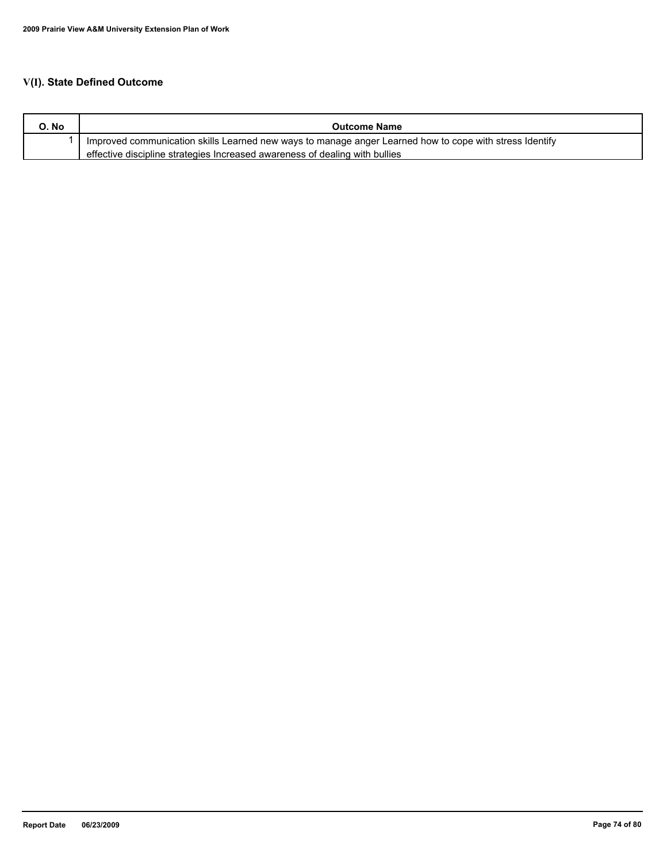# **V(I). State Defined Outcome**

| O. No | <b>Outcome Name</b>                                                                                     |
|-------|---------------------------------------------------------------------------------------------------------|
|       | Improved communication skills Learned new ways to manage anger Learned how to cope with stress Identify |
|       | effective discipline strategies Increased awareness of dealing with bullies                             |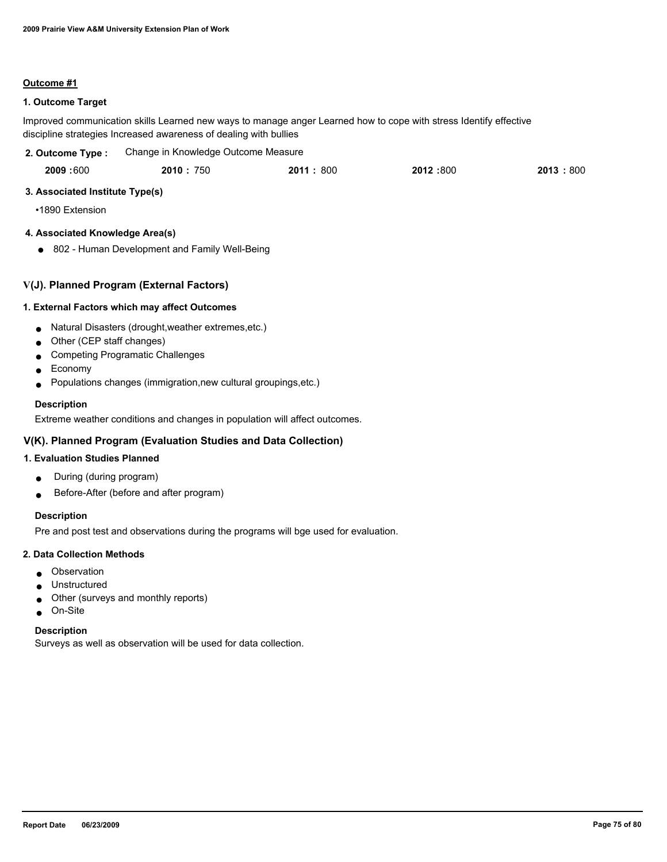#### **Outcome #1**

# **1. Outcome Target**

Improved communication skills Learned new ways to manage anger Learned how to cope with stress Identify effective discipline strategies Increased awareness of dealing with bullies

| 2. Outcome Type : | Change in Knowledge Outcome Measure |
|-------------------|-------------------------------------|
|                   |                                     |

| 2009:600 | 2010:<br>750 | 2011:<br>800 | 2012:800 | 2013<br>800 |
|----------|--------------|--------------|----------|-------------|
|          |              |              |          |             |

# **3. Associated Institute Type(s)**

•1890 Extension

# **4. Associated Knowledge Area(s)**

● 802 - Human Development and Family Well-Being

# **V(J). Planned Program (External Factors)**

# **1. External Factors which may affect Outcomes**

- Natural Disasters (drought,weather extremes,etc.)
- Other (CEP staff changes)
- Competing Programatic Challenges
- Economy
- Populations changes (immigration,new cultural groupings,etc.)

#### **Description**

Extreme weather conditions and changes in population will affect outcomes.

# **V(K). Planned Program (Evaluation Studies and Data Collection)**

#### **1. Evaluation Studies Planned**

- During (during program)
- Before-After (before and after program)

# **Description**

Pre and post test and observations during the programs will bge used for evaluation.

#### **2. Data Collection Methods**

- Observation
- Unstructured
- Other (surveys and monthly reports)
- On-Site

#### **Description**

Surveys as well as observation will be used for data collection.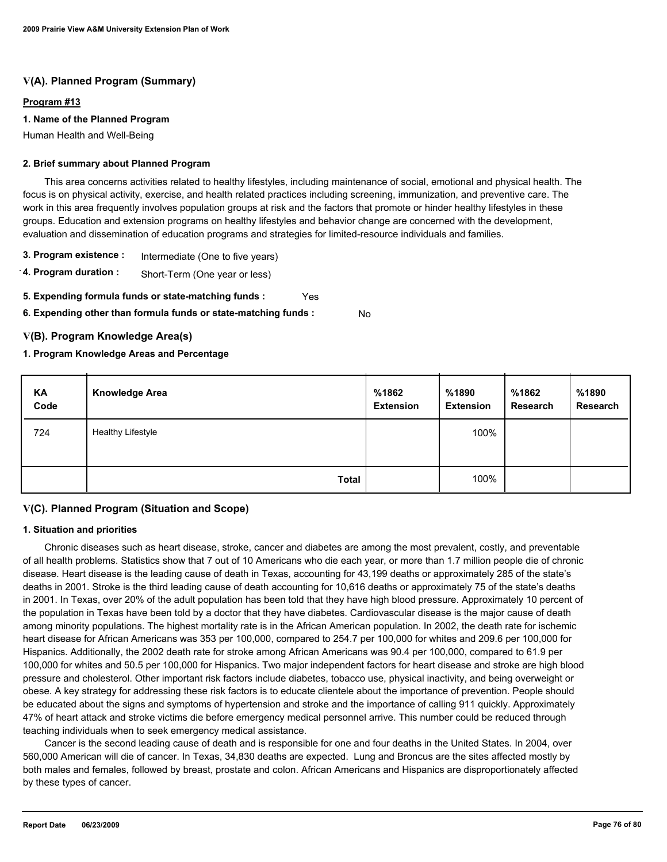# **V(A). Planned Program (Summary)**

#### **Program #13**

#### **1. Name of the Planned Program**

Human Health and Well-Being

#### **2. Brief summary about Planned Program**

 This area concerns activities related to healthy lifestyles, including maintenance of social, emotional and physical health. The focus is on physical activity, exercise, and health related practices including screening, immunization, and preventive care. The work in this area frequently involves population groups at risk and the factors that promote or hinder healthy lifestyles in these groups. Education and extension programs on healthy lifestyles and behavior change are concerned with the development, evaluation and dissemination of education programs and strategies for limited-resource individuals and families.

- **3. Program existence :** Intermediate (One to five years)
- **4. Program duration :** Short-Term (One year or less)
- **5. Expending formula funds or state-matching funds :** Yes
- **6. Expending other than formula funds or state-matching funds :** No

# **V(B). Program Knowledge Area(s)**

# **1. Program Knowledge Areas and Percentage**

| KA<br>Code | <b>Knowledge Area</b>    | %1862<br><b>Extension</b> | %1890<br><b>Extension</b> | %1862<br>Research | %1890<br>Research |
|------------|--------------------------|---------------------------|---------------------------|-------------------|-------------------|
| 724        | <b>Healthy Lifestyle</b> |                           | 100%                      |                   |                   |
|            | <b>Total</b>             |                           | 100%                      |                   |                   |

# **V(C). Planned Program (Situation and Scope)**

#### **1. Situation and priorities**

 Chronic diseases such as heart disease, stroke, cancer and diabetes are among the most prevalent, costly, and preventable of all health problems. Statistics show that 7 out of 10 Americans who die each year, or more than 1.7 million people die of chronic disease. Heart disease is the leading cause of death in Texas, accounting for 43,199 deaths or approximately 285 of the state's deaths in 2001. Stroke is the third leading cause of death accounting for 10,616 deaths or approximately 75 of the state's deaths in 2001. In Texas, over 20% of the adult population has been told that they have high blood pressure. Approximately 10 percent of the population in Texas have been told by a doctor that they have diabetes. Cardiovascular disease is the major cause of death among minority populations. The highest mortality rate is in the African American population. In 2002, the death rate for ischemic heart disease for African Americans was 353 per 100,000, compared to 254.7 per 100,000 for whites and 209.6 per 100,000 for Hispanics. Additionally, the 2002 death rate for stroke among African Americans was 90.4 per 100,000, compared to 61.9 per 100,000 for whites and 50.5 per 100,000 for Hispanics. Two major independent factors for heart disease and stroke are high blood pressure and cholesterol. Other important risk factors include diabetes, tobacco use, physical inactivity, and being overweight or obese. A key strategy for addressing these risk factors is to educate clientele about the importance of prevention. People should be educated about the signs and symptoms of hypertension and stroke and the importance of calling 911 quickly. Approximately 47% of heart attack and stroke victims die before emergency medical personnel arrive. This number could be reduced through teaching individuals when to seek emergency medical assistance.

 Cancer is the second leading cause of death and is responsible for one and four deaths in the United States. In 2004, over 560,000 American will die of cancer. In Texas, 34,830 deaths are expected. Lung and Broncus are the sites affected mostly by both males and females, followed by breast, prostate and colon. African Americans and Hispanics are disproportionately affected by these types of cancer.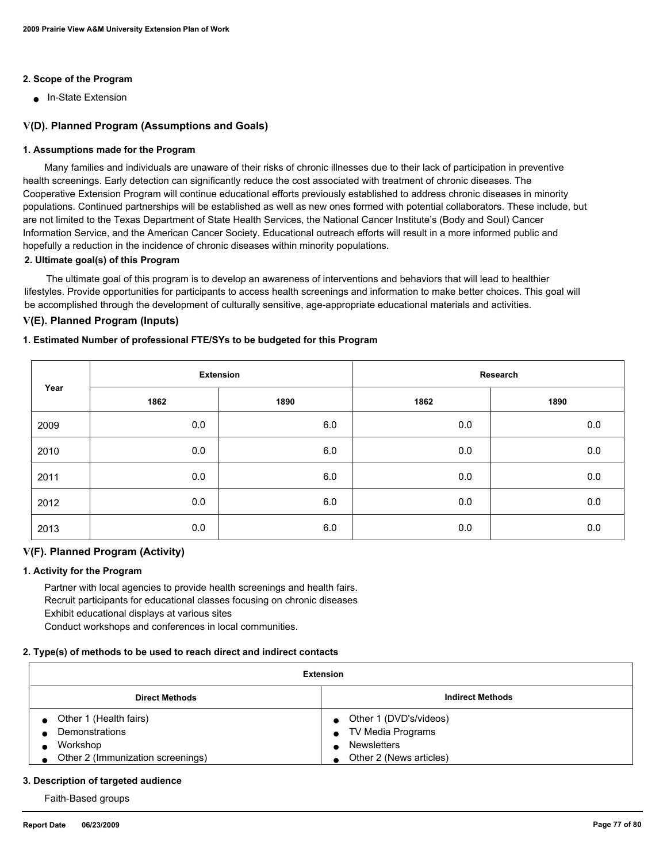# **2. Scope of the Program**

■ In-State Extension

# **V(D). Planned Program (Assumptions and Goals)**

#### **1. Assumptions made for the Program**

 Many families and individuals are unaware of their risks of chronic illnesses due to their lack of participation in preventive health screenings. Early detection can significantly reduce the cost associated with treatment of chronic diseases. The Cooperative Extension Program will continue educational efforts previously established to address chronic diseases in minority populations. Continued partnerships will be established as well as new ones formed with potential collaborators. These include, but are not limited to the Texas Department of State Health Services, the National Cancer Institute's (Body and Soul) Cancer Information Service, and the American Cancer Society. Educational outreach efforts will result in a more informed public and hopefully a reduction in the incidence of chronic diseases within minority populations.

#### **2. Ultimate goal(s) of this Program**

 The ultimate goal of this program is to develop an awareness of interventions and behaviors that will lead to healthier lifestyles. Provide opportunities for participants to access health screenings and information to make better choices. This goal will be accomplished through the development of culturally sensitive, age-appropriate educational materials and activities.

# **V(E). Planned Program (Inputs)**

#### **1. Estimated Number of professional FTE/SYs to be budgeted for this Program**

| Year |      | <b>Extension</b> |      | Research |
|------|------|------------------|------|----------|
|      | 1862 | 1890             | 1862 | 1890     |
| 2009 | 0.0  | 6.0              | 0.0  | $0.0\,$  |
| 2010 | 0.0  | 6.0              | 0.0  | $0.0\,$  |
| 2011 | 0.0  | 6.0              | 0.0  | $0.0\,$  |
| 2012 | 0.0  | 6.0              | 0.0  | 0.0      |
| 2013 | 0.0  | 6.0              | 0.0  | 0.0      |

#### **V(F). Planned Program (Activity)**

#### **1. Activity for the Program**

 Partner with local agencies to provide health screenings and health fairs. Recruit participants for educational classes focusing on chronic diseases Exhibit educational displays at various sites Conduct workshops and conferences in local communities.

# **2. Type(s) of methods to be used to reach direct and indirect contacts**

| <b>Extension</b>                  |                          |  |  |  |
|-----------------------------------|--------------------------|--|--|--|
| <b>Direct Methods</b>             | <b>Indirect Methods</b>  |  |  |  |
| • Other 1 (Health fairs)          | • Other 1 (DVD's/videos) |  |  |  |
| Demonstrations                    | • TV Media Programs      |  |  |  |
| Workshop                          | <b>Newsletters</b>       |  |  |  |
| Other 2 (Immunization screenings) | Other 2 (News articles)  |  |  |  |

#### **3. Description of targeted audience**

Faith-Based groups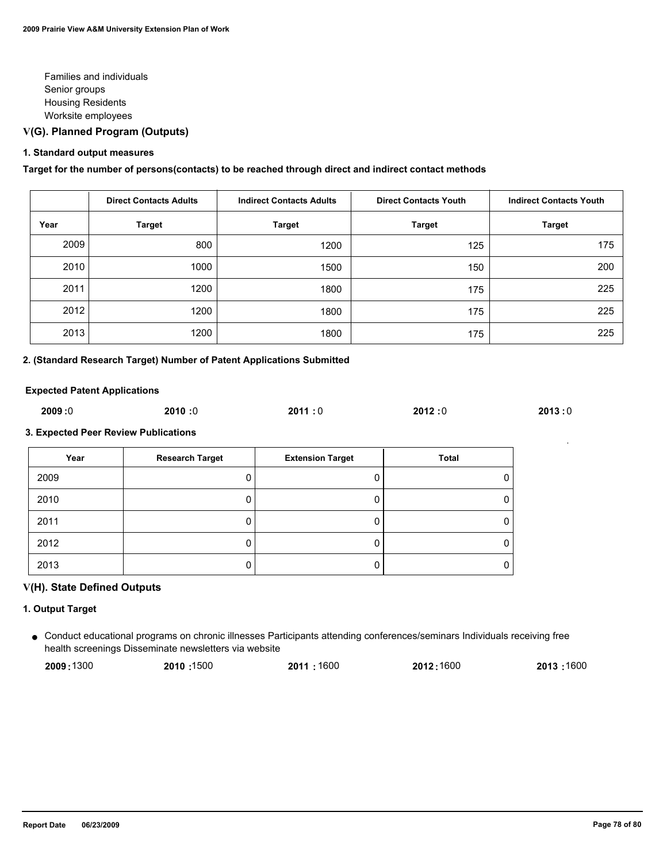Families and individuals Senior groups Housing Residents Worksite employees

# **V(G). Planned Program (Outputs)**

#### **1. Standard output measures**

**Target for the number of persons(contacts) to be reached through direct and indirect contact methods**

|      | <b>Direct Contacts Adults</b> | <b>Indirect Contacts Adults</b> | <b>Direct Contacts Youth</b> | <b>Indirect Contacts Youth</b> |
|------|-------------------------------|---------------------------------|------------------------------|--------------------------------|
| Year | <b>Target</b>                 | <b>Target</b>                   | <b>Target</b>                | <b>Target</b>                  |
| 2009 | 800                           | 1200                            | 125                          | 175                            |
| 2010 | 1000                          | 1500                            | 150                          | 200                            |
| 2011 | 1200                          | 1800                            | 175                          | 225                            |
| 2012 | 1200                          | 1800                            | 175                          | 225                            |
| 2013 | 1200                          | 1800                            | 175                          | 225                            |

# **2. (Standard Research Target) Number of Patent Applications Submitted**

#### **Expected Patent Applications**

| 2009:0 | 2010:0 | 2011:0 | 2012:0 | 2013:0 |
|--------|--------|--------|--------|--------|
|        |        |        |        |        |

#### **3. Expected Peer Review Publications**

| Year | <b>Research Target</b> | <b>Extension Target</b> | Total |
|------|------------------------|-------------------------|-------|
| 2009 |                        |                         |       |
| 2010 |                        |                         |       |
| 2011 |                        |                         |       |
| 2012 |                        |                         |       |
| 2013 |                        |                         |       |

# **V(H). State Defined Outputs**

#### **1. Output Target**

Conduct educational programs on chronic illnesses Participants attending conferences/seminars Individuals receiving free ● health screenings Disseminate newsletters via website

| 2009:1300 | 2010:1500 | 2011:1600 | 2012:1600 | 2013:1600 |
|-----------|-----------|-----------|-----------|-----------|
|           |           |           |           |           |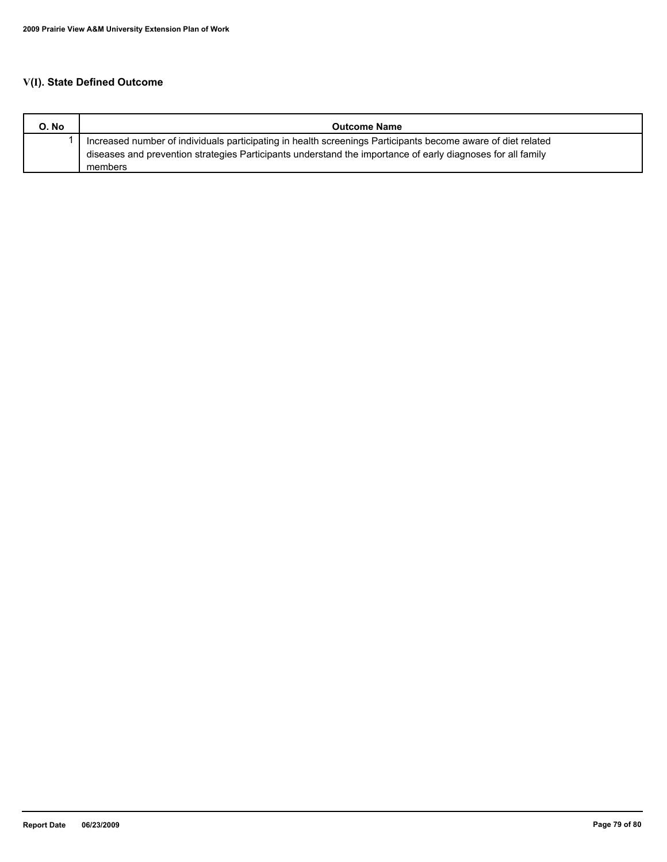# **V(I). State Defined Outcome**

| O. No | <b>Outcome Name</b>                                                                                          |
|-------|--------------------------------------------------------------------------------------------------------------|
|       | Increased number of individuals participating in health screenings Participants become aware of diet related |
|       | diseases and prevention strategies Participants understand the importance of early diagnoses for all family  |
|       | members                                                                                                      |